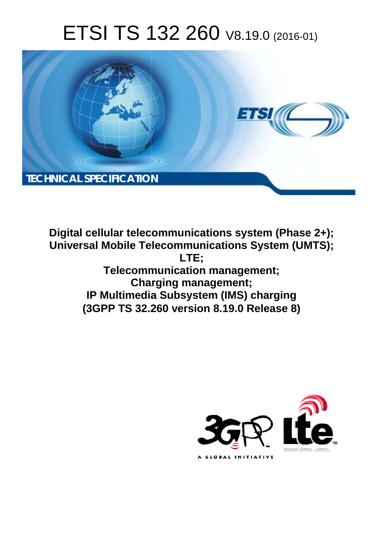# ETSI TS 132 260 V8.19.0 (2016-01)



**Digital cellular telecommunications system (Phase 2+); Universal Mobile Tel elecommunications System ( (UMTS); Telecomm munication management; Char arging management; IP Multimedia Subsystem (IMS) charging (3GPP TS 32.2 2.260 version 8.19.0 Release 8 8) LTE;** 

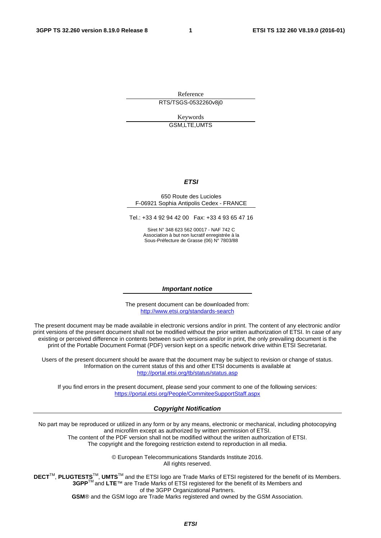Reference RTS/TSGS-0532260v8j0

> Keywords GSM,LTE,UMTS

#### *ETSI*

#### 650 Route des Lucioles F-06921 Sophia Antipolis Cedex - FRANCE

Tel.: +33 4 92 94 42 00 Fax: +33 4 93 65 47 16

Siret N° 348 623 562 00017 - NAF 742 C Association à but non lucratif enregistrée à la Sous-Préfecture de Grasse (06) N° 7803/88

#### *Important notice*

The present document can be downloaded from: <http://www.etsi.org/standards-search>

The present document may be made available in electronic versions and/or in print. The content of any electronic and/or print versions of the present document shall not be modified without the prior written authorization of ETSI. In case of any existing or perceived difference in contents between such versions and/or in print, the only prevailing document is the print of the Portable Document Format (PDF) version kept on a specific network drive within ETSI Secretariat.

Users of the present document should be aware that the document may be subject to revision or change of status. Information on the current status of this and other ETSI documents is available at <http://portal.etsi.org/tb/status/status.asp>

If you find errors in the present document, please send your comment to one of the following services: <https://portal.etsi.org/People/CommiteeSupportStaff.aspx>

#### *Copyright Notification*

No part may be reproduced or utilized in any form or by any means, electronic or mechanical, including photocopying and microfilm except as authorized by written permission of ETSI.

The content of the PDF version shall not be modified without the written authorization of ETSI. The copyright and the foregoing restriction extend to reproduction in all media.

> © European Telecommunications Standards Institute 2016. All rights reserved.

**DECT**TM, **PLUGTESTS**TM, **UMTS**TM and the ETSI logo are Trade Marks of ETSI registered for the benefit of its Members. **3GPP**TM and **LTE**™ are Trade Marks of ETSI registered for the benefit of its Members and of the 3GPP Organizational Partners.

**GSM**® and the GSM logo are Trade Marks registered and owned by the GSM Association.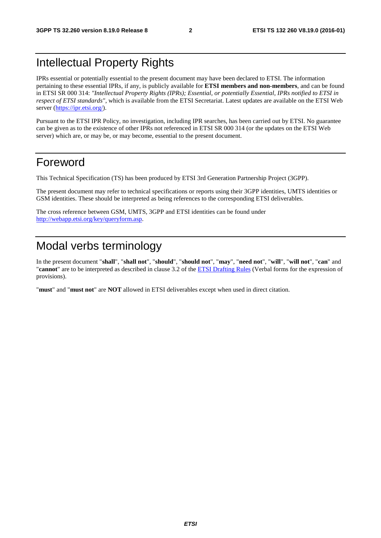### Intellectual Property Rights

IPRs essential or potentially essential to the present document may have been declared to ETSI. The information pertaining to these essential IPRs, if any, is publicly available for **ETSI members and non-members**, and can be found in ETSI SR 000 314: *"Intellectual Property Rights (IPRs); Essential, or potentially Essential, IPRs notified to ETSI in respect of ETSI standards"*, which is available from the ETSI Secretariat. Latest updates are available on the ETSI Web server [\(https://ipr.etsi.org/](https://ipr.etsi.org/)).

Pursuant to the ETSI IPR Policy, no investigation, including IPR searches, has been carried out by ETSI. No guarantee can be given as to the existence of other IPRs not referenced in ETSI SR 000 314 (or the updates on the ETSI Web server) which are, or may be, or may become, essential to the present document.

### Foreword

This Technical Specification (TS) has been produced by ETSI 3rd Generation Partnership Project (3GPP).

The present document may refer to technical specifications or reports using their 3GPP identities, UMTS identities or GSM identities. These should be interpreted as being references to the corresponding ETSI deliverables.

The cross reference between GSM, UMTS, 3GPP and ETSI identities can be found under [http://webapp.etsi.org/key/queryform.asp.](http://webapp.etsi.org/key/queryform.asp)

### Modal verbs terminology

In the present document "**shall**", "**shall not**", "**should**", "**should not**", "**may**", "**need not**", "**will**", "**will not**", "**can**" and "**cannot**" are to be interpreted as described in clause 3.2 of the [ETSI Drafting Rules](http://portal.etsi.org/Help/editHelp!/Howtostart/ETSIDraftingRules.aspx) (Verbal forms for the expression of provisions).

"**must**" and "**must not**" are **NOT** allowed in ETSI deliverables except when used in direct citation.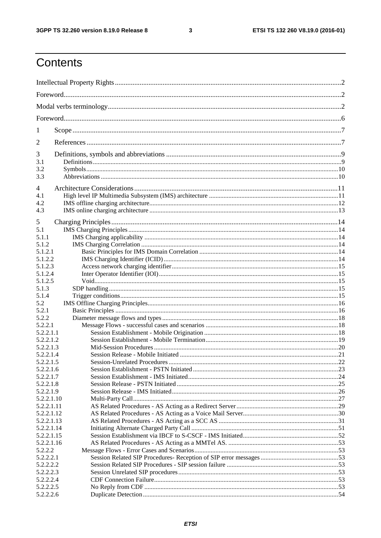$\mathbf{3}$ 

## Contents

| 1          |  |  |  |
|------------|--|--|--|
| 2          |  |  |  |
| 3          |  |  |  |
| 3.1        |  |  |  |
| 3.2        |  |  |  |
| 3.3        |  |  |  |
| 4          |  |  |  |
| 4.1        |  |  |  |
| 4.2        |  |  |  |
| 4.3        |  |  |  |
|            |  |  |  |
| 5          |  |  |  |
| 5.1        |  |  |  |
| 5.1.1      |  |  |  |
| 5.1.2      |  |  |  |
| 5.1.2.1    |  |  |  |
| 5.1.2.2    |  |  |  |
| 5.1.2.3    |  |  |  |
| 5.1.2.4    |  |  |  |
| 5.1.2.5    |  |  |  |
| 5.1.3      |  |  |  |
| 5.1.4      |  |  |  |
| 5.2        |  |  |  |
| 5.2.1      |  |  |  |
| 5.2.2      |  |  |  |
| 5.2.2.1    |  |  |  |
| 5.2.2.1.1  |  |  |  |
| 5.2.2.1.2  |  |  |  |
| 5.2.2.1.3  |  |  |  |
| 5.2.2.1.4  |  |  |  |
| 5.2.2.1.5  |  |  |  |
| 5.2.2.1.6  |  |  |  |
| 5.2.2.1.7  |  |  |  |
| 5.2.2.1.8  |  |  |  |
| 5.2.2.1.9  |  |  |  |
| 5.2.2.1.10 |  |  |  |
| 5.2.2.1.11 |  |  |  |
| 5.2.2.1.12 |  |  |  |
| 5.2.2.1.13 |  |  |  |
| 5.2.2.1.14 |  |  |  |
| 5.2.2.1.15 |  |  |  |
| 5.2.2.1.16 |  |  |  |
| 5.2.2.2    |  |  |  |
| 5.2.2.2.1  |  |  |  |
| 5.2.2.2.2  |  |  |  |
| 5.2.2.2.3  |  |  |  |
| 5.2.2.2.4  |  |  |  |
| 5.2.2.2.5  |  |  |  |
| 5.2.2.2.6  |  |  |  |
|            |  |  |  |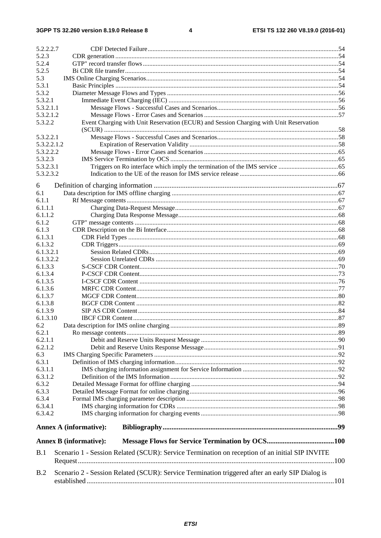$\overline{\mathbf{4}}$ 

| 5.2.2.2.7   |                                                                                                 |  |
|-------------|-------------------------------------------------------------------------------------------------|--|
| 5.2.3       |                                                                                                 |  |
| 5.2.4       |                                                                                                 |  |
| 5.2.5       |                                                                                                 |  |
| 5.3         |                                                                                                 |  |
| 5.3.1       |                                                                                                 |  |
| 5.3.2       |                                                                                                 |  |
| 5.3.2.1     |                                                                                                 |  |
| 5.3.2.1.1   |                                                                                                 |  |
| 5.3.2.1.2   |                                                                                                 |  |
| 5.3.2.2     | Event Charging with Unit Reservation (ECUR) and Session Charging with Unit Reservation          |  |
| 5.3.2.2.1   |                                                                                                 |  |
| 5.3.2.2.1.2 |                                                                                                 |  |
| 5.3.2.2.2   |                                                                                                 |  |
| 5.3.2.3     |                                                                                                 |  |
| 5.3.2.3.1   |                                                                                                 |  |
| 5.3.2.3.2   |                                                                                                 |  |
|             |                                                                                                 |  |
| 6           |                                                                                                 |  |
| 6.1         |                                                                                                 |  |
| 6.1.1       |                                                                                                 |  |
| 6.1.1.1     |                                                                                                 |  |
| 6.1.1.2     |                                                                                                 |  |
| 6.1.2       |                                                                                                 |  |
| 6.1.3       |                                                                                                 |  |
| 6.1.3.1     |                                                                                                 |  |
| 6.1.3.2     |                                                                                                 |  |
| 6.1.3.2.1   |                                                                                                 |  |
| 6.1.3.2.2   |                                                                                                 |  |
| 6.1.3.3     |                                                                                                 |  |
| 6.1.3.4     |                                                                                                 |  |
| 6.1.3.5     |                                                                                                 |  |
| 6.1.3.6     |                                                                                                 |  |
| 6.1.3.7     |                                                                                                 |  |
| 6.1.3.8     |                                                                                                 |  |
| 6.1.3.9     |                                                                                                 |  |
| 6.1.3.10    |                                                                                                 |  |
| 6.2         |                                                                                                 |  |
| 6.2.1       |                                                                                                 |  |
| 6.2.1.1     |                                                                                                 |  |
| 6.2.1.2     |                                                                                                 |  |
| 6.3         |                                                                                                 |  |
| 6.3.1       |                                                                                                 |  |
| 6.3.1.1     |                                                                                                 |  |
| 6.3.1.2     |                                                                                                 |  |
| 6.3.2       |                                                                                                 |  |
| 6.3.3       |                                                                                                 |  |
| 6.3.4       |                                                                                                 |  |
| 6.3.4.1     |                                                                                                 |  |
| 6.3.4.2     |                                                                                                 |  |
|             | <b>Annex A (informative):</b>                                                                   |  |
|             | <b>Annex B</b> (informative):                                                                   |  |
| B.1         | Scenario 1 - Session Related (SCUR): Service Termination on reception of an initial SIP INVITE  |  |
|             |                                                                                                 |  |
|             |                                                                                                 |  |
| B.2         | Scenario 2 - Session Related (SCUR): Service Termination triggered after an early SIP Dialog is |  |
|             |                                                                                                 |  |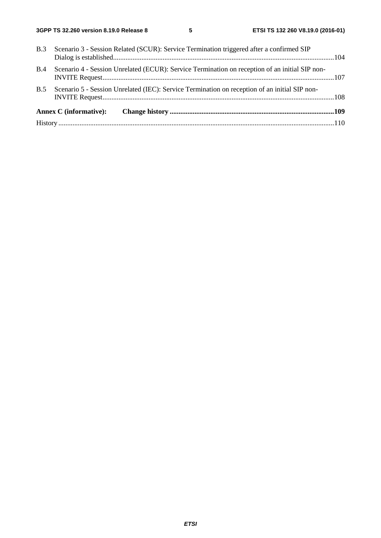|     | <b>Annex C</b> (informative):                                                                  |  |
|-----|------------------------------------------------------------------------------------------------|--|
| B.5 | Scenario 5 - Session Unrelated (IEC): Service Termination on reception of an initial SIP non-  |  |
| B.4 | Scenario 4 - Session Unrelated (ECUR): Service Termination on reception of an initial SIP non- |  |
| B.3 | Scenario 3 - Session Related (SCUR): Service Termination triggered after a confirmed SIP       |  |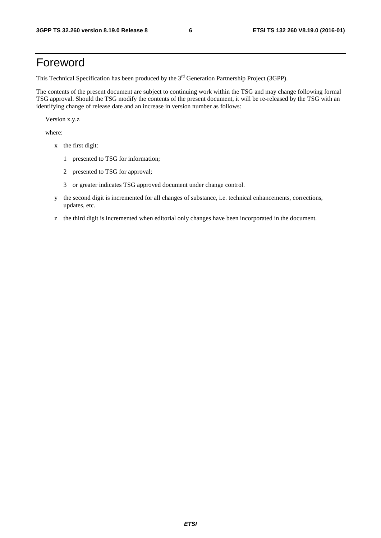### Foreword

This Technical Specification has been produced by the 3<sup>rd</sup> Generation Partnership Project (3GPP).

The contents of the present document are subject to continuing work within the TSG and may change following formal TSG approval. Should the TSG modify the contents of the present document, it will be re-released by the TSG with an identifying change of release date and an increase in version number as follows:

Version x.y.z

where:

- x the first digit:
	- 1 presented to TSG for information;
	- 2 presented to TSG for approval;
	- 3 or greater indicates TSG approved document under change control.
- y the second digit is incremented for all changes of substance, i.e. technical enhancements, corrections, updates, etc.
- z the third digit is incremented when editorial only changes have been incorporated in the document.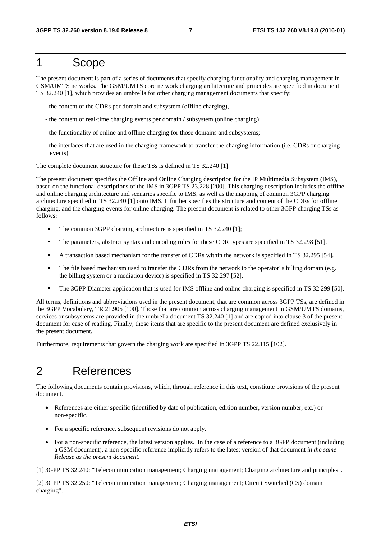### 1 Scope

The present document is part of a series of documents that specify charging functionality and charging management in GSM/UMTS networks. The GSM/UMTS core network charging architecture and principles are specified in document TS 32.240 [1], which provides an umbrella for other charging management documents that specify:

- the content of the CDRs per domain and subsystem (offline charging),
- the content of real-time charging events per domain / subsystem (online charging);
- the functionality of online and offline charging for those domains and subsystems;
- the interfaces that are used in the charging framework to transfer the charging information (i.e. CDRs or charging events)

The complete document structure for these TSs is defined in TS 32.240 [1].

The present document specifies the Offline and Online Charging description for the IP Multimedia Subsystem (IMS), based on the functional descriptions of the IMS in 3GPP TS 23.228 [200]. This charging description includes the offline and online charging architecture and scenarios specific to IMS, as well as the mapping of common 3GPP charging architecture specified in TS 32.240 [1] onto IMS. It further specifies the structure and content of the CDRs for offline charging, and the charging events for online charging. The present document is related to other 3GPP charging TSs as follows:

- The common 3GPP charging architecture is specified in TS 32.240 [1];<br>The parameters abstract syntax and encoding rules for these CDR types
- The parameters, abstract syntax and encoding rules for these CDR types are specified in TS 32.298 [51].<br>A transaction based mechanism for the transfer of CDRs within the network is specified in TS 32.295 [54]
- A transaction based mechanism for the transfer of CDRs within the network is specified in TS 32.295 [54].<br>The file based mechanism used to transfer the CDRs from the network to the operator"s billing domain (e.g.
- The file based mechanism used to transfer the CDRs from the network to the operator"s billing domain (e.g. the billing system or a mediation device) is specified in TS 32.297 [52].
- The 3GPP Diameter application that is used for IMS offline and online charging is specified in TS 32.299 [50].

All terms, definitions and abbreviations used in the present document, that are common across 3GPP TSs, are defined in the 3GPP Vocabulary, TR 21.905 [100]. Those that are common across charging management in GSM/UMTS domains, services or subsystems are provided in the umbrella document TS 32.240 [1] and are copied into clause 3 of the present document for ease of reading. Finally, those items that are specific to the present document are defined exclusively in the present document.

Furthermore, requirements that govern the charging work are specified in 3GPP TS 22.115 [102].

### 2 References

The following documents contain provisions, which, through reference in this text, constitute provisions of the present document.

- References are either specific (identified by date of publication, edition number, version number, etc.) or non-specific.
- For a specific reference, subsequent revisions do not apply.
- For a non-specific reference, the latest version applies. In the case of a reference to a 3GPP document (including a GSM document), a non-specific reference implicitly refers to the latest version of that document *in the same Release as the present document*.

[1] 3GPP TS 32.240: "Telecommunication management; Charging management; Charging architecture and principles".

[2] 3GPP TS 32.250: "Telecommunication management; Charging management; Circuit Switched (CS) domain charging".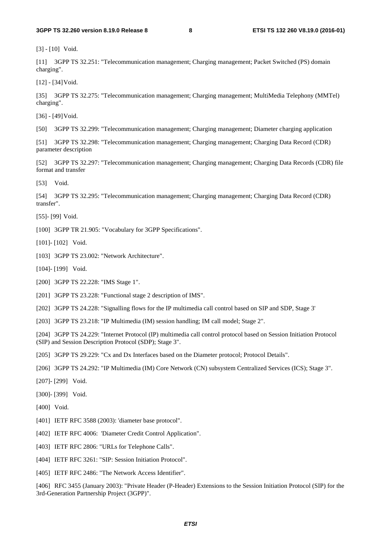[3] - [10] Void.

[11] 3GPP TS 32.251: "Telecommunication management; Charging management; Packet Switched (PS) domain charging".

[12] - [34] Void.

[35] 3GPP TS 32.275: "Telecommunication management; Charging management; MultiMedia Telephony (MMTel) charging".

[36] - [49] Void.

[50] 3GPP TS 32.299: "Telecommunication management; Charging management; Diameter charging application

[51] 3GPP TS 32.298: "Telecommunication management; Charging management; Charging Data Record (CDR) parameter description

[52] 3GPP TS 32.297: "Telecommunication management; Charging management; Charging Data Records (CDR) file format and transfer

[53] Void.

[54] 3GPP TS 32.295: "Telecommunication management; Charging management; Charging Data Record (CDR) transfer".

[55]- [99] Void.

[100] 3GPP TR 21.905: "Vocabulary for 3GPP Specifications".

[101]-[102] Void.

- [103] 3GPP TS 23.002: "Network Architecture".
- [104]-[199] Void.
- [200] 3GPP TS 22.228: "IMS Stage 1".
- [201] 3GPP TS 23.228: "Functional stage 2 description of IMS".

[202] 3GPP TS 24.228: "Signalling flows for the IP multimedia call control based on SIP and SDP, Stage 3'

[203] 3GPP TS 23.218: "IP Multimedia (IM) session handling; IM call model; Stage 2".

[204] 3GPP TS 24.229: "Internet Protocol (IP) multimedia call control protocol based on Session Initiation Protocol (SIP) and Session Description Protocol (SDP); Stage 3".

- [205] 3GPP TS 29.229: "Cx and Dx Interfaces based on the Diameter protocol; Protocol Details".
- [206] 3GPP TS 24.292: "IP Multimedia (IM) Core Network (CN) subsystem Centralized Services (ICS); Stage 3".
- [207]-[299] Void.
- [300]- [399] Void.
- [400] Void.
- [401] IETF RFC 3588 (2003): 'diameter base protocol".
- [402] IETF RFC 4006: 'Diameter Credit Control Application".
- [403] IETF RFC 2806: "URLs for Telephone Calls".
- [404] IETF RFC 3261: "SIP: Session Initiation Protocol".
- [405] IETF RFC 2486: "The Network Access Identifier".

[406] RFC 3455 (January 2003): "Private Header (P-Header) Extensions to the Session Initiation Protocol (SIP) for the 3rd-Generation Partnership Project (3GPP)".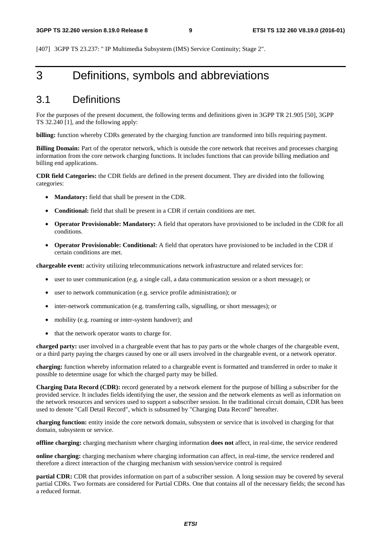[407] 3GPP TS 23.237: " IP Multimedia Subsystem (IMS) Service Continuity; Stage 2".

### 3 Definitions, symbols and abbreviations

### 3.1 Definitions

For the purposes of the present document, the following terms and definitions given in 3GPP TR 21.905 [50], 3GPP TS 32.240 [1], and the following apply:

**billing:** function whereby CDRs generated by the charging function are transformed into bills requiring payment.

**Billing Domain:** Part of the operator network, which is outside the core network that receives and processes charging information from the core network charging functions. It includes functions that can provide billing mediation and billing end applications.

**CDR field Categories:** the CDR fields are defined in the present document. They are divided into the following categories:

- **Mandatory:** field that shall be present in the CDR.
- **Conditional:** field that shall be present in a CDR if certain conditions are met.
- **Operator Provisionable: Mandatory:** A field that operators have provisioned to be included in the CDR for all conditions.
- **Operator Provisionable: Conditional:** A field that operators have provisioned to be included in the CDR if certain conditions are met.

**chargeable event:** activity utilizing telecommunications network infrastructure and related services for:

- user to user communication (e.g. a single call, a data communication session or a short message); or
- user to network communication (e.g. service profile administration); or
- inter-network communication (e.g. transferring calls, signalling, or short messages); or
- mobility (e.g. roaming or inter-system handover); and
- that the network operator wants to charge for.

**charged party:** user involved in a chargeable event that has to pay parts or the whole charges of the chargeable event, or a third party paying the charges caused by one or all users involved in the chargeable event, or a network operator.

**charging:** function whereby information related to a chargeable event is formatted and transferred in order to make it possible to determine usage for which the charged party may be billed.

**Charging Data Record (CDR):** record generated by a network element for the purpose of billing a subscriber for the provided service. It includes fields identifying the user, the session and the network elements as well as information on the network resources and services used to support a subscriber session. In the traditional circuit domain, CDR has been used to denote "Call Detail Record", which is subsumed by "Charging Data Record" hereafter.

**charging function:** entity inside the core network domain, subsystem or service that is involved in charging for that domain, subsystem or service.

**offline charging:** charging mechanism where charging information **does not** affect, in real-time, the service rendered

**online charging:** charging mechanism where charging information can affect, in real-time, the service rendered and therefore a direct interaction of the charging mechanism with session/service control is required

**partial CDR:** CDR that provides information on part of a subscriber session. A long session may be covered by several partial CDRs. Two formats are considered for Partial CDRs. One that contains all of the necessary fields; the second has a reduced format.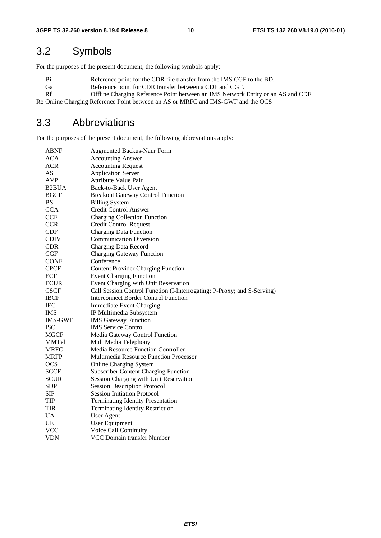### 3.2 Symbols

For the purposes of the present document, the following symbols apply:

| - Bi | Reference point for the CDR file transfer from the IMS CGF to the BD.           |
|------|---------------------------------------------------------------------------------|
| Ga   | Reference point for CDR transfer between a CDF and CGF.                         |
| - Rf | Offline Charging Reference Point between an IMS Network Entity or an AS and CDF |

Ro Online Charging Reference Point between an AS or MRFC and IMS-GWF and the OCS

### 3.3 Abbreviations

For the purposes of the present document, the following abbreviations apply:

| <b>ABNF</b>    | <b>Augmented Backus-Naur Form</b>                                       |
|----------------|-------------------------------------------------------------------------|
| <b>ACA</b>     | <b>Accounting Answer</b>                                                |
| <b>ACR</b>     | <b>Accounting Request</b>                                               |
| AS             | <b>Application Server</b>                                               |
| <b>AVP</b>     | <b>Attribute Value Pair</b>                                             |
| <b>B2BUA</b>   | Back-to-Back User Agent                                                 |
| <b>BGCF</b>    | <b>Breakout Gateway Control Function</b>                                |
| <b>BS</b>      | <b>Billing System</b>                                                   |
| <b>CCA</b>     | <b>Credit Control Answer</b>                                            |
| <b>CCF</b>     | <b>Charging Collection Function</b>                                     |
| <b>CCR</b>     | Credit Control Request                                                  |
| <b>CDF</b>     | <b>Charging Data Function</b>                                           |
| <b>CDIV</b>    | <b>Communication Diversion</b>                                          |
| <b>CDR</b>     | Charging Data Record                                                    |
| CGF            | <b>Charging Gateway Function</b>                                        |
| <b>CONF</b>    | Conference                                                              |
| <b>CPCF</b>    | <b>Content Provider Charging Function</b>                               |
| <b>ECF</b>     | <b>Event Charging Function</b>                                          |
| <b>ECUR</b>    | Event Charging with Unit Reservation                                    |
| <b>CSCF</b>    | Call Session Control Function (I-Interrogating; P-Proxy; and S-Serving) |
| <b>IBCF</b>    | <b>Interconnect Border Control Function</b>                             |
| IEC            | Immediate Event Charging                                                |
| <b>IMS</b>     | IP Multimedia Subsystem                                                 |
| <b>IMS-GWF</b> | <b>IMS</b> Gateway Function                                             |
| <b>ISC</b>     | <b>IMS</b> Service Control                                              |
| MGCF           | Media Gateway Control Function                                          |
| MMTel          | MultiMedia Telephony                                                    |
| <b>MRFC</b>    | <b>Media Resource Function Controller</b>                               |
| <b>MRFP</b>    | <b>Multimedia Resource Function Processor</b>                           |
| <b>OCS</b>     | <b>Online Charging System</b>                                           |
| <b>SCCF</b>    | <b>Subscriber Content Charging Function</b>                             |
| <b>SCUR</b>    | Session Charging with Unit Reservation                                  |
| <b>SDP</b>     | <b>Session Description Protocol</b>                                     |
| <b>SIP</b>     | <b>Session Initiation Protocol</b>                                      |
| TIP            | <b>Terminating Identity Presentation</b>                                |
| <b>TIR</b>     | <b>Terminating Identity Restriction</b>                                 |
| <b>UA</b>      | User Agent                                                              |
| UE             | User Equipment                                                          |
| <b>VCC</b>     | Voice Call Continuity                                                   |
| <b>VDN</b>     | VCC Domain transfer Number                                              |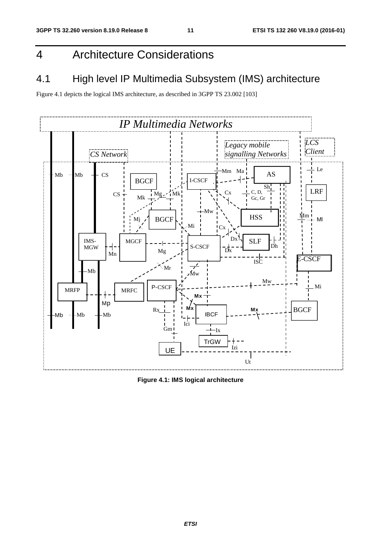### 4 Architecture Considerations

### 4.1 High level IP Multimedia Subsystem (IMS) architecture

Figure 4.1 depicts the logical IMS architecture, as described in 3GPP TS 23.002 [103]



**Figure 4.1: IMS logical architecture**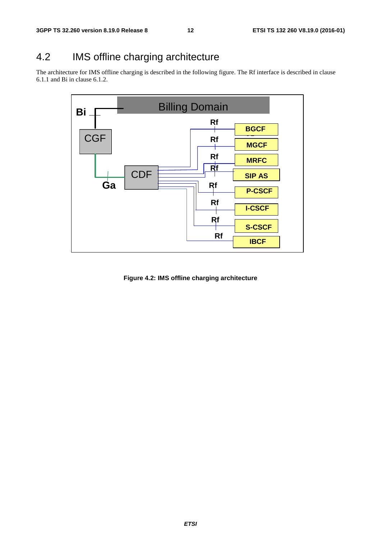### 4.2 IMS offline charging architecture

The architecture for IMS offline charging is described in the following figure. The Rf interface is described in clause 6.1.1 and Bi in clause 6.1.2.



**Figure 4.2: IMS offline charging architecture**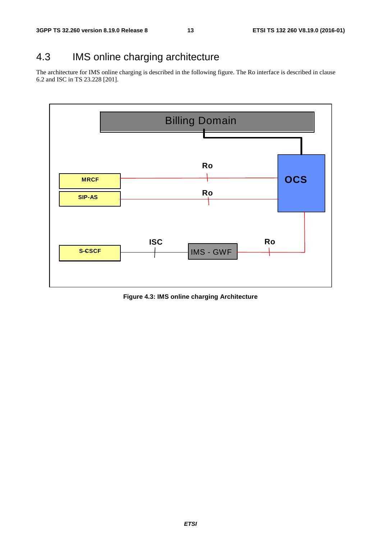### 4.3 IMS online charging architecture

The architecture for IMS online charging is described in the following figure. The Ro interface is described in clause 6.2 and ISC in TS 23.228 [201].



**Figure 4.3: IMS online charging Architecture**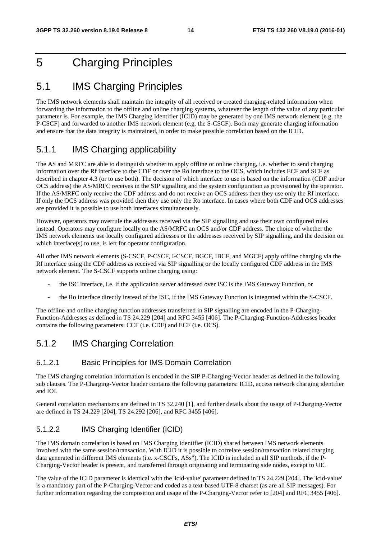## 5 Charging Principles

### 5.1 IMS Charging Principles

The IMS network elements shall maintain the integrity of all received or created charging-related information when forwarding the information to the offline and online charging systems, whatever the length of the value of any particular parameter is. For example, the IMS Charging Identifier (ICID) may be generated by one IMS network element (e.g. the P-CSCF) and forwarded to another IMS network element (e.g. the S-CSCF). Both may generate charging information and ensure that the data integrity is maintained, in order to make possible correlation based on the ICID.

### 5.1.1 IMS Charging applicability

The AS and MRFC are able to distinguish whether to apply offline or online charging, i.e. whether to send charging information over the Rf interface to the CDF or over the Ro interface to the OCS, which includes ECF and SCF as described in chapter 4.3 (or to use both). The decision of which interface to use is based on the information (CDF and/or OCS address) the AS/MRFC receives in the SIP signalling and the system configuration as provisioned by the operator. If the AS/MRFC only receive the CDF address and do not receive an OCS address then they use only the Rf interface. If only the OCS address was provided then they use only the Ro interface. In cases where both CDF and OCS addresses are provided it is possible to use both interfaces simultaneously.

However, operators may overrule the addresses received via the SIP signalling and use their own configured rules instead. Operators may configure locally on the AS/MRFC an OCS and/or CDF address. The choice of whether the IMS network elements use locally configured addresses or the addresses received by SIP signalling, and the decision on which interface(s) to use, is left for operator configuration.

All other IMS network elements (S-CSCF, P-CSCF, I-CSCF, BGCF, IBCF, and MGCF) apply offline charging via the Rf interface using the CDF address as received via SIP signalling or the locally configured CDF address in the IMS network element. The S-CSCF supports online charging using:

- the ISC interface, i.e. if the application server addressed over ISC is the IMS Gateway Function, or
- the Ro interface directly instead of the ISC, if the IMS Gateway Function is integrated within the S-CSCF.

The offline and online charging function addresses transferred in SIP signalling are encoded in the P-Charging-Function-Addresses as defined in TS 24.229 [204] and RFC 3455 [406]. The P-Charging-Function-Addresses header contains the following parameters: CCF (i.e. CDF) and ECF (i.e. OCS).

### 5.1.2 IMS Charging Correlation

#### 5.1.2.1 Basic Principles for IMS Domain Correlation

The IMS charging correlation information is encoded in the SIP P-Charging-Vector header as defined in the following sub clauses. The P-Charging-Vector header contains the following parameters: ICID, access network charging identifier and IOI.

General correlation mechanisms are defined in TS 32.240 [1], and further details about the usage of P-Charging-Vector are defined in TS 24.229 [204], TS 24.292 [206], and RFC 3455 [406].

#### 5.1.2.2 IMS Charging Identifier (ICID)

The IMS domain correlation is based on IMS Charging Identifier (ICID) shared between IMS network elements involved with the same session/transaction. With ICID it is possible to correlate session/transaction related charging data generated in different IMS elements (i.e. x-CSCFs, ASs"). The ICID is included in all SIP methods, if the P-Charging-Vector header is present, and transferred through originating and terminating side nodes, except to UE.

The value of the ICID parameter is identical with the 'icid-value' parameter defined in TS 24.229 [204]. The 'icid-value' is a mandatory part of the P-Charging-Vector and coded as a text-based UTF-8 charset (as are all SIP messages). For further information regarding the composition and usage of the P-Charging-Vector refer to [204] and RFC 3455 [406].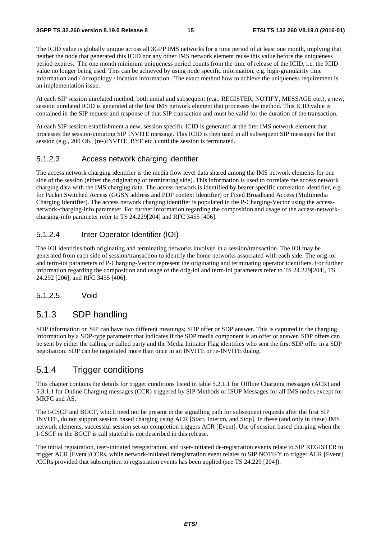#### **3GPP TS 32.260 version 8.19.0 Release 8 15 ETSI TS 132 260 V8.19.0 (2016-01)**

The ICID value is globally unique across all 3GPP IMS networks for a time period of at least one month, implying that neither the node that generated this ICID nor any other IMS network element reuse this value before the uniqueness period expires. The one month minimum uniqueness period counts from the time of release of the ICID, i.e. the ICID value no longer being used. This can be achieved by using node specific information, e.g. high-granularity time information and / or topology / location information. The exact method how to achieve the uniqueness requirement is an implementation issue.

At each SIP session unrelated method, both initial and subsequent (e.g., REGISTER, NOTIFY, MESSAGE etc.), a new, session unrelated ICID is generated at the first IMS network element that processes the method. This ICID value is contained in the SIP request and response of that SIP transaction and must be valid for the duration of the transaction.

At each SIP session establishment a new, session specific ICID is generated at the first IMS network element that processes the session-initiating SIP INVITE message. This ICID is then used in all subsequent SIP messages for that session (e.g., 200 OK, (re-)INVITE, BYE etc.) until the session is terminated.

#### 5.1.2.3 Access network charging identifier

The access network charging identifier is the media flow level data shared among the IMS network elements for one side of the session (either the originating or terminating side). This information is used to correlate the access network charging data with the IMS charging data. The access network is identified by bearer specific correlation identifier, e.g. for Packet Switched Access (GGSN address and PDP context Identifier) or Fixed Broadband Access (Multimedia Charging Identifier). The access network charging identifier is populated in the P-Charging-Vector using the accessnetwork-charging-info parameter. For further information regarding the composition and usage of the access-networkcharging-info parameter refer to TS 24.229[204] and RFC 3455 [406].

#### 5.1.2.4 Inter Operator Identifier (IOI)

The IOI identifies both originating and terminating networks involved in a session/transaction. The IOI may be generated from each side of session/transaction to identify the home networks associated with each side. The orig-ioi and term-ioi parameters of P-Charging-Vector represent the originating and terminating operator identifiers. For further information regarding the composition and usage of the orig-ioi and term-ioi parameters refer to TS 24.229[204], TS 24.292 [206], and RFC 3455 [406].

#### 5.1.2.5 Void

### 5.1.3 SDP handling

SDP information on SIP can have two different meanings; SDP offer or SDP answer. This is captured in the charging information by a SDP-type parameter that indicates if the SDP media component is an offer or answer. SDP offers can be sent by either the calling or called party and the Media Initiator Flag identifies who sent the first SDP offer in a SDP negotiation. SDP can be negotiated more than once in an INVITE or re-INVITE dialog,

#### 5.1.4 Trigger conditions

This chapter contains the details for trigger conditions listed in table 5.2.1.1 for Offline Charging messages (ACR) and 5.3.1.1 for Online Charging messages (CCR) triggered by SIP Methods or ISUP Messages for all IMS nodes except for MRFC and AS.

The I-CSCF and BGCF, which need not be present in the signalling path for subsequent requests after the first SIP INVITE, do not support session based charging using ACR [Start, Interim, and Stop]. In these (and only in these) IMS network elements, successful session set-up completion triggers ACR [Event]. Use of session based charging when the I-CSCF or the BGCF is call stateful is not described in this release.

The initial registration, user-initiated reregistration, and user-initiated de-registration events relate to SIP REGISTER to trigger ACR [Event]/CCRs, while network-initiated deregistration event relates to SIP NOTIFY to trigger ACR [Event] /CCRs provided that subscription to registration events has been applied (see TS 24.229 [204]).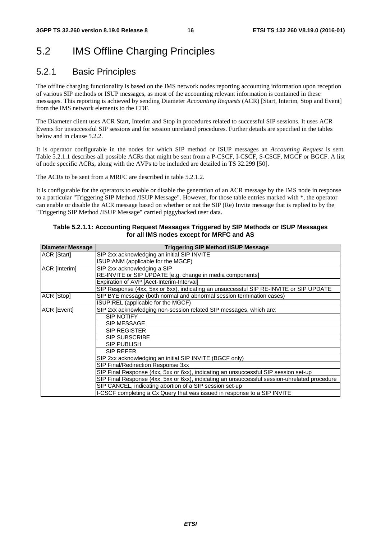### 5.2 IMS Offline Charging Principles

### 5.2.1 Basic Principles

The offline charging functionality is based on the IMS network nodes reporting accounting information upon reception of various SIP methods or ISUP messages, as most of the accounting relevant information is contained in these messages. This reporting is achieved by sending Diameter *Accounting Requests* (ACR) [Start, Interim, Stop and Event] from the IMS network elements to the CDF.

The Diameter client uses ACR Start, Interim and Stop in procedures related to successful SIP sessions. It uses ACR Events for unsuccessful SIP sessions and for session unrelated procedures. Further details are specified in the tables below and in clause 5.2.2.

It is operator configurable in the nodes for which SIP method or ISUP messages an *Accounting Request* is sent. Table 5.2.1.1 describes all possible ACRs that might be sent from a P-CSCF, I-CSCF, S-CSCF, MGCF or BGCF. A list of node specific ACRs, along with the AVPs to be included are detailed in TS 32.299 [50].

The ACRs to be sent from a MRFC are described in table 5.2.1.2.

It is configurable for the operators to enable or disable the generation of an ACR message by the IMS node in response to a particular "Triggering SIP Method /ISUP Message". However, for those table entries marked with \*, the operator can enable or disable the ACR message based on whether or not the SIP (Re) Invite message that is replied to by the "Triggering SIP Method /ISUP Message" carried piggybacked user data.

#### **Table 5.2.1.1: Accounting Request Messages Triggered by SIP Methods or ISUP Messages for all IMS nodes except for MRFC and AS**

| <b>Diameter Message</b> | <b>Triggering SIP Method /ISUP Message</b>                                                   |
|-------------------------|----------------------------------------------------------------------------------------------|
| ACR [Start]             | SIP 2xx acknowledging an initial SIP INVITE                                                  |
|                         | ISUP:ANM (applicable for the MGCF)                                                           |
| ACR [Interim]           | SIP 2xx acknowledging a SIP                                                                  |
|                         | RE-INVITE or SIP UPDATE [e.g. change in media components]                                    |
|                         | Expiration of AVP [Acct-Interim-Interval]                                                    |
|                         | SIP Response (4xx, 5xx or 6xx), indicating an unsuccessful SIP RE-INVITE or SIP UPDATE       |
| ACR [Stop]              | SIP BYE message (both normal and abnormal session termination cases)                         |
|                         | ISUP:REL (applicable for the MGCF)                                                           |
| ACR [Event]             | SIP 2xx acknowledging non-session related SIP messages, which are:                           |
|                         | <b>SIP NOTIFY</b>                                                                            |
|                         | <b>SIP MESSAGE</b>                                                                           |
|                         | SIP REGISTER                                                                                 |
|                         | <b>SIP SUBSCRIBE</b>                                                                         |
|                         | <b>SIP PUBLISH</b>                                                                           |
|                         | SIP REFER                                                                                    |
|                         | SIP 2xx acknowledging an initial SIP INVITE (BGCF only)                                      |
|                         | SIP Final/Redirection Response 3xx                                                           |
|                         | SIP Final Response (4xx, 5xx or 6xx), indicating an unsuccessful SIP session set-up          |
|                         | SIP Final Response (4xx, 5xx or 6xx), indicating an unsuccessful session-unrelated procedure |
|                         | SIP CANCEL, indicating abortion of a SIP session set-up                                      |
|                         | I-CSCF completing a Cx Query that was issued in response to a SIP INVITE                     |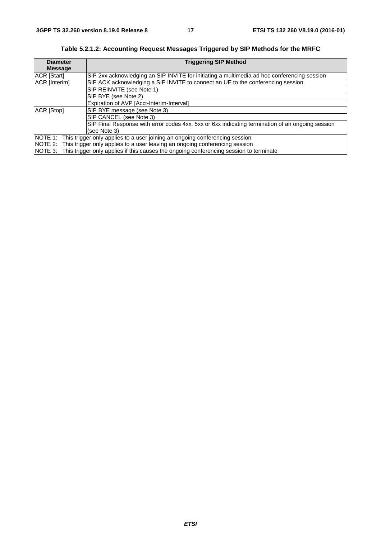| <b>Diameter</b><br><b>Message</b> | <b>Triggering SIP Method</b>                                                                     |
|-----------------------------------|--------------------------------------------------------------------------------------------------|
| ACR [Start]                       | SIP 2xx acknowledging an SIP INVITE for initiating a multimedia ad hoc conferencing session      |
| ACR [Interim]                     | SIP ACK acknowledging a SIP INVITE to connect an UE to the conferencing session                  |
|                                   | SIP REINVITE (see Note 1)                                                                        |
|                                   | SIP BYE (see Note 2)                                                                             |
|                                   | Expiration of AVP [Acct-Interim-Interval]                                                        |
| ACR [Stop]                        | SIP BYE message (see Note 3)                                                                     |
|                                   | SIP CANCEL (see Note 3)                                                                          |
|                                   | SIP Final Response with error codes 4xx, 5xx or 6xx indicating termination of an ongoing session |
|                                   | (see Note 3)                                                                                     |
|                                   | NOTE 1: This trigger only applies to a user joining an ongoing conferencing session              |
|                                   | NOTE 2: This trigger only applies to a user leaving an ongoing conferencing session              |
|                                   | NOTE 3: This trigger only applies if this causes the ongoing conferencing session to terminate   |

**Table 5.2.1.2: Accounting Request Messages Triggered by SIP Methods for the MRFC**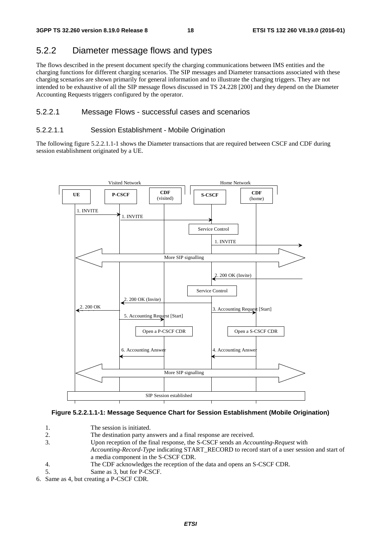### 5.2.2 Diameter message flows and types

The flows described in the present document specify the charging communications between IMS entities and the charging functions for different charging scenarios. The SIP messages and Diameter transactions associated with these charging scenarios are shown primarily for general information and to illustrate the charging triggers. They are not intended to be exhaustive of all the SIP message flows discussed in TS 24.228 [200] and they depend on the Diameter Accounting Requests triggers configured by the operator.

#### 5.2.2.1 Message Flows - successful cases and scenarios

#### 5.2.2.1.1 Session Establishment - Mobile Origination

The following figure 5.2.2.1.1-1 shows the Diameter transactions that are required between CSCF and CDF during session establishment originated by a UE.



#### **Figure 5.2.2.1.1-1: Message Sequence Chart for Session Establishment (Mobile Origination)**

- 1. The session is initiated.
- 2. The destination party answers and a final response are received.
- 3. Upon reception of the final response, the S-CSCF sends an *Accounting-Request* with *Accounting-Record-Type* indicating START\_RECORD to record start of a user session and start of a media component in the S-CSCF CDR.
- 4. The CDF acknowledges the reception of the data and opens an S-CSCF CDR.
- 5. Same as 3, but for P-CSCF.
- 6. Same as 4, but creating a P-CSCF CDR.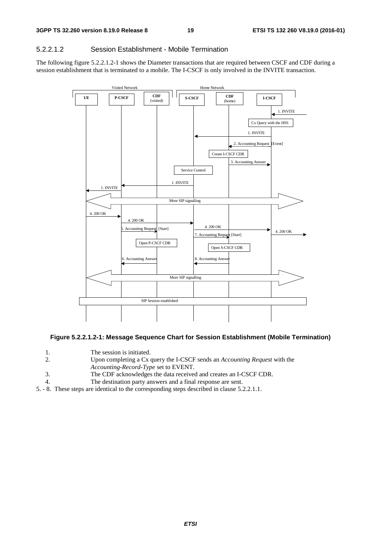#### 5.2.2.1.2 Session Establishment - Mobile Termination

The following figure 5.2.2.1.2-1 shows the Diameter transactions that are required between CSCF and CDF during a session establishment that is terminated to a mobile. The I-CSCF is only involved in the INVITE transaction.



#### **Figure 5.2.2.1.2-1: Message Sequence Chart for Session Establishment (Mobile Termination)**

- 1. The session is initiated.<br>2. Upon completing a Cx q
- 2. Upon completing a Cx query the I-CSCF sends an *Accounting Request* with the
- *Accounting-Record-Type* set to EVENT.
- 3. The CDF acknowledges the data received and creates an I-CSCF CDR.
- 4. The destination party answers and a final response are sent.
- 5. 8. These steps are identical to the corresponding steps described in clause 5.2.2.1.1.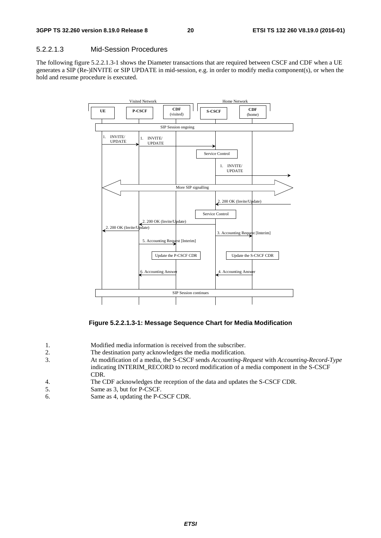#### 5.2.2.1.3 Mid-Session Procedures

The following figure 5.2.2.1.3-1 shows the Diameter transactions that are required between CSCF and CDF when a UE generates a SIP (Re-)INVITE or SIP UPDATE in mid-session, e.g. in order to modify media component(s), or when the hold and resume procedure is executed.



**Figure 5.2.2.1.3-1: Message Sequence Chart for Media Modification** 

- 2. The destination party acknowledges the media modification.
- 3. At modification of a media, the S-CSCF sends *Accounting-Request* with *Accounting-Record-Type* indicating INTERIM\_RECORD to record modification of a media component in the S-CSCF CDR.
- 4. The CDF acknowledges the reception of the data and updates the S-CSCF CDR.
- 5. Same as 3, but for P-CSCF.<br>6. Same as 4, undating the P-C
- Same as 4, updating the P-CSCF CDR.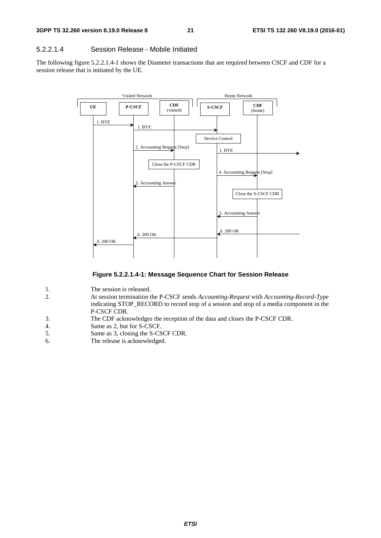#### 5.2.2.1.4 Session Release - Mobile Initiated

The following figure 5.2.2.1.4-1 shows the Diameter transactions that are required between CSCF and CDF for a session release that is initiated by the UE.



#### **Figure 5.2.2.1.4-1: Message Sequence Chart for Session Release**

- 1. The session is released.<br>2. At session termination t
	- 2. At session termination the P-CSCF sends *Accounting-Request* with *Accounting-Record-Type* indicating STOP\_RECORD to record stop of a session and stop of a media component in the P-CSCF CDR.
- 3. The CDF acknowledges the reception of the data and closes the P-CSCF CDR.
- 4. Same as 2, but for S-CSCF.
- 5. Same as 3, closing the S-CSCF CDR.
- 6. The release is acknowledged.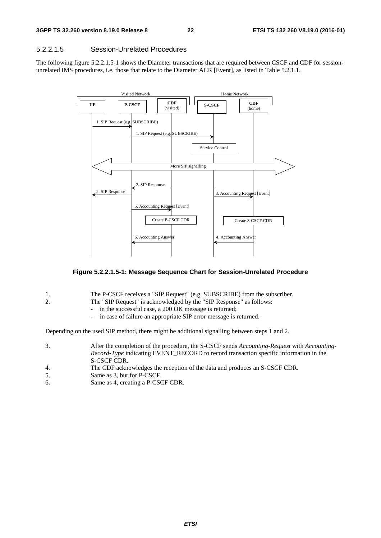#### 5.2.2.1.5 Session-Unrelated Procedures

The following figure 5.2.2.1.5-1 shows the Diameter transactions that are required between CSCF and CDF for sessionunrelated IMS procedures, i.e. those that relate to the Diameter ACR [Event], as listed in Table 5.2.1.1.



#### **Figure 5.2.2.1.5-1: Message Sequence Chart for Session-Unrelated Procedure**

| The P-CSCF receives a "SIP Request" (e.g. SUBSCRIBE) from the subscriber. |  |
|---------------------------------------------------------------------------|--|
|---------------------------------------------------------------------------|--|

- 2. The "SIP Request" is acknowledged by the "SIP Response" as follows:
	- in the successful case, a 200 OK message is returned;
	- in case of failure an appropriate SIP error message is returned.

Depending on the used SIP method, there might be additional signalling between steps 1 and 2.

|    | After the completion of the procedure, the S-CSCF sends Accounting-Request with Accounting-<br>Record-Type indicating EVENT_RECORD to record transaction specific information in the<br>S-CSCF CDR. |
|----|-----------------------------------------------------------------------------------------------------------------------------------------------------------------------------------------------------|
| 4. | The CDF acknowledges the reception of the data and produces an S-CSCF CDR.                                                                                                                          |
| 5. | Same as 3, but for P-CSCF.                                                                                                                                                                          |

6. Same as 4, creating a P-CSCF CDR.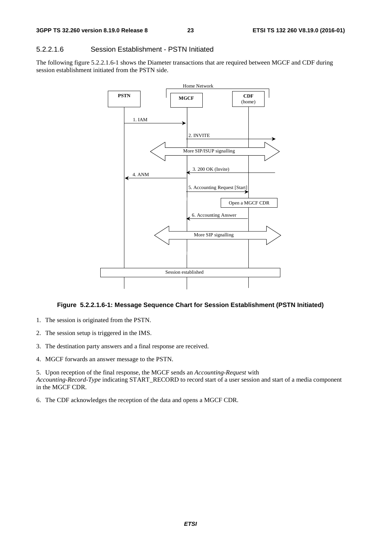#### 5.2.2.1.6 Session Establishment - PSTN Initiated

The following figure 5.2.2.1.6-1 shows the Diameter transactions that are required between MGCF and CDF during session establishment initiated from the PSTN side.



#### **Figure 5.2.2.1.6-1: Message Sequence Chart for Session Establishment (PSTN Initiated)**

- 1. The session is originated from the PSTN.
- 2. The session setup is triggered in the IMS.
- 3. The destination party answers and a final response are received.
- 4. MGCF forwards an answer message to the PSTN.

5. Upon reception of the final response, the MGCF sends an *Accounting-Request* with *Accounting-Record-Type* indicating START\_RECORD to record start of a user session and start of a media component in the MGCF CDR.

6. The CDF acknowledges the reception of the data and opens a MGCF CDR.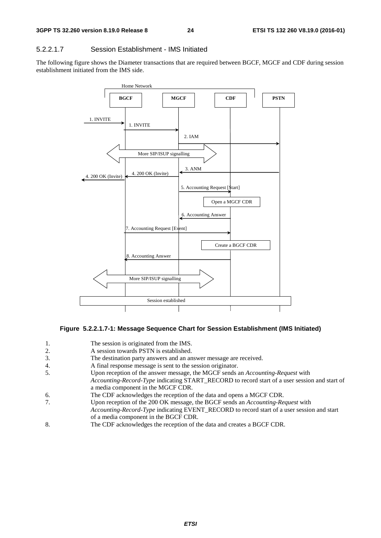#### 5.2.2.1.7 Session Establishment - IMS Initiated

The following figure shows the Diameter transactions that are required between BGCF, MGCF and CDF during session establishment initiated from the IMS side.



#### **Figure 5.2.2.1.7-1: Message Sequence Chart for Session Establishment (IMS Initiated)**

- 1. The session is originated from the IMS.
- 2. A session towards PSTN is established.
- 3. The destination party answers and an answer message are received.
- 4. A final response message is sent to the session originator.
- 5. Upon reception of the answer message, the MGCF sends an *Accounting-Request* with
	- *Accounting-Record-Type* indicating START\_RECORD to record start of a user session and start of a media component in the MGCF CDR.
- 6. The CDF acknowledges the reception of the data and opens a MGCF CDR.
- 7. Upon reception of the 200 OK message, the BGCF sends an *Accounting-Request* with
- *Accounting-Record-Type* indicating EVENT\_RECORD to record start of a user session and start of a media component in the BGCF CDR.
- 8. The CDF acknowledges the reception of the data and creates a BGCF CDR.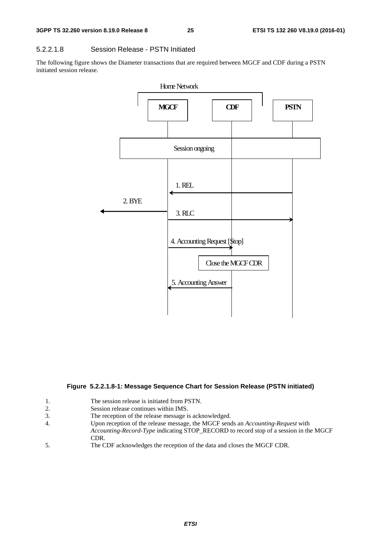#### 5.2.2.1.8 Session Release - PSTN Initiated

The following figure shows the Diameter transactions that are required between MGCF and CDF during a PSTN initiated session release.



#### **Figure 5.2.2.1.8-1: Message Sequence Chart for Session Release (PSTN initiated)**

- 1. The session release is initiated from PSTN.<br>2. Session release continues within IMS.
- Session release continues within IMS.
- 3. The reception of the release message is acknowledged.
- 4. Upon reception of the release message, the MGCF sends an *Accounting-Request* with *Accounting-Record-Type* indicating STOP\_RECORD to record stop of a session in the MGCF CDR.
- 5. The CDF acknowledges the reception of the data and closes the MGCF CDR.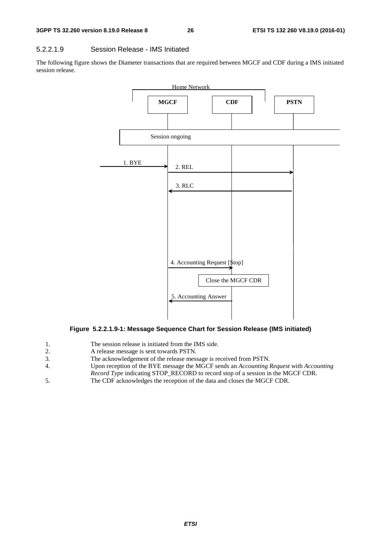#### 5.2.2.1.9 Session Release - IMS Initiated

The following figure shows the Diameter transactions that are required between MGCF and CDF during a IMS initiated session release.



#### **Figure 5.2.2.1.9-1: Message Sequence Chart for Session Release (IMS initiated)**

- 1. The session release is initiated from the IMS side.
- 2. A release message is sent towards PSTN.
- 3. The acknowledgement of the release message is received from PSTN.
- 4. Upon reception of the BYE message the MGCF sends an *Accounting Request* with *Accounting Record Type* indicating STOP\_RECORD to record stop of a session in the MGCF CDR.
- 5. The CDF acknowledges the reception of the data and closes the MGCF CDR.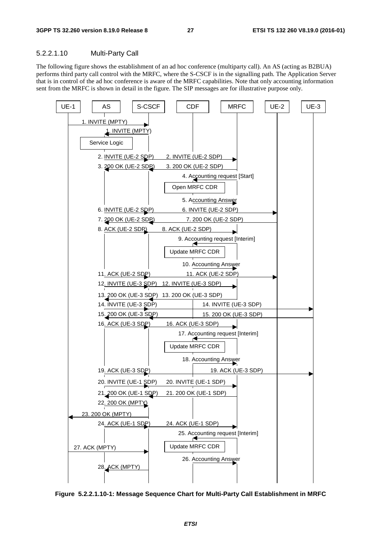#### 5.2.2.1.10 Multi-Party Call

The following figure shows the establishment of an ad hoc conference (multiparty call). An AS (acting as B2BUA) performs third party call control with the MRFC, where the S-CSCF is in the signalling path. The Application Server that is in control of the ad hoc conference is aware of the MRFC capabilities. Note that only accounting information sent from the MRFC is shown in detail in the figure. The SIP messages are for illustrative purpose only.



**Figure 5.2.2.1.10-1: Message Sequence Chart for Multi-Party Call Establishment in MRFC**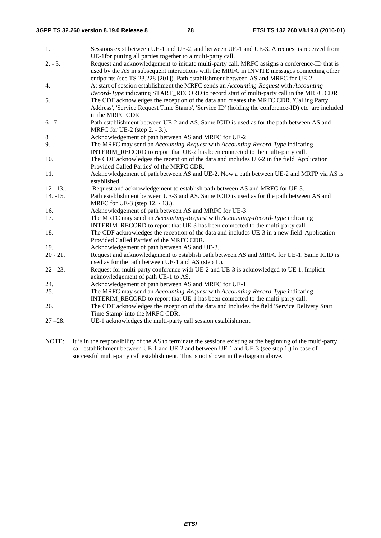- 1. Sessions exist between UE-1 and UE-2, and between UE-1 and UE-3. A request is received from UE-1for putting all parties together to a multi-party call.
- 2. 3. Request and acknowledgement to initiate multi-party call. MRFC assigns a conference-ID that is used by the AS in subsequent interactions with the MRFC in INVITE messages connecting other endpoints (see TS 23.228 [201]). Path establishment between AS and MRFC for UE-2.
- 4. At start of session establishment the MRFC sends an *Accounting-Request* with *Accounting-Record-Type* indicating START\_RECORD to record start of multi-party call in the MRFC CDR
- 5. The CDF acknowledges the reception of the data and creates the MRFC CDR. 'Calling Party Address', 'Service Request Time Stamp', 'Service ID' (holding the conference-ID) etc. are included in the MRFC CDR
- 6 7. Path establishment between UE-2 and AS. Same ICID is used as for the path between AS and MRFC for UE-2 (step 2. - 3.).
- 8 Acknowledgement of path between AS and MRFC for UE-2.
- 9. The MRFC may send an *Accounting-Request* with *Accounting-Record-Type* indicating INTERIM\_RECORD to report that UE-2 has been connected to the multi-party call.
- 10. The CDF acknowledges the reception of the data and includes UE-2 in the field 'Application Provided Called Parties' of the MRFC CDR.
- 11. Acknowledgement of path between AS and UE-2. Now a path between UE-2 and MRFP via AS is established.
- 12 13.. Request and acknowledgement to establish path between AS and MRFC for UE-3.<br>14. -15. Path establishment between UE-3 and AS. Same ICID is used as for the path between
- Path establishment between UE-3 and AS. Same ICID is used as for the path between AS and MRFC for UE-3 (step 12. - 13.).
- 16. Acknowledgement of path between AS and MRFC for UE-3.<br>17. The MRFC may send an *Accounting-Request* with *Accounting*
- 17. The MRFC may send an *Accounting-Request* with *Accounting-Record-Type* indicating INTERIM\_RECORD to report that UE-3 has been connected to the multi-party call.
- 18. The CDF acknowledges the reception of the data and includes UE-3 in a new field 'Application Provided Called Parties' of the MRFC CDR.
- 19. Acknowledgement of path between AS and UE-3.
- 20 21. Request and acknowledgement to establish path between AS and MRFC for UE-1. Same ICID is used as for the path between UE-1 and AS (step 1.).
- 22 23. Request for multi-party conference with UE-2 and UE-3 is acknowledged to UE 1. Implicit acknowledgement of path UE-1 to AS.
- 24. Acknowledgement of path between AS and MRFC for UE-1.
- 25. The MRFC may send an *Accounting-Request* with *Accounting-Record-Type* indicating INTERIM\_RECORD to report that UE-1 has been connected to the multi-party call.
- 26. The CDF acknowledges the reception of the data and includes the field 'Service Delivery Start Time Stamp' into the MRFC CDR.
- 27 –28. UE-1 acknowledges the multi-party call session establishment.
- NOTE: It is in the responsibility of the AS to terminate the sessions existing at the beginning of the multi-party call establishment between UE-1 and UE-2 and between UE-1 and UE-3 (see step 1.) in case of successful multi-party call establishment. This is not shown in the diagram above.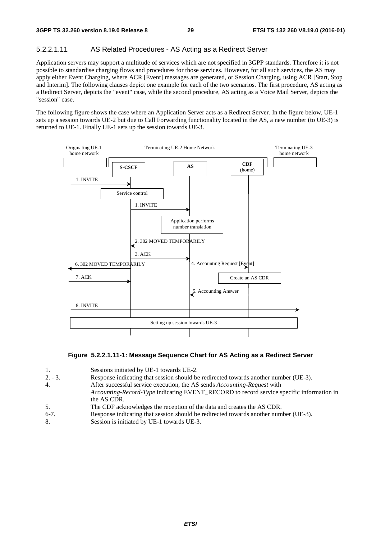#### 5.2.2.1.11 AS Related Procedures - AS Acting as a Redirect Server

Application servers may support a multitude of services which are not specified in 3GPP standards. Therefore it is not possible to standardise charging flows and procedures for those services. However, for all such services, the AS may apply either Event Charging, where ACR [Event] messages are generated, or Session Charging, using ACR [Start, Stop and Interim]. The following clauses depict one example for each of the two scenarios. The first procedure, AS acting as a Redirect Server, depicts the "event" case, while the second procedure, AS acting as a Voice Mail Server, depicts the "session" case.

The following figure shows the case where an Application Server acts as a Redirect Server. In the figure below, UE-1 sets up a session towards UE-2 but due to Call Forwarding functionality located in the AS, a new number (to UE-3) is returned to UE-1. Finally UE-1 sets up the session towards UE-3.



#### **Figure 5.2.2.1.11-1: Message Sequence Chart for AS Acting as a Redirect Server**

| 1.        | Sessions initiated by UE-1 towards UE-2.                                                 |
|-----------|------------------------------------------------------------------------------------------|
| $2. - 3.$ | Response indicating that session should be redirected towards another number (UE-3).     |
| 4.        | After successful service execution, the AS sends <i>Accounting-Request</i> with          |
|           | Accounting-Record-Type indicating EVENT_RECORD to record service specific information in |
|           | the AS CDR.                                                                              |
| 5.        | The CDF acknowledges the reception of the data and creates the AS CDR.                   |
| $6-7.$    | Response indicating that session should be redirected towards another number (UE-3).     |

8. Session is initiated by UE-1 towards UE-3.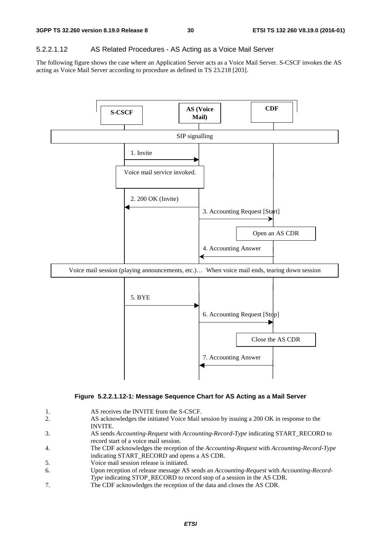#### 5.2.2.1.12 AS Related Procedures - AS Acting as a Voice Mail Server

The following figure shows the case where an Application Server acts as a Voice Mail Server. S-CSCF invokes the AS acting as Voice Mail Server according to procedure as defined in TS 23.218 [203].



#### **Figure 5.2.2.1.12-1: Message Sequence Chart for AS Acting as a Mail Server**

- 1. AS receives the INVITE from the S-CSCF.
- 2. AS acknowledges the initiated Voice Mail session by issuing a 200 OK in response to the INVITE.
- 3. AS sends *Accounting-Request* with *Accounting-Record-Type* indicating START\_RECORD to record start of a voice mail session.
- 4. The CDF acknowledges the reception of the *Accounting-Request* with *Accounting-Record-Type*  indicating START\_RECORD and opens a AS CDR.
- 5. Voice mail session release is initiated.
- 6. Upon reception of release message AS sends an *Accounting-Request* with *Accounting-Record-Type* indicating STOP\_RECORD to record stop of a session in the AS CDR.
- 7. The CDF acknowledges the reception of the data and closes the AS CDR.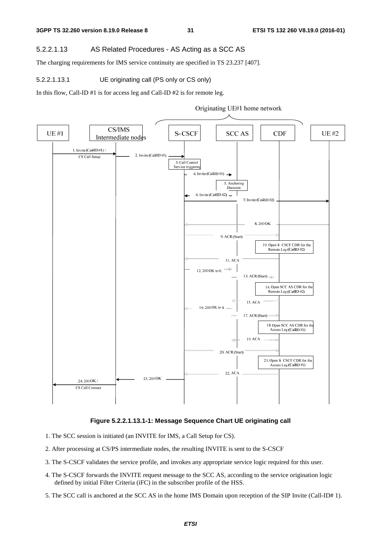#### 5.2.2.1.13 AS Related Procedures - AS Acting as a SCC AS

The charging requirements for IMS service continuity are specified in TS 23.237 [407].

#### 5.2.2.1.13.1 UE originating call (PS only or CS only)

In this flow, Call-ID #1 is for access leg and Call-ID #2 is for remote leg.



#### **Figure 5.2.2.1.13.1-1: Message Sequence Chart UE originating call**

- 1. The SCC session is initiated (an INVITE for IMS, a Call Setup for CS).
- 2. After processing at CS/PS intermediate nodes, the resulting INVITE is sent to the S-CSCF
- 3. The S-CSCF validates the service profile, and invokes any appropriate service logic required for this user.
- 4. The S-CSCF forwards the INVITE request message to the SCC AS, according to the service origination logic defined by initial Filter Criteria (iFC) in the subscriber profile of the HSS.
- 5. The SCC call is anchored at the SCC AS in the home IMS Domain upon reception of the SIP Invite (Call-ID# 1).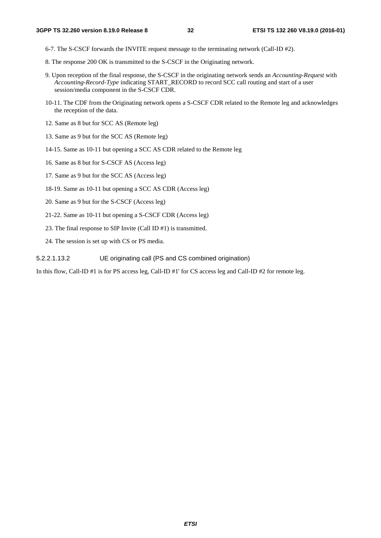- 6-7. The S-CSCF forwards the INVITE request message to the terminating network (Call-ID #2).
- 8. The response 200 OK is transmitted to the S-CSCF in the Originating network.
- 9. Upon reception of the final response, the S-CSCF in the originating network sends an *Accounting-Request* with *Accounting-Record-Type* indicating START\_RECORD to record SCC call routing and start of a user session/media component in the S-CSCF CDR.
- 10-11. The CDF from the Originating network opens a S-CSCF CDR related to the Remote leg and acknowledges the reception of the data.
- 12. Same as 8 but for SCC AS (Remote leg)
- 13. Same as 9 but for the SCC AS (Remote leg)
- 14-15. Same as 10-11 but opening a SCC AS CDR related to the Remote leg
- 16. Same as 8 but for S-CSCF AS (Access leg)
- 17. Same as 9 but for the SCC AS (Access leg)
- 18-19. Same as 10-11 but opening a SCC AS CDR (Access leg)
- 20. Same as 9 but for the S-CSCF (Access leg)
- 21-22. Same as 10-11 but opening a S-CSCF CDR (Access leg)
- 23. The final response to SIP Invite (Call ID #1) is transmitted.
- 24. The session is set up with CS or PS media.

5.2.2.1.13.2 UE originating call (PS and CS combined origination)

In this flow, Call-ID #1 is for PS access leg, Call-ID #1' for CS access leg and Call-ID #2 for remote leg.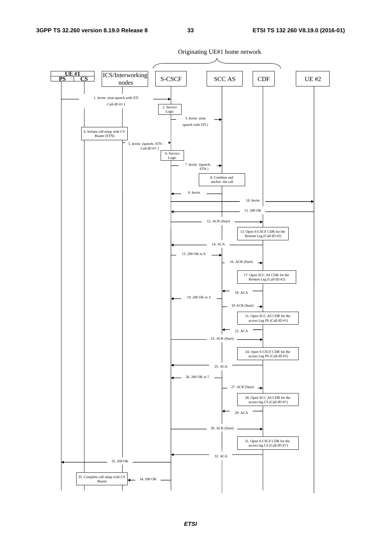

*ETSI*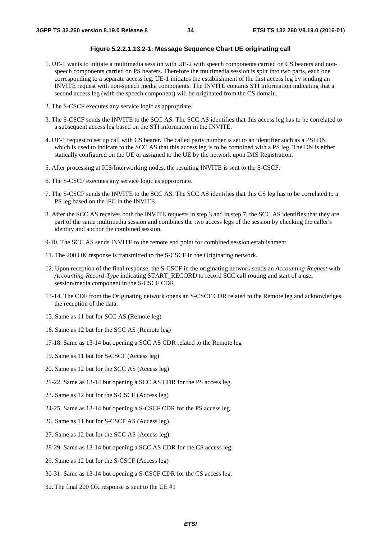#### **Figure 5.2.2.1.13.2-1: Message Sequence Chart UE originating call**

- 1. UE-1 wants to initiate a multimedia session with UE-2 with speech components carried on CS bearers and nonspeech components carried on PS bearers. Therefore the multimedia session is split into two parts, each one corresponding to a separate access leg. UE-1 initiates the establishment of the first access leg by sending an INVITE request with non-speech media components. The INVITE contains STI information indicating that a second access leg (with the speech component) will be originated from the CS domain.
- 2. The S-CSCF executes any service logic as appropriate.
- 3. The S-CSCF sends the INVITE to the SCC AS. The SCC AS identifies that this access leg has to be correlated to a subsequent access leg based on the STI information in the INVITE.
- 4. UE-1 request to set up call with CS bearer. The called party number is set to an identifier such as a PSI DN, which is used to indicate to the SCC AS that this access leg is to be combined with a PS leg. The DN is either statically configured on the UE or assigned to the UE by the network upon IMS Registration.
- 5. After processing at ICS/Interworking nodes, the resulting INVITE is sent to the S-CSCF.
- 6. The S-CSCF executes any service logic as appropriate.
- 7. The S-CSCF sends the INVITE to the SCC AS. The SCC AS identifies that this CS leg has to be correlated to a PS leg based on the iFC in the INVITE.
- 8. After the SCC AS receives both the INVITE requests in step 3 and in step 7, the SCC AS identifies that they are part of the same multimedia session and combines the two access legs of the session by checking the caller's identity and anchor the combined session.
- 9-10. The SCC AS sends INVITE to the remote end point for combined session establishment.
- 11. The 200 OK response is transmitted to the S-CSCF in the Originating network.
- 12. Upon reception of the final response, the S-CSCF in the originating network sends an *Accounting-Request* with *Accounting-Record-Type* indicating START\_RECORD to record SCC call routing and start of a user session/media component in the S-CSCF CDR.
- 13-14. The CDF from the Originating network opens an S-CSCF CDR related to the Remote leg and acknowledges the reception of the data.
- 15. Same as 11 but for SCC AS (Remote leg)
- 16. Same as 12 but for the SCC AS (Remote leg)
- 17-18. Same as 13-14 but opening a SCC AS CDR related to the Remote leg
- 19. Same as 11 but for S-CSCF (Access leg)
- 20. Same as 12 but for the SCC AS (Access leg)
- 21-22. Same as 13-14 but opening a SCC AS CDR for the PS access leg.
- 23. Same as 12 but for the S-CSCF (Access leg)
- 24-25. Same as 13-14 but opening a S-CSCF CDR for the PS access leg.
- 26. Same as 11 but for S-CSCF AS (Access leg).
- 27. Same as 12 but for the SCC AS (Access leg).
- 28-29. Same as 13-14 but opening a SCC AS CDR for the CS access leg.
- 29. Same as 12 but for the S-CSCF (Access leg)
- 30-31. Same as 13-14 but opening a S-CSCF CDR for the CS access leg.
- 32. The final 200 OK response is sent to the UE #1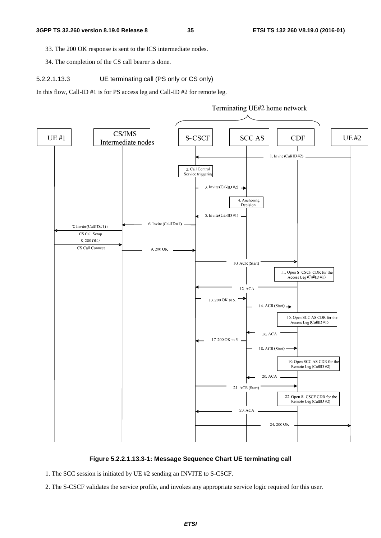33. The 200 OK response is sent to the ICS intermediate nodes.

34. The completion of the CS call bearer is done.

5.2.2.1.13.3 UE terminating call (PS only or CS only)

In this flow, Call-ID #1 is for PS access leg and Call-ID #2 for remote leg.



**Figure 5.2.2.1.13.3-1: Message Sequence Chart UE terminating call** 

1. The SCC session is initiated by UE #2 sending an INVITE to S-CSCF.

2. The S-CSCF validates the service profile, and invokes any appropriate service logic required for this user.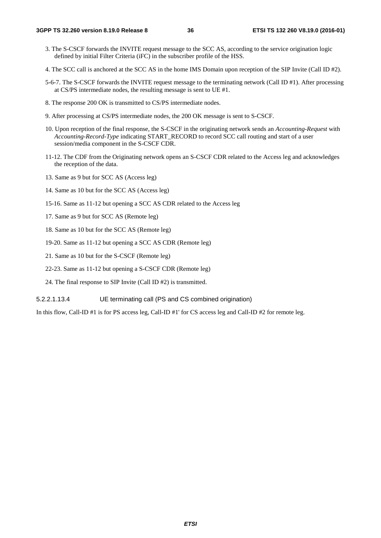- 3. The S-CSCF forwards the INVITE request message to the SCC AS, according to the service origination logic defined by initial Filter Criteria (iFC) in the subscriber profile of the HSS.
- 4. The SCC call is anchored at the SCC AS in the home IMS Domain upon reception of the SIP Invite (Call ID #2).
- 5-6-7. The S-CSCF forwards the INVITE request message to the terminating network (Call ID #1). After processing at CS/PS intermediate nodes, the resulting message is sent to UE #1.
- 8. The response 200 OK is transmitted to CS/PS intermediate nodes.
- 9. After processing at CS/PS intermediate nodes, the 200 OK message is sent to S-CSCF.
- 10. Upon reception of the final response, the S-CSCF in the originating network sends an *Accounting-Request* with *Accounting-Record-Type* indicating START\_RECORD to record SCC call routing and start of a user session/media component in the S-CSCF CDR.
- 11-12. The CDF from the Originating network opens an S-CSCF CDR related to the Access leg and acknowledges the reception of the data.
- 13. Same as 9 but for SCC AS (Access leg)
- 14. Same as 10 but for the SCC AS (Access leg)
- 15-16. Same as 11-12 but opening a SCC AS CDR related to the Access leg
- 17. Same as 9 but for SCC AS (Remote leg)
- 18. Same as 10 but for the SCC AS (Remote leg)
- 19-20. Same as 11-12 but opening a SCC AS CDR (Remote leg)
- 21. Same as 10 but for the S-CSCF (Remote leg)
- 22-23. Same as 11-12 but opening a S-CSCF CDR (Remote leg)
- 24. The final response to SIP Invite (Call ID #2) is transmitted.
- 5.2.2.1.13.4 UE terminating call (PS and CS combined origination)

In this flow, Call-ID #1 is for PS access leg, Call-ID #1' for CS access leg and Call-ID #2 for remote leg.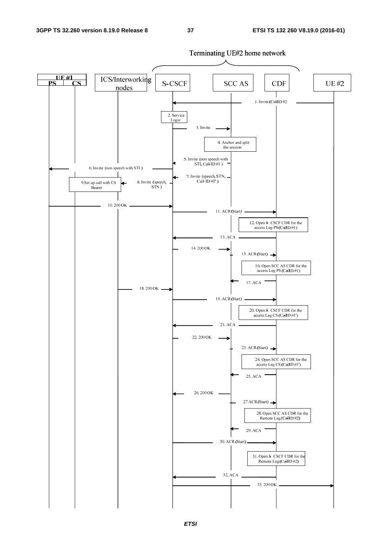

Terminating UE#2 home network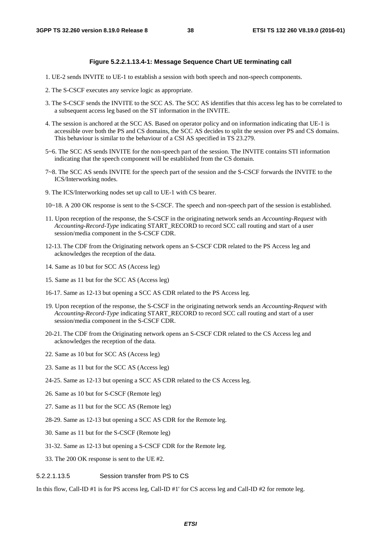#### **Figure 5.2.2.1.13.4-1: Message Sequence Chart UE terminating call**

- 1. UE-2 sends INVITE to UE-1 to establish a session with both speech and non-speech components.
- 2. The S-CSCF executes any service logic as appropriate.
- 3. The S-CSCF sends the INVITE to the SCC AS. The SCC AS identifies that this access leg has to be correlated to a subsequent access leg based on the ST information in the INVITE.
- 4. The session is anchored at the SCC AS. Based on operator policy and on information indicating that UE-1 is accessible over both the PS and CS domains, the SCC AS decides to split the session over PS and CS domains. This behaviour is similar to the behaviour of a CSI AS specified in TS 23.279.
- 5~6. The SCC AS sends INVITE for the non-speech part of the session. The INVITE contains STI information indicating that the speech component will be established from the CS domain.
- 7~8. The SCC AS sends INVITE for the speech part of the session and the S-CSCF forwards the INVITE to the ICS/Interworking nodes.
- 9. The ICS/Interworking nodes set up call to UE-1 with CS bearer.
- 10~18. A 200 OK response is sent to the S-CSCF. The speech and non-speech part of the session is established.
- 11. Upon reception of the response, the S-CSCF in the originating network sends an *Accounting-Request* with *Accounting-Record-Type* indicating START\_RECORD to record SCC call routing and start of a user session/media component in the S-CSCF CDR.
- 12-13. The CDF from the Originating network opens an S-CSCF CDR related to the PS Access leg and acknowledges the reception of the data.
- 14. Same as 10 but for SCC AS (Access leg)
- 15. Same as 11 but for the SCC AS (Access leg)
- 16-17. Same as 12-13 but opening a SCC AS CDR related to the PS Access leg.
- 19. Upon reception of the response, the S-CSCF in the originating network sends an *Accounting-Request* with *Accounting-Record-Type* indicating START\_RECORD to record SCC call routing and start of a user session/media component in the S-CSCF CDR.
- 20-21. The CDF from the Originating network opens an S-CSCF CDR related to the CS Access leg and acknowledges the reception of the data.
- 22. Same as 10 but for SCC AS (Access leg)
- 23. Same as 11 but for the SCC AS (Access leg)
- 24-25. Same as 12-13 but opening a SCC AS CDR related to the CS Access leg.
- 26. Same as 10 but for S-CSCF (Remote leg)
- 27. Same as 11 but for the SCC AS (Remote leg)
- 28-29. Same as 12-13 but opening a SCC AS CDR for the Remote leg.
- 30. Same as 11 but for the S-CSCF (Remote leg)
- 31-32. Same as 12-13 but opening a S-CSCF CDR for the Remote leg.
- 33. The 200 OK response is sent to the UE #2.
- 5.2.2.1.13.5 Session transfer from PS to CS

In this flow, Call-ID #1 is for PS access leg, Call-ID #1' for CS access leg and Call-ID #2 for remote leg.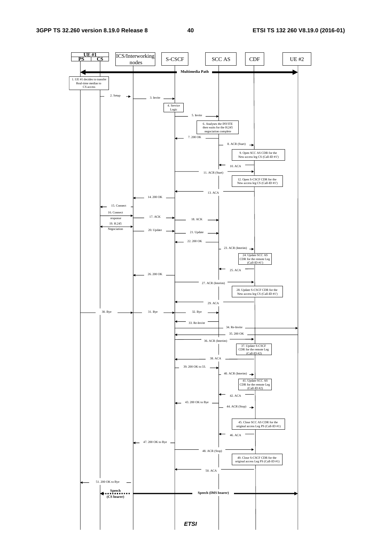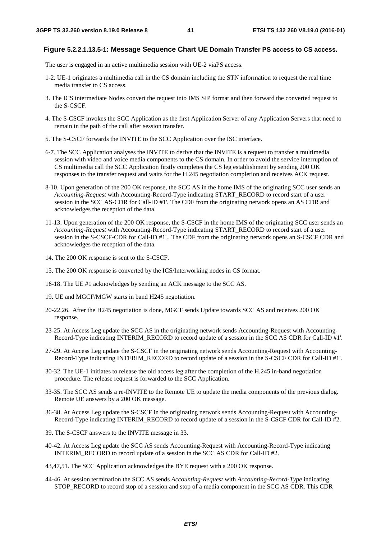## **Figure 5.2.2.1.13.5-1: Message Sequence Chart UE Domain Transfer PS access to CS access.**

The user is engaged in an active multimedia session with UE-2 viaPS access.

- 1-2. UE-1 originates a multimedia call in the CS domain including the STN information to request the real time media transfer to CS access.
- 3. The ICS intermediate Nodes convert the request into IMS SIP format and then forward the converted request to the S-CSCF.
- 4. The S-CSCF invokes the SCC Application as the first Application Server of any Application Servers that need to remain in the path of the call after session transfer.
- 5. The S-CSCF forwards the INVITE to the SCC Application over the ISC interface.
- 6-7. The SCC Application analyses the INVITE to derive that the INVITE is a request to transfer a multimedia session with video and voice media components to the CS domain. In order to avoid the service interruption of CS multimedia call the SCC Application firstly completes the CS leg establishment by sending 200 OK responses to the transfer request and waits for the H.245 negotiation completion and receives ACK request.
- 8-10. Upon generation of the 200 OK response, the SCC AS in the home IMS of the originating SCC user sends an *Accounting-Request* with Accounting-Record-Type indicating START\_RECORD to record start of a user session in the SCC AS-CDR for Call-ID #1'. The CDF from the originating network opens an AS CDR and acknowledges the reception of the data.
- 11-13. Upon generation of the 200 OK response, the S-CSCF in the home IMS of the originating SCC user sends an *Accounting-Request* with Accounting-Record-Type indicating START\_RECORD to record start of a user session in the S-CSCF-CDR for Call-ID #1'.. The CDF from the originating network opens an S-CSCF CDR and acknowledges the reception of the data.
- 14. The 200 OK response is sent to the S-CSCF.
- 15. The 200 OK response is converted by the ICS/Interworking nodes in CS format.
- 16-18. The UE #1 acknowledges by sending an ACK message to the SCC AS.
- 19. UE and MGCF/MGW starts in band H245 negotiation.
- 20-22,26. After the H245 negotiation is done, MGCF sends Update towards SCC AS and receives 200 OK response.
- 23-25. At Access Leg update the SCC AS in the originating network sends Accounting-Request with Accounting-Record-Type indicating INTERIM\_RECORD to record update of a session in the SCC AS CDR for Call-ID #1'.
- 27-29. At Access Leg update the S-CSCF in the originating network sends Accounting-Request with Accounting-Record-Type indicating INTERIM\_RECORD to record update of a session in the S-CSCF CDR for Call-ID #1'.
- 30-32. The UE-1 initiates to release the old access leg after the completion of the H.245 in-band negotiation procedure. The release request is forwarded to the SCC Application.
- 33-35. The SCC AS sends a re-INVITE to the Remote UE to update the media components of the previous dialog. Remote UE answers by a 200 OK message.
- 36-38. At Access Leg update the S-CSCF in the originating network sends Accounting-Request with Accounting-Record-Type indicating INTERIM\_RECORD to record update of a session in the S-CSCF CDR for Call-ID #2.
- 39. The S-CSCF answers to the INVITE message in 33.
- 40-42. At Access Leg update the SCC AS sends Accounting-Request with Accounting-Record-Type indicating INTERIM\_RECORD to record update of a session in the SCC AS CDR for Call-ID #2.
- 43,47,51. The SCC Application acknowledges the BYE request with a 200 OK response.
- 44-46. At session termination the SCC AS sends *Accounting-Request* with *Accounting-Record-Type* indicating STOP\_RECORD to record stop of a session and stop of a media component in the SCC AS CDR. This CDR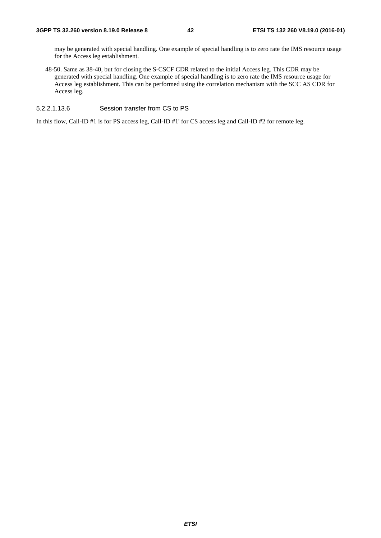may be generated with special handling. One example of special handling is to zero rate the IMS resource usage for the Access leg establishment.

48-50. Same as 38-40, but for closing the S-CSCF CDR related to the initial Access leg. This CDR may be generated with special handling. One example of special handling is to zero rate the IMS resource usage for Access leg establishment. This can be performed using the correlation mechanism with the SCC AS CDR for Access leg.

### 5.2.2.1.13.6 Session transfer from CS to PS

In this flow, Call-ID #1 is for PS access leg, Call-ID #1' for CS access leg and Call-ID #2 for remote leg.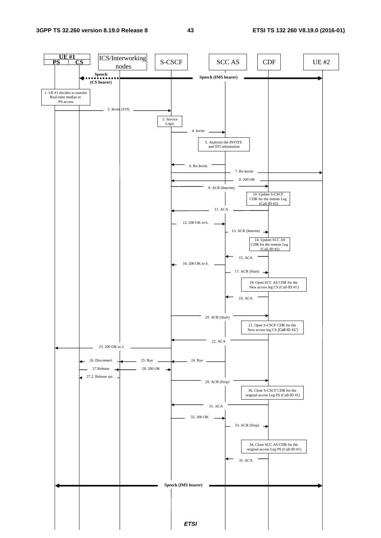#### **3GPP TS 32.260 version 8.19.0 Release 8 43 ETSI TS 132 260 V8.19.0 (2016-01)**

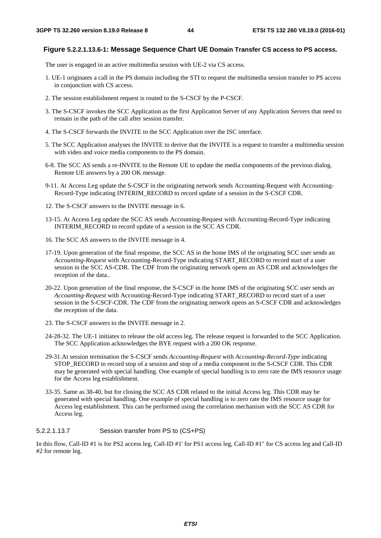## **Figure 5.2.2.1.13.6-1: Message Sequence Chart UE Domain Transfer CS access to PS access.**

The user is engaged in an active multimedia session with UE-2 via CS access.

- 1. UE-1 originates a call in the PS domain including the STI to request the multimedia session transfer to PS access in conjunction with CS access.
- 2. The session establishment request is routed to the S-CSCF by the P-CSCF.
- 3. The S-CSCF invokes the SCC Application as the first Application Server of any Application Servers that need to remain in the path of the call after session transfer.
- 4. The S-CSCF forwards the INVITE to the SCC Application over the ISC interface.
- 5. The SCC Application analyses the INVITE to derive that the INVITE is a request to transfer a multimedia session with video and voice media components to the PS domain.
- 6-8. The SCC AS sends a re-INVITE to the Remote UE to update the media components of the previous dialog. Remote UE answers by a 200 OK message.
- 9-11. At Access Leg update the S-CSCF in the originating network sends Accounting-Request with Accounting-Record-Type indicating INTERIM\_RECORD to record update of a session in the S-CSCF CDR.
- 12. The S-CSCF answers to the INVITE message in 6.
- 13-15. At Access Leg update the SCC AS sends Accounting-Request with Accounting-Record-Type indicating INTERIM\_RECORD to record update of a session in the SCC AS CDR.
- 16. The SCC AS answers to the INVITE message in 4.
- 17-19. Upon generation of the final response, the SCC AS in the home IMS of the originating SCC user sends an *Accounting-Request* with Accounting-Record-Type indicating START\_RECORD to record start of a user session in the SCC AS-CDR. The CDF from the originating network opens an AS CDR and acknowledges the reception of the data..
- 20-22. Upon generation of the final response, the S-CSCF in the home IMS of the originating SCC user sends an *Accounting-Request* with Accounting-Record-Type indicating START\_RECORD to record start of a user session in the S-CSCF-CDR. The CDF from the originating network opens an S-CSCF CDR and acknowledges the reception of the data.
- 23. The S-CSCF answers to the INVITE message in 2.
- 24-28-32. The UE-1 initiates to release the old access leg. The release request is forwarded to the SCC Application. The SCC Application acknowledges the BYE request with a 200 OK response.
- 29-31.At session termination the S-CSCF sends *Accounting-Request* with *Accounting-Record-Type* indicating STOP\_RECORD to record stop of a session and stop of a media component in the S-CSCF CDR. This CDR may be generated with special handling. One example of special handling is to zero rate the IMS resource usage for the Access leg establishment.
- 33-35. Same as 38-40, but for closing the SCC AS CDR related to the initial Access leg. This CDR may be generated with special handling. One example of special handling is to zero rate the IMS resource usage for Access leg establishment. This can be performed using the correlation mechanism with the SCC AS CDR for Access leg.

### 5.2.2.1.13.7 Session transfer from PS to (CS+PS)

In this flow, Call-ID #1 is for PS2 access leg, Call-ID #1' for PS1 access leg, Call-ID #1" for CS access leg and Call-ID #2 for remote leg.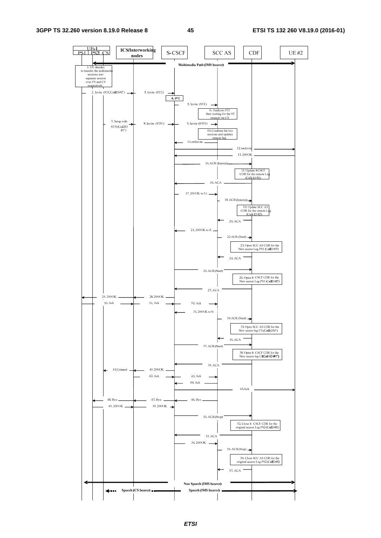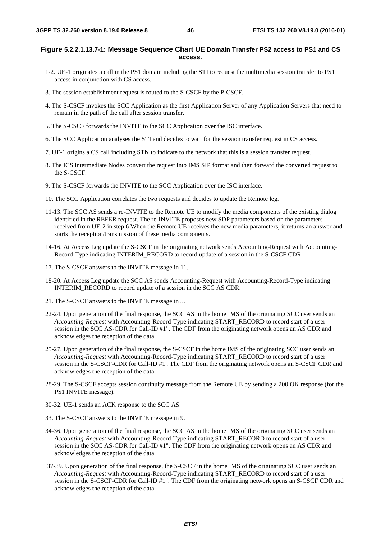## **Figure 5.2.2.1.13.7-1: Message Sequence Chart UE Domain Transfer PS2 access to PS1 and CS access.**

- 1-2. UE-1 originates a call in the PS1 domain including the STI to request the multimedia session transfer to PS1 access in conjunction with CS access.
- 3. The session establishment request is routed to the S-CSCF by the P-CSCF.
- 4. The S-CSCF invokes the SCC Application as the first Application Server of any Application Servers that need to remain in the path of the call after session transfer.
- 5. The S-CSCF forwards the INVITE to the SCC Application over the ISC interface.
- 6. The SCC Application analyses the STI and decides to wait for the session transfer request in CS access.
- 7. UE-1 origins a CS call including STN to indicate to the network that this is a session transfer request.
- 8. The ICS intermediate Nodes convert the request into IMS SIP format and then forward the converted request to the S-CSCF.
- 9. The S-CSCF forwards the INVITE to the SCC Application over the ISC interface.
- 10. The SCC Application correlates the two requests and decides to update the Remote leg.
- 11-13. The SCC AS sends a re-INVITE to the Remote UE to modify the media components of the existing dialog identified in the REFER request. The re-INVITE proposes new SDP parameters based on the parameters received from UE-2 in step 6 When the Remote UE receives the new media parameters, it returns an answer and starts the reception/transmission of these media components.
- 14-16. At Access Leg update the S-CSCF in the originating network sends Accounting-Request with Accounting-Record-Type indicating INTERIM\_RECORD to record update of a session in the S-CSCF CDR.
- 17. The S-CSCF answers to the INVITE message in 11.
- 18-20. At Access Leg update the SCC AS sends Accounting-Request with Accounting-Record-Type indicating INTERIM\_RECORD to record update of a session in the SCC AS CDR.
- 21. The S-CSCF answers to the INVITE message in 5.
- 22-24. Upon generation of the final response, the SCC AS in the home IMS of the originating SCC user sends an *Accounting-Request* with Accounting-Record-Type indicating START\_RECORD to record start of a user session in the SCC AS-CDR for Call-ID #1' . The CDF from the originating network opens an AS CDR and acknowledges the reception of the data.
- 25-27. Upon generation of the final response, the S-CSCF in the home IMS of the originating SCC user sends an *Accounting-Request* with Accounting-Record-Type indicating START\_RECORD to record start of a user session in the S-CSCF-CDR for Call-ID #1'. The CDF from the originating network opens an S-CSCF CDR and acknowledges the reception of the data.
- 28-29. The S-CSCF accepts session continuity message from the Remote UE by sending a 200 OK response (for the PS1 INVITE message).
- 30-32. UE-1 sends an ACK response to the SCC AS.
- 33. The S-CSCF answers to the INVITE message in 9.
- 34-36. Upon generation of the final response, the SCC AS in the home IMS of the originating SCC user sends an *Accounting-Request* with Accounting-Record-Type indicating START\_RECORD to record start of a user session in the SCC AS-CDR for Call-ID #1". The CDF from the originating network opens an AS CDR and acknowledges the reception of the data.
- 37-39. Upon generation of the final response, the S-CSCF in the home IMS of the originating SCC user sends an *Accounting-Request* with Accounting-Record-Type indicating START\_RECORD to record start of a user session in the S-CSCF-CDR for Call-ID #1". The CDF from the originating network opens an S-CSCF CDR and acknowledges the reception of the data.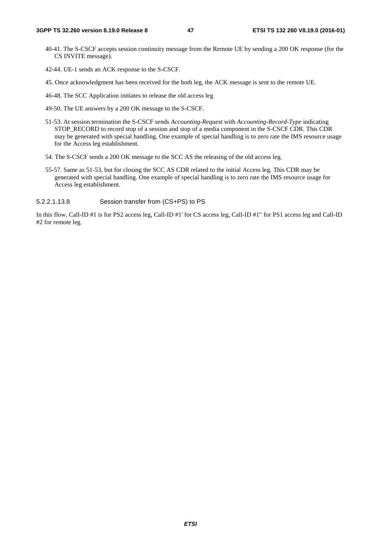- 40-41. The S-CSCF accepts session continuity message from the Remote UE by sending a 200 OK response (for the CS INVITE message).
- 42-44. UE-1 sends an ACK response to the S-CSCF.
- 45. Once acknowledgment has been received for the both leg, the ACK message is sent to the remote UE.
- 46-48. The SCC Application initiates to release the old access leg
- 49-50. The UE answers by a 200 OK message to the S-CSCF.
- 51-53. At session termination the S-CSCF sends *Accounting-Request* with *Accounting-Record-Type* indicating STOP\_RECORD to record stop of a session and stop of a media component in the S-CSCF CDR. This CDR may be generated with special handling. One example of special handling is to zero rate the IMS resource usage for the Access leg establishment.
- 54. The S-CSCF sends a 200 OK message to the SCC AS the releasing of the old access leg.
- 55-57. Same as 51-53, but for closing the SCC AS CDR related to the initial Access leg. This CDR may be generated with special handling. One example of special handling is to zero rate the IMS resource usage for Access leg establishment.
- 5.2.2.1.13.8 Session transfer from (CS+PS) to PS

In this flow, Call-ID #1 is for PS2 access leg, Call-ID #1' for CS access leg, Call-ID #1" for PS1 access leg and Call-ID #2 for remote leg.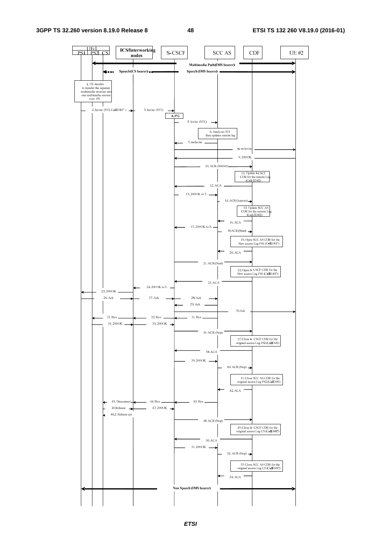#### **3GPP TS 32.260 version 8.19.0 Release 8 48 ETSI TS 132 260 V8.19.0 (2016-01)**

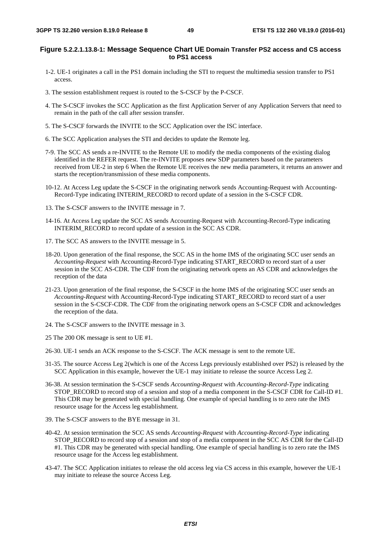### **Figure 5.2.2.1.13.8-1: Message Sequence Chart UE Domain Transfer PS2 access and CS access to PS1 access**

- 1-2. UE-1 originates a call in the PS1 domain including the STI to request the multimedia session transfer to PS1 access.
- 3. The session establishment request is routed to the S-CSCF by the P-CSCF.
- 4. The S-CSCF invokes the SCC Application as the first Application Server of any Application Servers that need to remain in the path of the call after session transfer.
- 5. The S-CSCF forwards the INVITE to the SCC Application over the ISC interface.
- 6. The SCC Application analyses the STI and decides to update the Remote leg.
- 7-9. The SCC AS sends a re-INVITE to the Remote UE to modify the media components of the existing dialog identified in the REFER request. The re-INVITE proposes new SDP parameters based on the parameters received from UE-2 in step 6 When the Remote UE receives the new media parameters, it returns an answer and starts the reception/transmission of these media components.
- 10-12. At Access Leg update the S-CSCF in the originating network sends Accounting-Request with Accounting-Record-Type indicating INTERIM\_RECORD to record update of a session in the S-CSCF CDR.
- 13. The S-CSCF answers to the INVITE message in 7.
- 14-16. At Access Leg update the SCC AS sends Accounting-Request with Accounting-Record-Type indicating INTERIM\_RECORD to record update of a session in the SCC AS CDR.
- 17. The SCC AS answers to the INVITE message in 5.
- 18-20. Upon generation of the final response, the SCC AS in the home IMS of the originating SCC user sends an *Accounting-Request* with Accounting-Record-Type indicating START\_RECORD to record start of a user session in the SCC AS-CDR. The CDF from the originating network opens an AS CDR and acknowledges the reception of the data
- 21-23. Upon generation of the final response, the S-CSCF in the home IMS of the originating SCC user sends an *Accounting-Request* with Accounting-Record-Type indicating START\_RECORD to record start of a user session in the S-CSCF-CDR. The CDF from the originating network opens an S-CSCF CDR and acknowledges the reception of the data.
- 24. The S-CSCF answers to the INVITE message in 3.
- 25 The 200 OK message is sent to UE #1.
- 26-30. UE-1 sends an ACK response to the S-CSCF. The ACK message is sent to the remote UE.
- 31-35. The source Access Leg 2(which is one of the Access Legs previously established over PS2) is released by the SCC Application in this example, however the UE-1 may initiate to release the source Access Leg 2.
- 36-38. At session termination the S-CSCF sends *Accounting-Request* with *Accounting-Record-Type* indicating STOP\_RECORD to record stop of a session and stop of a media component in the S-CSCF CDR for Call-ID #1. This CDR may be generated with special handling. One example of special handling is to zero rate the IMS resource usage for the Access leg establishment.
- 39. The S-CSCF answers to the BYE message in 31.
- 40-42. At session termination the SCC AS sends *Accounting-Request* with *Accounting-Record-Type* indicating STOP\_RECORD to record stop of a session and stop of a media component in the SCC AS CDR for the Call-ID #1. This CDR may be generated with special handling. One example of special handling is to zero rate the IMS resource usage for the Access leg establishment.
- 43-47. The SCC Application initiates to release the old access leg via CS access in this example, however the UE-1 may initiate to release the source Access Leg.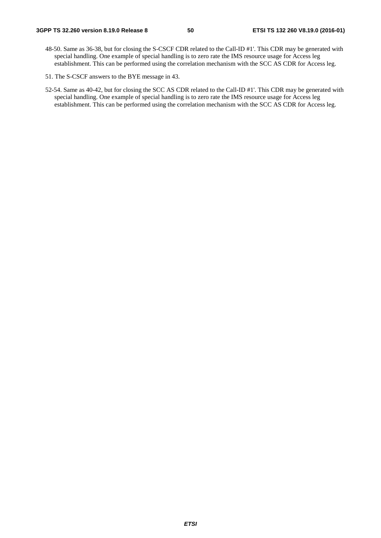- 48-50. Same as 36-38, but for closing the S-CSCF CDR related to the Call-ID #1'. This CDR may be generated with special handling. One example of special handling is to zero rate the IMS resource usage for Access leg establishment. This can be performed using the correlation mechanism with the SCC AS CDR for Access leg.
- 51. The S-CSCF answers to the BYE message in 43.
- 52-54. Same as 40-42, but for closing the SCC AS CDR related to the Call-ID #1'. This CDR may be generated with special handling. One example of special handling is to zero rate the IMS resource usage for Access leg establishment. This can be performed using the correlation mechanism with the SCC AS CDR for Access leg.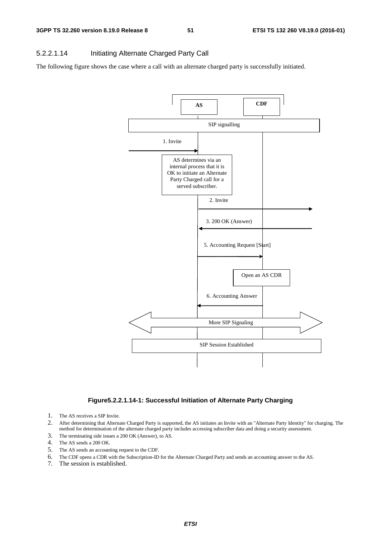## 5.2.2.1.14 Initiating Alternate Charged Party Call

The following figure shows the case where a call with an alternate charged party is successfully initiated.



**Figure5.2.2.1.14-1: Successful Initiation of Alternate Party Charging** 

- 1. The AS receives a SIP Invite.
- 2. After determining that Alternate Charged Party is supported, the AS initiates an Invite with an "Alternate Party Identity" for charging. The method for determination of the alternate charged party includes accessing subscriber data and doing a security assessment.
- 3. The terminating side issues a 200 OK (Answer), to AS.
- 4. The AS sends a 200 OK.
- 5. The AS sends an accounting request to the CDF.
- 6. The CDF opens a CDR with the Subscription-ID for the Alternate Charged Party and sends an accounting answer to the AS.
- 7. The session is established.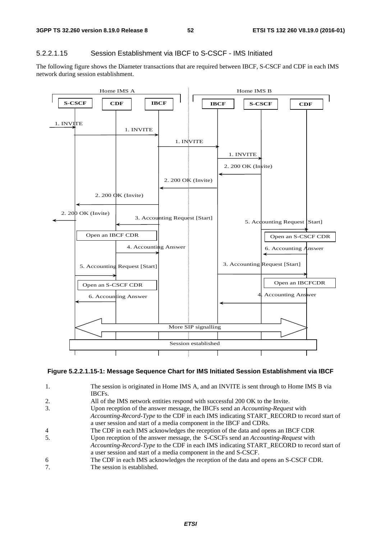## 5.2.2.1.15 Session Establishment via IBCF to S-CSCF - IMS Initiated

The following figure shows the Diameter transactions that are required between IBCF, S-CSCF and CDF in each IMS network during session establishment.



#### **Figure 5.2.2.1.15-1: Message Sequence Chart for IMS Initiated Session Establishment via IBCF**

- 1. The session is originated in Home IMS A, and an INVITE is sent through to Home IMS B via IBCFs.
- 2. All of the IMS network entities respond with successful 200 OK to the Invite.
- 3. Upon reception of the answer message, the IBCFs send an *Accounting-Request* with
- *Accounting-Record-Type* to the CDF in each IMS indicating START\_RECORD to record start of a user session and start of a media component in the IBCF and CDRs.
- 4 The CDF in each IMS acknowledges the reception of the data and opens an IBCF CDR<br>5. Upon reception of the answer message, the S-CSCFs send an *Accounting-Request* with
- 5. Upon reception of the answer message, the S-CSCFs send an *Accounting-Request* with *Accounting-Record-Type* to the CDF in each IMS indicating START\_RECORD to record start of a user session and start of a media component in the and S-CSCF.
- 6 The CDF in each IMS acknowledges the reception of the data and opens an S-CSCF CDR.
- 7. The session is established.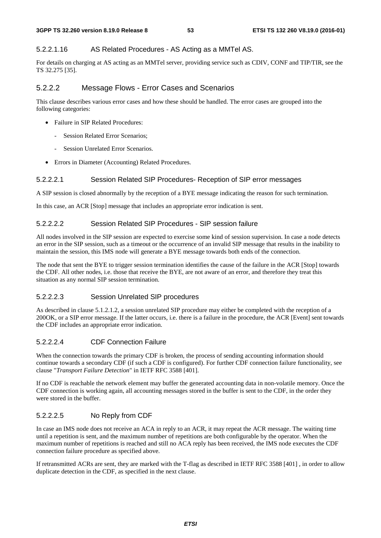## 5.2.2.1.16 AS Related Procedures - AS Acting as a MMTel AS.

For details on charging at AS acting as an MMTel server, providing service such as CDIV, CONF and TIP/TIR, see the TS 32.275 [35].

## 5.2.2.2 Message Flows - Error Cases and Scenarios

This clause describes various error cases and how these should be handled. The error cases are grouped into the following categories:

- Failure in SIP Related Procedures:
	- Session Related Error Scenarios;
	- Session Unrelated Error Scenarios.
- Errors in Diameter (Accounting) Related Procedures.

### 5.2.2.2.1 Session Related SIP Procedures- Reception of SIP error messages

A SIP session is closed abnormally by the reception of a BYE message indicating the reason for such termination.

In this case, an ACR [Stop] message that includes an appropriate error indication is sent.

## 5.2.2.2.2 Session Related SIP Procedures - SIP session failure

All nodes involved in the SIP session are expected to exercise some kind of session supervision. In case a node detects an error in the SIP session, such as a timeout or the occurrence of an invalid SIP message that results in the inability to maintain the session, this IMS node will generate a BYE message towards both ends of the connection.

The node that sent the BYE to trigger session termination identifies the cause of the failure in the ACR [Stop] towards the CDF. All other nodes, i.e. those that receive the BYE, are not aware of an error, and therefore they treat this situation as any normal SIP session termination.

### 5.2.2.2.3 Session Unrelated SIP procedures

As described in clause 5.1.2.1.2, a session unrelated SIP procedure may either be completed with the reception of a 200OK, or a SIP error message. If the latter occurs, i.e. there is a failure in the procedure, the ACR [Event] sent towards the CDF includes an appropriate error indication.

## 5.2.2.2.4 CDF Connection Failure

When the connection towards the primary CDF is broken, the process of sending accounting information should continue towards a secondary CDF (if such a CDF is configured). For further CDF connection failure functionality, see clause "*Transport Failure Detection*" in IETF RFC 3588 [401].

If no CDF is reachable the network element may buffer the generated accounting data in non-volatile memory. Once the CDF connection is working again, all accounting messages stored in the buffer is sent to the CDF, in the order they were stored in the buffer.

## 5.2.2.2.5 No Reply from CDF

In case an IMS node does not receive an ACA in reply to an ACR, it may repeat the ACR message. The waiting time until a repetition is sent, and the maximum number of repetitions are both configurable by the operator. When the maximum number of repetitions is reached and still no ACA reply has been received, the IMS node executes the CDF connection failure procedure as specified above.

If retransmitted ACRs are sent, they are marked with the T-flag as described in IETF RFC 3588 [401] , in order to allow duplicate detection in the CDF, as specified in the next clause.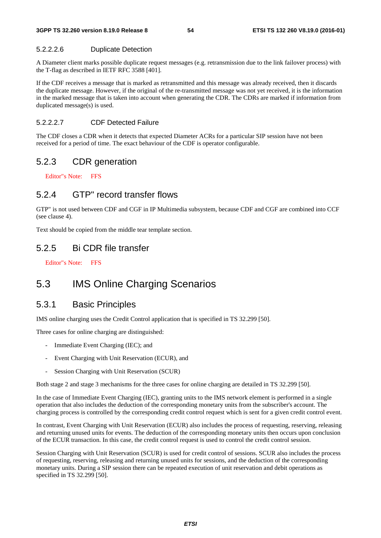## 5.2.2.2.6 Duplicate Detection

A Diameter client marks possible duplicate request messages (e.g. retransmission due to the link failover process) with the T-flag as described in IETF RFC 3588 [401].

If the CDF receives a message that is marked as retransmitted and this message was already received, then it discards the duplicate message. However, if the original of the re-transmitted message was not yet received, it is the information in the marked message that is taken into account when generating the CDR. The CDRs are marked if information from duplicated message(s) is used.

## 5.2.2.2.7 CDF Detected Failure

The CDF closes a CDR when it detects that expected Diameter ACRs for a particular SIP session have not been received for a period of time. The exact behaviour of the CDF is operator configurable.

## 5.2.3 CDR generation

Editor"s Note: FFS

## 5.2.4 GTP" record transfer flows

GTP" is not used between CDF and CGF in IP Multimedia subsystem, because CDF and CGF are combined into CCF (see clause 4).

Text should be copied from the middle tear template section.

## 5.2.5 Bi CDR file transfer

Editor"s Note: FFS

## 5.3 IMS Online Charging Scenarios

## 5.3.1 Basic Principles

IMS online charging uses the Credit Control application that is specified in TS 32.299 [50].

Three cases for online charging are distinguished:

- Immediate Event Charging (IEC); and
- Event Charging with Unit Reservation (ECUR), and
- Session Charging with Unit Reservation (SCUR)

Both stage 2 and stage 3 mechanisms for the three cases for online charging are detailed in TS 32.299 [50].

In the case of Immediate Event Charging (IEC), granting units to the IMS network element is performed in a single operation that also includes the deduction of the corresponding monetary units from the subscriber's account. The charging process is controlled by the corresponding credit control request which is sent for a given credit control event.

In contrast, Event Charging with Unit Reservation (ECUR) also includes the process of requesting, reserving, releasing and returning unused units for events. The deduction of the corresponding monetary units then occurs upon conclusion of the ECUR transaction. In this case, the credit control request is used to control the credit control session.

Session Charging with Unit Reservation (SCUR) is used for credit control of sessions. SCUR also includes the process of requesting, reserving, releasing and returning unused units for sessions, and the deduction of the corresponding monetary units. During a SIP session there can be repeated execution of unit reservation and debit operations as specified in TS 32.299 [50].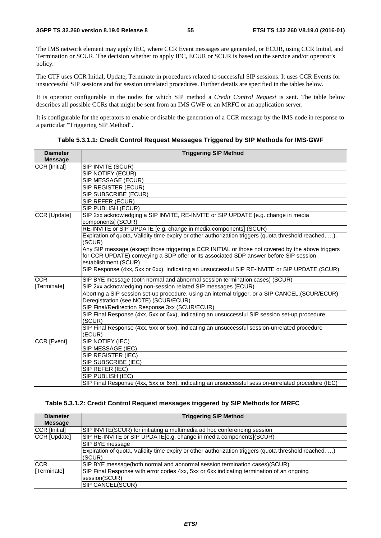The IMS network element may apply IEC, where CCR Event messages are generated, or ECUR, using CCR Initial, and Termination or SCUR. The decision whether to apply IEC, ECUR or SCUR is based on the service and/or operator's policy.

The CTF uses CCR Initial, Update, Terminate in procedures related to successful SIP sessions. It uses CCR Events for unsuccessful SIP sessions and for session unrelated procedures. Further details are specified in the tables below.

It is operator configurable in the nodes for which SIP method a *Credit Control Request* is sent. The table below describes all possible CCRs that might be sent from an IMS GWF or an MRFC or an application server.

It is configurable for the operators to enable or disable the generation of a CCR message by the IMS node in response to a particular "Triggering SIP Method".

| <b>Diameter</b>      | <b>Triggering SIP Method</b>                                                                                     |  |  |
|----------------------|------------------------------------------------------------------------------------------------------------------|--|--|
| <b>Message</b>       |                                                                                                                  |  |  |
| <b>CCR</b> [Initial] | SIP INVITE (SCUR)                                                                                                |  |  |
|                      | SIP NOTIFY (ECUR)                                                                                                |  |  |
|                      | SIP MESSAGE (ECUR)                                                                                               |  |  |
|                      | SIP REGISTER (ECUR)                                                                                              |  |  |
|                      | SIP SUBSCRIBE (ECUR)                                                                                             |  |  |
|                      | SIP REFER (ECUR)                                                                                                 |  |  |
|                      | SIP PUBLISH (ECUR)                                                                                               |  |  |
| CCR [Update]         | SIP 2xx acknowledging a SIP INVITE, RE-INVITE or SIP UPDATE [e.g. change in media<br>components] (SCUR)          |  |  |
|                      | RE-INVITE or SIP UPDATE [e.g. change in media components] (SCUR)                                                 |  |  |
|                      | Expiration of quota, Validity time expiry or other authorization triggers (quota threshold reached, ).<br>(SCUR) |  |  |
|                      | Any SIP message (except those triggering a CCR INITIAL or those not covered by the above triggers                |  |  |
|                      | for CCR UPDATE) conveying a SDP offer or its associated SDP answer before SIP session                            |  |  |
|                      | establishment (SCUR)                                                                                             |  |  |
|                      | SIP Response (4xx, 5xx or 6xx), indicating an unsuccessful SIP RE-INVITE or SIP UPDATE (SCUR)                    |  |  |
| <b>CCR</b>           | SIP BYE message (both normal and abnormal session termination cases) (SCUR)                                      |  |  |
| [Terminate]          | SIP 2xx acknowledging non-session related SIP messages (ECUR)                                                    |  |  |
|                      | Aborting a SIP session set-up procedure, using an internal trigger, or a SIP CANCEL.(SCUR/ECUR)                  |  |  |
|                      | Deregistration (see NOTE) (SCUR/ECUR)                                                                            |  |  |
|                      | SIP Final/Redirection Response 3xx (SCUR/ECUR)                                                                   |  |  |
|                      | SIP Final Response (4xx, 5xx or 6xx), indicating an unsuccessful SIP session set-up procedure<br>(SCUR)          |  |  |
|                      | SIP Final Response (4xx, 5xx or 6xx), indicating an unsuccessful session-unrelated procedure                     |  |  |
|                      | (ECUR)                                                                                                           |  |  |
| <b>CCR [Event]</b>   | SIP NOTIFY (IEC)                                                                                                 |  |  |
|                      | SIP MESSAGE (IEC)                                                                                                |  |  |
|                      | SIP REGISTER (IEC)                                                                                               |  |  |
|                      | SIP SUBSCRIBE (IEC)                                                                                              |  |  |
|                      | SIP REFER (IEC)                                                                                                  |  |  |
|                      | SIP PUBLISH (IEC)                                                                                                |  |  |
|                      | SIP Final Response (4xx, 5xx or 6xx), indicating an unsuccessful session-unrelated procedure (IEC)               |  |  |

**Table 5.3.1.1: Credit Control Request Messages Triggered by SIP Methods for IMS-GWF** 

### **Table 5.3.1.2: Credit Control Request messages triggered by SIP Methods for MRFC**

| <b>Diameter</b><br><b>Message</b> | <b>Triggering SIP Method</b>                                                                                    |
|-----------------------------------|-----------------------------------------------------------------------------------------------------------------|
| <b>CCR</b> [Initial]              | SIP INVITE(SCUR) for initiating a multimedia ad hoc conferencing session                                        |
| CCR [Update]                      | SIP RE-INVITE or SIP UPDATE[e.g. change in media components](SCUR)                                              |
|                                   | SIP BYE message                                                                                                 |
|                                   | Expiration of quota, Validity time expiry or other authorization triggers (quota threshold reached, )<br>(SCUR) |
| <b>CCR</b>                        | SIP BYE message(both normal and abnormal session termination cases)(SCUR)                                       |
| [Terminate]                       | SIP Final Response with error codes 4xx, 5xx or 6xx indicating termination of an ongoing                        |
|                                   | session(SCUR)                                                                                                   |
|                                   | SIP CANCEL(SCUR)                                                                                                |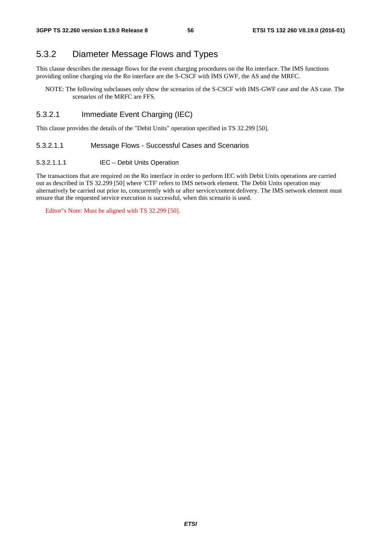## 5.3.2 Diameter Message Flows and Types

This clause describes the message flows for the event charging procedures on the Ro interface. The IMS functions providing online charging *via* the Ro interface are the S-CSCF with IMS GWF, the AS and the MRFC.

NOTE: The following subclauses only show the scenarios of the S-CSCF with IMS-GWF case and the AS case. The scenarios of the MRFC are FFS.

## 5.3.2.1 Immediate Event Charging (IEC)

This clause provides the details of the "Debit Units" operation specified in TS 32.299 [50].

#### 5.3.2.1.1 Message Flows - Successful Cases and Scenarios

#### 5.3.2.1.1.1 IEC – Debit Units Operation

The transactions that are required on the Ro interface in order to perform IEC with Debit Units operations are carried out as described in TS 32.299 [50] where 'CTF' refers to IMS network element. The Debit Units operation may alternatively be carried out prior to, concurrently with or after service/content delivery. The IMS network element must ensure that the requested service execution is successful, when this scenario is used.

Editor"s Note: Must be aligned with TS 32.299 [50].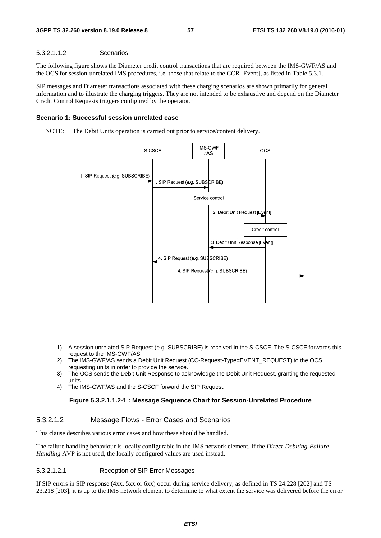## 5.3.2.1.1.2 Scenarios

The following figure shows the Diameter credit control transactions that are required between the IMS-GWF/AS and the OCS for session-unrelated IMS procedures, i.e. those that relate to the CCR [Event], as listed in Table 5.3.1.

SIP messages and Diameter transactions associated with these charging scenarios are shown primarily for general information and to illustrate the charging triggers. They are not intended to be exhaustive and depend on the Diameter Credit Control Requests triggers configured by the operator.

## **Scenario 1: Successful session unrelated case**

NOTE: The Debit Units operation is carried out prior to service/content delivery.



- 1) A session unrelated SIP Request (e.g. SUBSCRIBE) is received in the S-CSCF. The S-CSCF forwards this request to the IMS-GWF/AS.
- 2) The IMS-GWF/AS sends a Debit Unit Request (CC-Request-Type=EVENT\_REQUEST) to the OCS, requesting units in order to provide the service.
- 3) The OCS sends the Debit Unit Response to acknowledge the Debit Unit Request, granting the requested units.
- 4) The IMS-GWF/AS and the S-CSCF forward the SIP Request.

## **Figure 5.3.2.1.1.2-1 : Message Sequence Chart for Session-Unrelated Procedure**

## 5.3.2.1.2 Message Flows - Error Cases and Scenarios

This clause describes various error cases and how these should be handled.

The failure handling behaviour is locally configurable in the IMS network element. If the *Direct-Debiting-Failure-Handling* AVP is not used, the locally configured values are used instead.

## 5.3.2.1.2.1 Reception of SIP Error Messages

If SIP errors in SIP response (4xx, 5xx or 6xx) occur during service delivery, as defined in TS 24.228 [202] and TS 23.218 [203], it is up to the IMS network element to determine to what extent the service was delivered before the error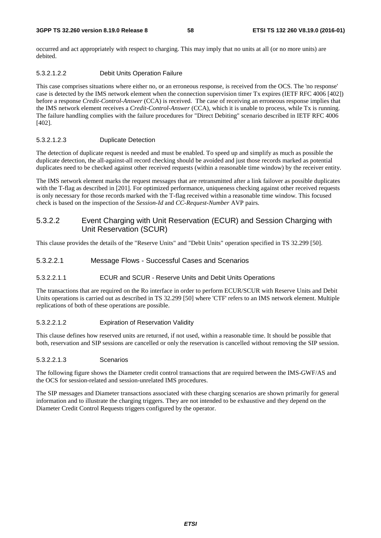occurred and act appropriately with respect to charging. This may imply that no units at all (or no more units) are debited.

#### 5.3.2.1.2.2 Debit Units Operation Failure

This case comprises situations where either no, or an erroneous response, is received from the OCS. The 'no response' case is detected by the IMS network element when the connection supervision timer Tx expires (IETF RFC 4006 [402]) before a response *Credit-Control-Answer* (CCA) is received. The case of receiving an erroneous response implies that the IMS network element receives a *Credit-Control-Answer* (CCA), which it is unable to process, while Tx is running. The failure handling complies with the failure procedures for "Direct Debiting" scenario described in IETF RFC 4006 [402].

#### 5.3.2.1.2.3 Duplicate Detection

The detection of duplicate request is needed and must be enabled. To speed up and simplify as much as possible the duplicate detection, the all-against-all record checking should be avoided and just those records marked as potential duplicates need to be checked against other received requests (within a reasonable time window) by the receiver entity.

The IMS network element marks the request messages that are retransmitted after a link failover as possible duplicates with the T-flag as described in [201]. For optimized performance, uniqueness checking against other received requests is only necessary for those records marked with the T-flag received within a reasonable time window. This focused check is based on the inspection of the *Session-Id* and *CC-Request-Number* AVP pairs.

## 5.3.2.2 Event Charging with Unit Reservation (ECUR) and Session Charging with Unit Reservation (SCUR)

This clause provides the details of the "Reserve Units" and "Debit Units" operation specified in TS 32.299 [50].

#### 5.3.2.2.1 Message Flows - Successful Cases and Scenarios

#### 5.3.2.2.1.1 ECUR and SCUR - Reserve Units and Debit Units Operations

The transactions that are required on the Ro interface in order to perform ECUR/SCUR with Reserve Units and Debit Units operations is carried out as described in TS 32.299 [50] where 'CTF' refers to an IMS network element. Multiple replications of both of these operations are possible.

#### 5.3.2.2.1.2 Expiration of Reservation Validity

This clause defines how reserved units are returned, if not used, within a reasonable time. It should be possible that both, reservation and SIP sessions are cancelled or only the reservation is cancelled without removing the SIP session.

#### 5.3.2.2.1.3 Scenarios

The following figure shows the Diameter credit control transactions that are required between the IMS-GWF/AS and the OCS for session-related and session-unrelated IMS procedures.

The SIP messages and Diameter transactions associated with these charging scenarios are shown primarily for general information and to illustrate the charging triggers. They are not intended to be exhaustive and they depend on the Diameter Credit Control Requests triggers configured by the operator.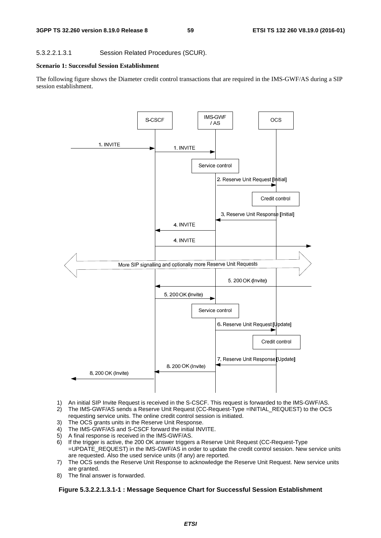## 5.3.2.2.1.3.1 Session Related Procedures (SCUR).

### **Scenario 1: Successful Session Establishment**

The following figure shows the Diameter credit control transactions that are required in the IMS-GWF/AS during a SIP session establishment.



- 1) An initial SIP Invite Request is received in the S-CSCF. This request is forwarded to the IMS-GWF/AS.
- 2) The IMS-GWF/AS sends a Reserve Unit Request (CC-Request-Type =INITIAL\_REQUEST) to the OCS requesting service units. The online credit control session is initiated.
- 3) The OCS grants units in the Reserve Unit Response.
- 4) The IMS-GWF/AS and S-CSCF forward the initial INVITE.
- 5) A final response is received in the IMS-GWF/AS.
- 6) If the trigger is active, the 200 OK answer triggers a Reserve Unit Request (CC-Request-Type =UPDATE\_REQUEST) in the IMS-GWF/AS in order to update the credit control session. New service units are requested. Also the used service units (if any) are reported.
- 7) The OCS sends the Reserve Unit Response to acknowledge the Reserve Unit Request. New service units are granted.
- 8) The final answer is forwarded.

## **Figure 5.3.2.2.1.3.1-1 : Message Sequence Chart for Successful Session Establishment**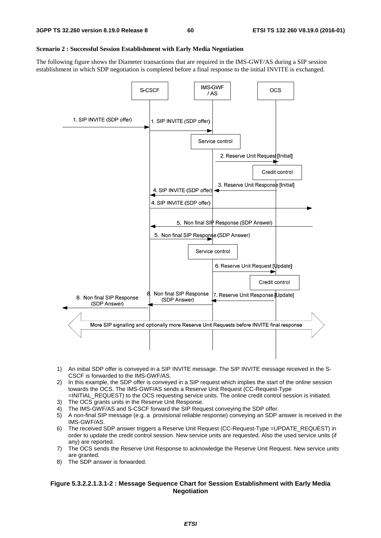#### **Scenario 2 : Successful Session Establishment with Early Media Negotiation**

The following figure shows the Diameter transactions that are required in the IMS-GWF/AS during a SIP session establishment in which SDP negotiation is completed before a final response to the initial INVITE is exchanged.



- 1) An initial SDP offer is conveyed in a SIP INVITE message. The SIP INVITE message received in the S-CSCF is forwarded to the IMS-GWF/AS.
- 2) In this example, the SDP offer is conveyed in a SIP request which implies the start of the online session towards the OCS. The IMS-GWF/AS sends a Reserve Unit Request (CC-Request-Type =INITIAL\_REQUEST) to the OCS requesting service units. The online credit control session is initiated.
- 3) The OCS grants units in the Reserve Unit Response.
- 
- 4) The IMS-GWF/AS and S-CSCF forward the SIP Request conveying the SDP offer.<br>5) A non-final SIP message (e.g. a provisional reliable response) conveving an SDP a 5) A non-final SIP message (e.g. a provisional reliable response) conveying an SDP answer is received in the IMS-GWF/AS.
- 6) The received SDP answer triggers a Reserve Unit Request (CC-Request-Type =UPDATE\_REQUEST) in order to update the credit control session. New service units are requested. Also the used service units (if any) are reported.
- 7) The OCS sends the Reserve Unit Response to acknowledge the Reserve Unit Request. New service units are granted.
- 8) The SDP answer is forwarded.

#### **Figure 5.3.2.2.1.3.1-2 : Message Sequence Chart for Session Establishment with Early Media Negotiation**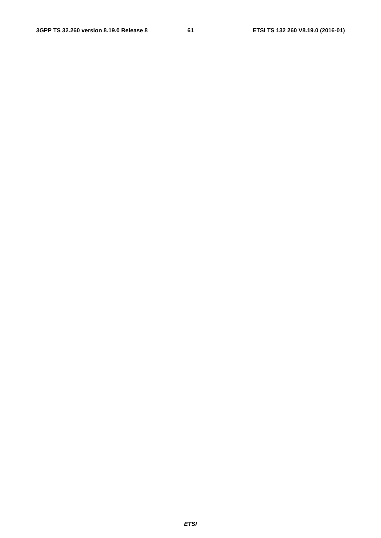*ETSI*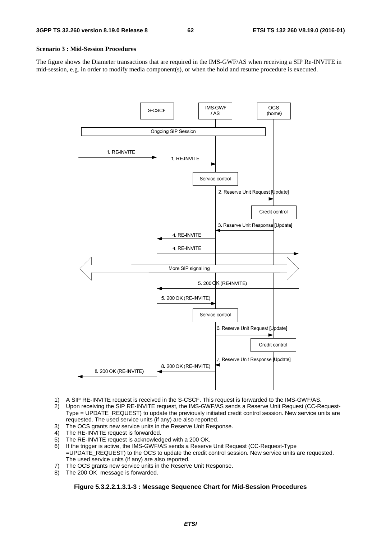#### **Scenario 3 : Mid-Session Procedures**

The figure shows the Diameter transactions that are required in the IMS-GWF/AS when receiving a SIP Re-INVITE in mid-session, e.g. in order to modify media component(s), or when the hold and resume procedure is executed.



- 1) A SIP RE-INVITE request is received in the S-CSCF. This request is forwarded to the IMS-GWF/AS.
- 2) Upon receiving the SIP RE-INVITE request, the IMS-GWF/AS sends a Reserve Unit Request (CC-Request-Type = UPDATE\_REQUEST) to update the previously initiated credit control session. New service units are requested. The used service units (if any) are also reported.
- 3) The OCS grants new service units in the Reserve Unit Response.
- 4) The RE-INVITE request is forwarded.
- 5) The RE-INVITE request is acknowledged with a 200 OK.
- 6) If the trigger is active, the IMS-GWF/AS sends a Reserve Unit Request (CC-Request-Type =UPDATE\_REQUEST) to the OCS to update the credit control session. New service units are requested. The used service units (if any) are also reported.
- 7) The OCS grants new service units in the Reserve Unit Response.
- 8) The 200 OK message is forwarded.

## **Figure 5.3.2.2.1.3.1-3 : Message Sequence Chart for Mid-Session Procedures**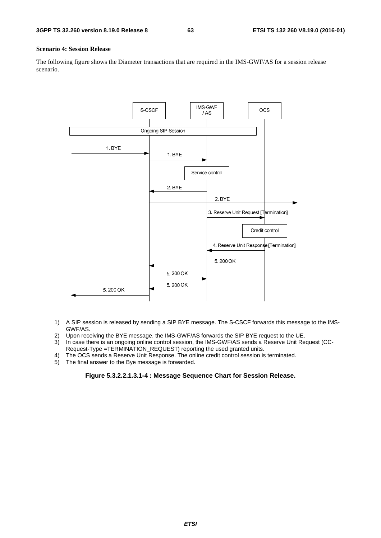#### **Scenario 4: Session Release**

The following figure shows the Diameter transactions that are required in the IMS-GWF/AS for a session release scenario.



- 1) A SIP session is released by sending a SIP BYE message. The S-CSCF forwards this message to the IMS-GWF/AS.
- 2) Upon receiving the BYE message, the IMS-GWF/AS forwards the SIP BYE request to the UE.
- 3) In case there is an ongoing online control session, the IMS-GWF/AS sends a Reserve Unit Request (CC-
- Request-Type =TERMINATION\_REQUEST) reporting the used granted units.
- 4) The OCS sends a Reserve Unit Response. The online credit control session is terminated.<br>5) The final answer to the Bye message is forwarded.
- The final answer to the Bye message is forwarded.

#### **Figure 5.3.2.2.1.3.1-4 : Message Sequence Chart for Session Release.**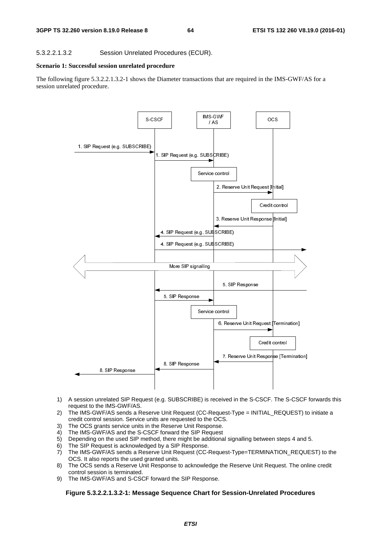## 5.3.2.2.1.3.2 Session Unrelated Procedures (ECUR).

## **Scenario 1: Successful session unrelated procedure**

The following figure 5.3.2.2.1.3.2-1 shows the Diameter transactions that are required in the IMS-GWF/AS for a session unrelated procedure.



- 1) A session unrelated SIP Request (e.g. SUBSCRIBE) is received in the S-CSCF. The S-CSCF forwards this request to the IMS-GWF/AS.
- 2) The IMS-GWF/AS sends a Reserve Unit Request (CC-Request-Type = INITIAL\_REQUEST) to initiate a credit control session. Service units are requested to the OCS.
- 3) The OCS grants service units in the Reserve Unit Response.
- 4) The IMS-GWF/AS and the S-CSCF forward the SIP Request
- 5) Depending on the used SIP method, there might be additional signalling between steps 4 and 5.
- 6) The SIP Request is acknowledged by a SIP Response.
- 7) The IMS-GWF/AS sends a Reserve Unit Request (CC-Request-Type=TERMINATION\_REQUEST) to the OCS. It also reports the used granted units.
- 8) The OCS sends a Reserve Unit Response to acknowledge the Reserve Unit Request. The online credit control session is terminated.
- 9) The IMS-GWF/AS and S-CSCF forward the SIP Response.

**Figure 5.3.2.2.1.3.2-1: Message Sequence Chart for Session-Unrelated Procedures**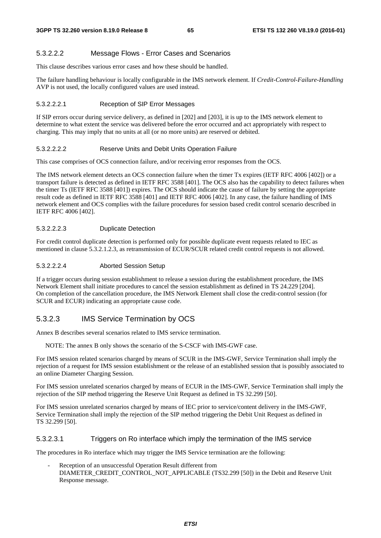#### 5.3.2.2.2 Message Flows - Error Cases and Scenarios

This clause describes various error cases and how these should be handled.

The failure handling behaviour is locally configurable in the IMS network element. If *Credit-Control-Failure-Handling* AVP is not used, the locally configured values are used instead.

#### 5.3.2.2.2.1 Reception of SIP Error Messages

If SIP errors occur during service delivery, as defined in [202] and [203], it is up to the IMS network element to determine to what extent the service was delivered before the error occurred and act appropriately with respect to charging. This may imply that no units at all (or no more units) are reserved or debited.

#### 5.3.2.2.2.2 Reserve Units and Debit Units Operation Failure

This case comprises of OCS connection failure, and/or receiving error responses from the OCS.

The IMS network element detects an OCS connection failure when the timer Tx expires (IETF RFC 4006 [402]) or a transport failure is detected as defined in IETF RFC 3588 [401]. The OCS also has the capability to detect failures when the timer Ts (IETF RFC 3588 [401]) expires. The OCS should indicate the cause of failure by setting the appropriate result code as defined in IETF RFC 3588 [401] and IETF RFC 4006 [402]. In any case, the failure handling of IMS network element and OCS complies with the failure procedures for session based credit control scenario described in IETF RFC 4006 [402].

#### 5.3.2.2.2.3 Duplicate Detection

For credit control duplicate detection is performed only for possible duplicate event requests related to IEC as mentioned in clause 5.3.2.1.2.3, as retransmission of ECUR/SCUR related credit control requests is not allowed.

#### 5.3.2.2.2.4 Aborted Session Setup

If a trigger occurs during session establishment to release a session during the establishment procedure, the IMS Network Element shall initiate procedures to cancel the session establishment as defined in TS 24.229 [204]. On completion of the cancellation procedure, the IMS Network Element shall close the credit-control session (for SCUR and ECUR) indicating an appropriate cause code.

## 5.3.2.3 IMS Service Termination by OCS

Annex B describes several scenarios related to IMS service termination.

NOTE: The annex B only shows the scenario of the S-CSCF with IMS-GWF case.

For IMS session related scenarios charged by means of SCUR in the IMS-GWF, Service Termination shall imply the rejection of a request for IMS session establishment or the release of an established session that is possibly associated to an online Diameter Charging Session.

For IMS session unrelated scenarios charged by means of ECUR in the IMS-GWF, Service Termination shall imply the rejection of the SIP method triggering the Reserve Unit Request as defined in TS 32.299 [50].

For IMS session unrelated scenarios charged by means of IEC prior to service/content delivery in the IMS-GWF, Service Termination shall imply the rejection of the SIP method triggering the Debit Unit Request as defined in TS 32.299 [50].

#### 5.3.2.3.1 Triggers on Ro interface which imply the termination of the IMS service

The procedures in Ro interface which may trigger the IMS Service termination are the following:

Reception of an unsuccessful Operation Result different from DIAMETER\_CREDIT\_CONTROL\_NOT\_APPLICABLE (TS32.299 [50]) in the Debit and Reserve Unit Response message.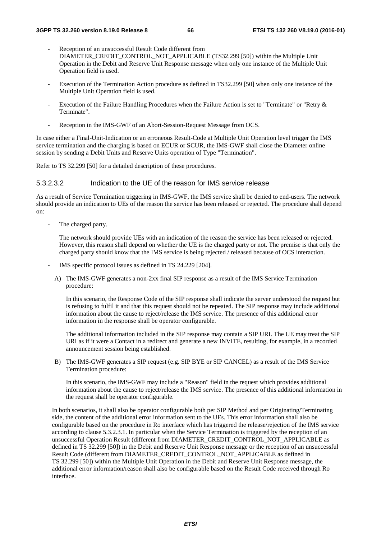- Reception of an unsuccessful Result Code different from DIAMETER\_CREDIT\_CONTROL\_NOT\_APPLICABLE (TS32.299 [50]) within the Multiple Unit Operation in the Debit and Reserve Unit Response message when only one instance of the Multiple Unit Operation field is used.
- Execution of the Termination Action procedure as defined in TS32.299 [50] when only one instance of the Multiple Unit Operation field is used.
- Execution of the Failure Handling Procedures when the Failure Action is set to "Terminate" or "Retry & Terminate".
- Reception in the IMS-GWF of an Abort-Session-Request Message from OCS.

In case either a Final-Unit-Indication or an erroneous Result-Code at Multiple Unit Operation level trigger the IMS service termination and the charging is based on ECUR or SCUR, the IMS-GWF shall close the Diameter online session by sending a Debit Units and Reserve Units operation of Type "Termination".

Refer to TS 32.299 [50] for a detailed description of these procedures.

#### 5.3.2.3.2 Indication to the UE of the reason for IMS service release

As a result of Service Termination triggering in IMS-GWF, the IMS service shall be denied to end-users. The network should provide an indication to UEs of the reason the service has been released or rejected. The procedure shall depend on:

The charged party.

The network should provide UEs with an indication of the reason the service has been released or rejected. However, this reason shall depend on whether the UE is the charged party or not. The premise is that only the charged party should know that the IMS service is being rejected / released because of OCS interaction.

- IMS specific protocol issues as defined in TS 24.229 [204].
	- A) The IMS-GWF generates a non-2xx final SIP response as a result of the IMS Service Termination procedure:

In this scenario, the Response Code of the SIP response shall indicate the server understood the request but is refusing to fulfil it and that this request should not be repeated. The SIP response may include additional information about the cause to reject/release the IMS service. The presence of this additional error information in the response shall be operator configurable.

The additional information included in the SIP response may contain a SIP URI. The UE may treat the SIP URI as if it were a Contact in a redirect and generate a new INVITE, resulting, for example, in a recorded announcement session being established.

B) The IMS-GWF generates a SIP request (e.g. SIP BYE or SIP CANCEL) as a result of the IMS Service Termination procedure:

In this scenario, the IMS-GWF may include a "Reason" field in the request which provides additional information about the cause to reject/release the IMS service. The presence of this additional information in the request shall be operator configurable.

In both scenarios, it shall also be operator configurable both per SIP Method and per Originating/Terminating side, the content of the additional error information sent to the UEs. This error information shall also be configurable based on the procedure in Ro interface which has triggered the release/rejection of the IMS service according to clause 5.3.2.3.1. In particular when the Service Termination is triggered by the reception of an unsuccessful Operation Result (different from DIAMETER\_CREDIT\_CONTROL\_NOT\_APPLICABLE as defined in TS 32.299 [50]) in the Debit and Reserve Unit Response message or the reception of an unsuccessful Result Code (different from DIAMETER\_CREDIT\_CONTROL\_NOT\_APPLICABLE as defined in TS 32.299 [50]) within the Multiple Unit Operation in the Debit and Reserve Unit Response message, the additional error information/reason shall also be configurable based on the Result Code received through Ro interface.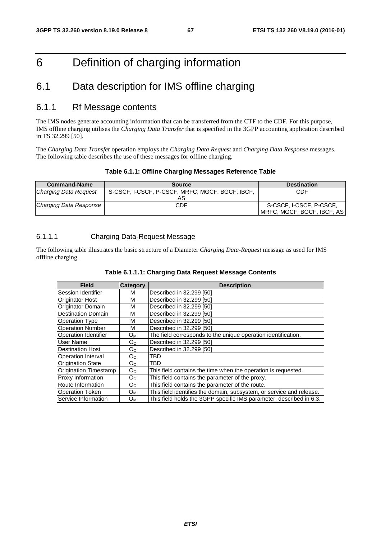# 6 Definition of charging information

## 6.1 Data description for IMS offline charging

## 6.1.1 Rf Message contents

The IMS nodes generate accounting information that can be transferred from the CTF to the CDF. For this purpose, IMS offline charging utilises the *Charging Data Transfer* that is specified in the 3GPP accounting application described in TS 32.299 [50].

The *Charging Data Transfe*r operation employs the *Charging Data Request* and *Charging Data Response* messages. The following table describes the use of these messages for offline charging.

|  | Table 6.1.1: Offline Charging Messages Reference Table |
|--|--------------------------------------------------------|
|--|--------------------------------------------------------|

| <b>Command-Name</b>    | <b>Source</b>                                   | <b>Destination</b>         |
|------------------------|-------------------------------------------------|----------------------------|
| Charging Data Request  | S-CSCF, I-CSCF, P-CSCF, MRFC, MGCF, BGCF, IBCF, | CDF                        |
|                        |                                                 |                            |
| Charging Data Response | CDF                                             | S-CSCF, I-CSCF, P-CSCF,    |
|                        |                                                 | MRFC, MGCF, BGCF, IBCF, AS |

## 6.1.1.1 Charging Data-Request Message

The following table illustrates the basic structure of a Diameter *Charging Data-Request* message as used for IMS offline charging.

|  | Table 6.1.1.1: Charging Data Request Message Contents |
|--|-------------------------------------------------------|
|--|-------------------------------------------------------|

| Field                        | <b>Category</b> | <b>Description</b>                                                   |
|------------------------------|-----------------|----------------------------------------------------------------------|
| Session Identifier           | М               | Described in 32.299 [50]                                             |
| <b>Originator Host</b>       | м               | Described in 32.299 [50]                                             |
| <b>Originator Domain</b>     | М               | Described in 32.299 [50]                                             |
| <b>Destination Domain</b>    | М               | Described in 32,299 [50]                                             |
| <b>Operation Type</b>        | м               | Described in 32,299 [50]                                             |
| <b>Operation Number</b>      | М               | Described in 32.299 [50]                                             |
| <b>Operation Identifier</b>  | $O_{M}$         | The field corresponds to the unique operation identification.        |
| User Name                    | O <sub>C</sub>  | Described in 32.299 [50]                                             |
| <b>Destination Host</b>      | O <sub>c</sub>  | Described in 32.299 [50]                                             |
| <b>Operation Interval</b>    | O <sub>c</sub>  | TBD                                                                  |
| <b>Origination State</b>     | O <sub>C</sub>  | TBD                                                                  |
| <b>Origination Timestamp</b> | O <sub>C</sub>  | This field contains the time when the operation is requested.        |
| Proxy Information            | O <sub>C</sub>  | This field contains the parameter of the proxy.                      |
| Route Information            | O <sub>C</sub>  | This field contains the parameter of the route.                      |
| <b>Operation Token</b>       | $O_{M}$         | This field identifies the domain, subsystem, or service and release. |
| <b>Service Information</b>   | Oм              | This field holds the 3GPP specific IMS parameter, described in 6.3.  |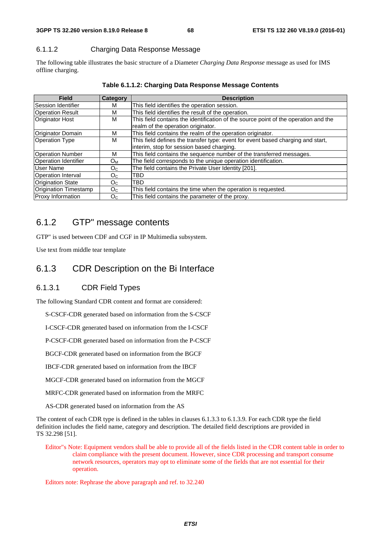#### **3GPP TS 32.260 version 8.19.0 Release 8 68 ETSI TS 132 260 V8.19.0 (2016-01)**

## 6.1.1.2 Charging Data Response Message

The following table illustrates the basic structure of a Diameter *Charging Data Response* message as used for IMS offline charging.

| <b>Field</b>                | Category       | <b>Description</b>                                                                  |
|-----------------------------|----------------|-------------------------------------------------------------------------------------|
| Session Identifier          | м              | This field identifies the operation session.                                        |
| <b>Operation Result</b>     | м              | This field identifies the result of the operation.                                  |
| <b>Originator Host</b>      | м              | This field contains the identification of the source point of the operation and the |
|                             |                | realm of the operation originator.                                                  |
| Originator Domain           | м              | This field contains the realm of the operation originator.                          |
| <b>Operation Type</b>       | м              | This field defines the transfer type: event for event based charging and start,     |
|                             |                | interim, stop for session based charging.                                           |
| <b>Operation Number</b>     | м              | This field contains the sequence number of the transferred messages.                |
| <b>Operation Identifier</b> | $O_{M}$        | The field corresponds to the unique operation identification.                       |
| User Name                   | O <sub>C</sub> | The field contains the Private User Identity [201].                                 |
| Operation Interval          | O <sub>C</sub> | <b>TBD</b>                                                                          |
| <b>Origination State</b>    | O <sub>C</sub> | <b>TBD</b>                                                                          |
| Origination Timestamp       | O <sub>C</sub> | This field contains the time when the operation is requested.                       |
| <b>Proxy Information</b>    | O <sub>c</sub> | This field contains the parameter of the proxy.                                     |

**Table 6.1.1.2: Charging Data Response Message Contents** 

## 6.1.2 GTP" message contents

GTP" is used between CDF and CGF in IP Multimedia subsystem.

Use text from middle tear template

## 6.1.3 CDR Description on the Bi Interface

## 6.1.3.1 CDR Field Types

The following Standard CDR content and format are considered:

S-CSCF-CDR generated based on information from the S-CSCF

I-CSCF-CDR generated based on information from the I-CSCF

P-CSCF-CDR generated based on information from the P-CSCF

BGCF-CDR generated based on information from the BGCF

IBCF-CDR generated based on information from the IBCF

MGCF-CDR generated based on information from the MGCF

MRFC-CDR generated based on information from the MRFC

AS-CDR generated based on information from the AS

The content of each CDR type is defined in the tables in clauses 6.1.3.3 to 6.1.3.9. For each CDR type the field definition includes the field name, category and description. The detailed field descriptions are provided in TS 32.298 [51].

Editor"s Note: Equipment vendors shall be able to provide all of the fields listed in the CDR content table in order to claim compliance with the present document. However, since CDR processing and transport consume network resources, operators may opt to eliminate some of the fields that are not essential for their operation.

Editors note: Rephrase the above paragraph and ref. to 32.240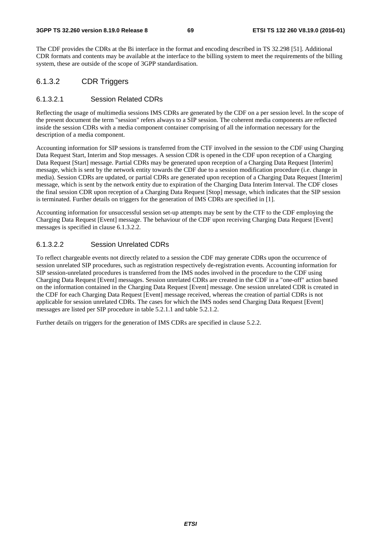The CDF provides the CDRs at the Bi interface in the format and encoding described in TS 32.298 [51]. Additional CDR formats and contents may be available at the interface to the billing system to meet the requirements of the billing system, these are outside of the scope of 3GPP standardisation.

## 6.1.3.2 CDR Triggers

### 6.1.3.2.1 Session Related CDRs

Reflecting the usage of multimedia sessions IMS CDRs are generated by the CDF on a per session level. In the scope of the present document the term "session" refers always to a SIP session. The coherent media components are reflected inside the session CDRs with a media component container comprising of all the information necessary for the description of a media component.

Accounting information for SIP sessions is transferred from the CTF involved in the session to the CDF using Charging Data Request Start, Interim and Stop messages. A session CDR is opened in the CDF upon reception of a Charging Data Request [Start] message. Partial CDRs may be generated upon reception of a Charging Data Request [Interim] message, which is sent by the network entity towards the CDF due to a session modification procedure (i.e. change in media). Session CDRs are updated, or partial CDRs are generated upon reception of a Charging Data Request [Interim] message, which is sent by the network entity due to expiration of the Charging Data Interim Interval. The CDF closes the final session CDR upon reception of a Charging Data Request [Stop] message, which indicates that the SIP session is terminated. Further details on triggers for the generation of IMS CDRs are specified in [1].

Accounting information for unsuccessful session set-up attempts may be sent by the CTF to the CDF employing the Charging Data Request [Event] message. The behaviour of the CDF upon receiving Charging Data Request [Event] messages is specified in clause 6.1.3.2.2.

### 6.1.3.2.2 Session Unrelated CDRs

To reflect chargeable events not directly related to a session the CDF may generate CDRs upon the occurrence of session unrelated SIP procedures, such as registration respectively de-registration events. Accounting information for SIP session-unrelated procedures is transferred from the IMS nodes involved in the procedure to the CDF using Charging Data Request [Event] messages. Session unrelated CDRs are created in the CDF in a "one-off" action based on the information contained in the Charging Data Request [Event] message. One session unrelated CDR is created in the CDF for each Charging Data Request [Event] message received, whereas the creation of partial CDRs is not applicable for session unrelated CDRs. The cases for which the IMS nodes send Charging Data Request [Event] messages are listed per SIP procedure in table 5.2.1.1 and table 5.2.1.2.

Further details on triggers for the generation of IMS CDRs are specified in clause 5.2.2.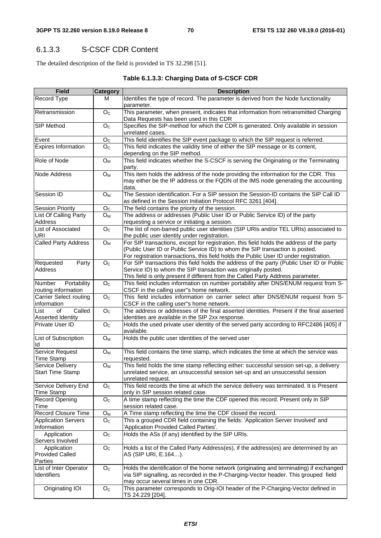## 6.1.3.3 S-CSCF CDR Content

The detailed description of the field is provided in TS 32.298 [51].

## **Table 6.1.3.3: Charging Data of S-CSCF CDR**

| <b>Field</b>                                     | <b>Category</b>           | <b>Description</b>                                                                                                                                                                                                                                                 |
|--------------------------------------------------|---------------------------|--------------------------------------------------------------------------------------------------------------------------------------------------------------------------------------------------------------------------------------------------------------------|
| Record Type                                      | м                         | Identifies the type of record. The parameter is derived from the Node functionality<br>parameter.                                                                                                                                                                  |
| Retransmission                                   | $\overline{O}_C$          | This parameter, when present, indicates that information from retransmitted Charging<br>Data Requests has been used in this CDR                                                                                                                                    |
| SIP Method                                       | O <sub>C</sub>            | Specifies the SIP-method for which the CDR is generated. Only available in session<br>unrelated cases.                                                                                                                                                             |
| Event                                            | O <sub>C</sub>            | This field identifies the SIP event package to which the SIP request is referred.                                                                                                                                                                                  |
| <b>Expires Information</b>                       | O <sub>C</sub>            | This field indicates the validity time of either the SIP message or its content,                                                                                                                                                                                   |
|                                                  |                           | depending on the SIP method.                                                                                                                                                                                                                                       |
| Role of Node                                     | $O_{M}$                   | This field indicates whether the S-CSCF is serving the Originating or the Terminating<br>party.                                                                                                                                                                    |
| <b>Node Address</b>                              | O <sub>M</sub>            | This item holds the address of the node providing the information for the CDR. This<br>may either be the IP address or the FQDN of the IMS node generating the accounting<br>data.                                                                                 |
| Session ID                                       | O <sub>M</sub>            | The Session identification. For a SIP session the Session-ID contains the SIP Call ID<br>as defined in the Session Initiation Protocol RFC 3261 [404].                                                                                                             |
| <b>Session Priority</b>                          | O <sub>C</sub>            | The field contains the priority of the session.                                                                                                                                                                                                                    |
| List Of Calling Party                            | $O_{M}$                   | The address or addresses (Public User ID or Public Service ID) of the party                                                                                                                                                                                        |
| Address                                          |                           | requesting a service or initiating a session.                                                                                                                                                                                                                      |
| List of Associated<br><b>URI</b>                 | O <sub>C</sub>            | The list of non-barred public user identities (SIP URIs and/or TEL URIs) associated to<br>the public user identity under registration.                                                                                                                             |
| <b>Called Party Address</b>                      | $O_M$                     | For SIP transactions, except for registration, this field holds the address of the party<br>(Public User ID or Public Service ID) to whom the SIP transaction is posted.<br>For registration transactions, this field holds the Public User ID under registration. |
| Requested<br>Party<br><b>Address</b>             | O <sub>C</sub>            | For SIP transactions this field holds the address of the party (Public User ID or Public<br>Service ID) to whom the SIP transaction was originally posted.                                                                                                         |
|                                                  |                           | This field is only present if different from the Called Party Address parameter.                                                                                                                                                                                   |
| Portability<br><b>Number</b>                     | O <sub>C</sub>            | This field includes information on number portability after DNS/ENUM request from S-                                                                                                                                                                               |
| routing information                              |                           | CSCF in the calling user"s home network.                                                                                                                                                                                                                           |
| <b>Carrier Select routing</b><br>information     | O <sub>c</sub>            | This field includes information on carrier select after DNS/ENUM request from S-<br>CSCF in the calling user"s home network.                                                                                                                                       |
| Called<br>of<br>List<br>Asserted Identity        | O <sub>C</sub>            | The address or addresses of the final asserted identities. Present if the final asserted<br>identities are available in the SIP 2xx response.                                                                                                                      |
| Private User ID                                  | O <sub>C</sub>            | Holds the used private user identity of the served party according to RFC2486 [405] if<br>available.                                                                                                                                                               |
| List of Subscription<br>ld                       | $O_{M}$                   | Holds the public user identities of the served user                                                                                                                                                                                                                |
| Service Request<br><b>Time Stamp</b>             | $O_M$                     | This field contains the time stamp, which indicates the time at which the service was<br>requested.                                                                                                                                                                |
| Service Delivery<br><b>Start Time Stamp</b>      | $O_{M}$                   | This field holds the time stamp reflecting either: successful session set-up, a delivery<br>unrelated service, an unsuccessful session set-up and an unsuccessful session<br>unrelated request.                                                                    |
| Service Delivery End<br><b>Time Stamp</b>        | O <sub>C</sub>            | This field records the time at which the service delivery was terminated. It is Present<br>only in SIP session related case.                                                                                                                                       |
| <b>Record Opening</b><br>Time                    | O <sub>C</sub>            | A time stamp reflecting the time the CDF opened this record. Present only in SIP<br>session related case.                                                                                                                                                          |
| Record Closure Time                              | $\mathsf{O}_{\mathsf{M}}$ | A Time stamp reflecting the time the CDF closed the record.                                                                                                                                                                                                        |
| <b>Application Servers</b><br>Information        | O <sub>C</sub>            | This a grouped CDR field containing the fields: 'Application Server Involved' and<br>'Application Provided Called Parties'.                                                                                                                                        |
| Application<br>Servers Involved                  | O <sub>C</sub>            | Holds the ASs (if any) identified by the SIP URIs.                                                                                                                                                                                                                 |
| Application<br><b>Provided Called</b><br>Parties | O <sub>C</sub>            | Holds a list of the Called Party Address(es), if the address(es) are determined by an<br>AS (SIP URI, E.164).                                                                                                                                                      |
| List of Inter Operator<br><b>Identifiers</b>     | O <sub>c</sub>            | Holds the identification of the home network (originating and terminating) if exchanged<br>via SIP signalling, as recorded in the P-Charging-Vector header. This grouped field<br>may occur several times in one CDR.                                              |
| Originating IOI                                  | O <sub>C</sub>            | This parameter corresponds to Orig-IOI header of the P-Charging-Vector defined in<br>TS 24.229 [204].                                                                                                                                                              |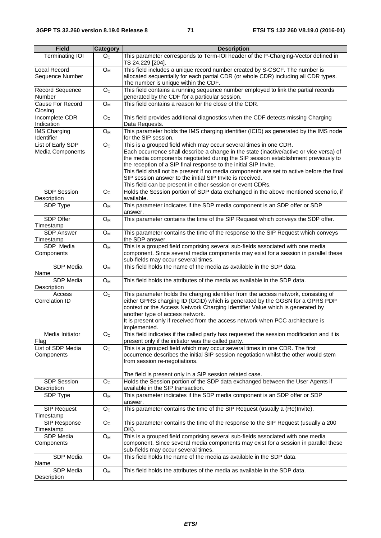| <b>Field</b>                      | <b>Category</b>         | <b>Description</b>                                                                                                                                                                                                                                                                                                                                                                                                                                                        |
|-----------------------------------|-------------------------|---------------------------------------------------------------------------------------------------------------------------------------------------------------------------------------------------------------------------------------------------------------------------------------------------------------------------------------------------------------------------------------------------------------------------------------------------------------------------|
| <b>Terminating IOI</b>            | O <sub>C</sub>          | This parameter corresponds to Term-IOI header of the P-Charging-Vector defined in<br>TS 24.229 [204].                                                                                                                                                                                                                                                                                                                                                                     |
| Local Record<br>Sequence Number   | O <sub>M</sub>          | This field includes a unique record number created by S-CSCF. The number is<br>allocated sequentially for each partial CDR (or whole CDR) including all CDR types.<br>The number is unique within the CDF.                                                                                                                                                                                                                                                                |
| Record Sequence<br>Number         | $\mathsf{O}_\mathbb{C}$ | This field contains a running sequence number employed to link the partial records<br>generated by the CDF for a particular session.                                                                                                                                                                                                                                                                                                                                      |
| Cause For Record<br>Closing       | O <sub>M</sub>          | This field contains a reason for the close of the CDR.                                                                                                                                                                                                                                                                                                                                                                                                                    |
| Incomplete CDR<br>Indication      | O <sub>C</sub>          | This field provides additional diagnostics when the CDF detects missing Charging<br>Data Requests.                                                                                                                                                                                                                                                                                                                                                                        |
| <b>IMS Charging</b><br>Identifier | $O_{M}$                 | This parameter holds the IMS charging identifier (ICID) as generated by the IMS node<br>for the SIP session.                                                                                                                                                                                                                                                                                                                                                              |
| List of Early SDP                 | O <sub>C</sub>          | This is a grouped field which may occur several times in one CDR.                                                                                                                                                                                                                                                                                                                                                                                                         |
| <b>Media Components</b>           |                         | Each occurrence shall describe a change in the state (inactive/active or vice versa) of<br>the media components negotiated during the SIP session establishment previously to<br>the reception of a SIP final response to the initial SIP Invite.<br>This field shall not be present if no media components are set to active before the final<br>SIP session answer to the initial SIP Invite is received.<br>This field can be present in either session or event CDRs. |
| <b>SDP Session</b>                | O <sub>C</sub>          | Holds the Session portion of SDP data exchanged in the above mentioned scenario, if<br>available.                                                                                                                                                                                                                                                                                                                                                                         |
| Description<br>SDP Type           | O <sub>M</sub>          | This parameter indicates if the SDP media component is an SDP offer or SDP<br>answer.                                                                                                                                                                                                                                                                                                                                                                                     |
| SDP Offer<br>Timestamp            | O <sub>M</sub>          | This parameter contains the time of the SIP Request which conveys the SDP offer.                                                                                                                                                                                                                                                                                                                                                                                          |
| <b>SDP Answer</b><br>Timestamp    | $O_{M}$                 | This parameter contains the time of the response to the SIP Request which conveys<br>the SDP answer.                                                                                                                                                                                                                                                                                                                                                                      |
| SDP Media<br>Components           | O <sub>M</sub>          | This is a grouped field comprising several sub-fields associated with one media<br>component. Since several media components may exist for a session in parallel these<br>sub-fields may occur several times.                                                                                                                                                                                                                                                             |
| SDP Media<br>Name                 | $O_{M}$                 | This field holds the name of the media as available in the SDP data.                                                                                                                                                                                                                                                                                                                                                                                                      |
| SDP Media<br>Description          | $O_M$                   | This field holds the attributes of the media as available in the SDP data.                                                                                                                                                                                                                                                                                                                                                                                                |
| Access<br>Correlation ID          | O <sub>C</sub>          | This parameter holds the charging identifier from the access network, consisting of<br>either GPRS charging ID (GCID) which is generated by the GGSN for a GPRS PDP<br>context or the Access Network Charging Identifier Value which is generated by<br>another type of access network.<br>It is present only if received from the access network when PCC architecture is<br>implemented.                                                                                |
| Media Initiator<br>Flag           | O <sub>C</sub>          | This field indicates if the called party has requested the session modification and it is<br>present only if the initiator was the called party.                                                                                                                                                                                                                                                                                                                          |
| List of SDP Media<br>Components   | O <sub>C</sub>          | This is a grouped field which may occur several times in one CDR. The first<br>occurrence describes the initial SIP session negotiation whilst the other would stem<br>from session re-negotiations.<br>The field is present only in a SIP session related case.                                                                                                                                                                                                          |
| <b>SDP Session</b><br>Description | O <sub>C</sub>          | Holds the Session portion of the SDP data exchanged between the User Agents if<br>available in the SIP transaction.                                                                                                                                                                                                                                                                                                                                                       |
| SDP Type                          | $O_{M}$                 | This parameter indicates if the SDP media component is an SDP offer or SDP<br>answer.                                                                                                                                                                                                                                                                                                                                                                                     |
| <b>SIP Request</b><br>Timestamp   | $\mathsf{O}_\mathbb{C}$ | This parameter contains the time of the SIP Request (usually a (Re)Invite).                                                                                                                                                                                                                                                                                                                                                                                               |
| SIP Response<br>Timestamp         | O <sub>C</sub>          | This parameter contains the time of the response to the SIP Request (usually a 200<br>OK).                                                                                                                                                                                                                                                                                                                                                                                |
| SDP Media<br>Components           | $O_{M}$                 | This is a grouped field comprising several sub-fields associated with one media<br>component. Since several media components may exist for a session in parallel these<br>sub-fields may occur several times.                                                                                                                                                                                                                                                             |
| SDP Media<br>Name                 | $O_{M}$                 | This field holds the name of the media as available in the SDP data.                                                                                                                                                                                                                                                                                                                                                                                                      |
| SDP Media<br>Description          | $O_M$                   | This field holds the attributes of the media as available in the SDP data.                                                                                                                                                                                                                                                                                                                                                                                                |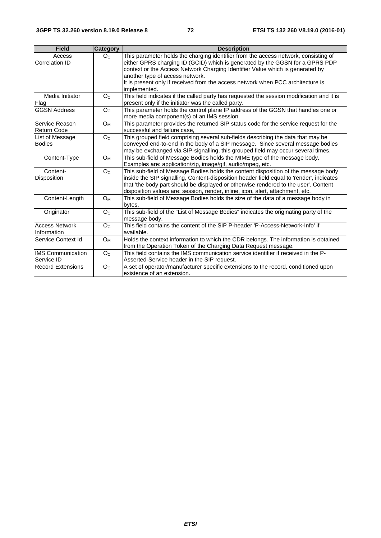| <b>Field</b>                           | <b>Category</b> | <b>Description</b>                                                                                                                                                                                                                                                                                                                                      |
|----------------------------------------|-----------------|---------------------------------------------------------------------------------------------------------------------------------------------------------------------------------------------------------------------------------------------------------------------------------------------------------------------------------------------------------|
| Access<br><b>Correlation ID</b>        | O <sub>C</sub>  | This parameter holds the charging identifier from the access network, consisting of<br>either GPRS charging ID (GCID) which is generated by the GGSN for a GPRS PDP                                                                                                                                                                                     |
|                                        |                 | context or the Access Network Charging Identifier Value which is generated by                                                                                                                                                                                                                                                                           |
|                                        |                 | another type of access network.<br>It is present only if received from the access network when PCC architecture is<br>implemented.                                                                                                                                                                                                                      |
| Media Initiator<br>Flag                | O <sub>C</sub>  | This field indicates if the called party has requested the session modification and it is<br>present only if the initiator was the called party.                                                                                                                                                                                                        |
| <b>GGSN Address</b>                    | O <sub>C</sub>  | This parameter holds the control plane IP address of the GGSN that handles one or<br>more media component(s) of an IMS session.                                                                                                                                                                                                                         |
| Service Reason<br><b>Return Code</b>   | O <sub>M</sub>  | This parameter provides the returned SIP status code for the service request for the<br>successful and failure case.                                                                                                                                                                                                                                    |
| List of Message<br><b>Bodies</b>       | O <sub>C</sub>  | This grouped field comprising several sub-fields describing the data that may be<br>conveyed end-to-end in the body of a SIP message. Since several message bodies<br>may be exchanged via SIP-signalling, this grouped field may occur several times.                                                                                                  |
| Content-Type                           | O <sub>M</sub>  | This sub-field of Message Bodies holds the MIME type of the message body,<br>Examples are: application/zip, image/gif, audio/mpeg, etc.                                                                                                                                                                                                                 |
| Content-<br>Disposition                | O <sub>C</sub>  | This sub-field of Message Bodies holds the content disposition of the message body<br>inside the SIP signalling, Content-disposition header field equal to 'render', indicates<br>that 'the body part should be displayed or otherwise rendered to the user'. Content<br>disposition values are: session, render, inline, icon, alert, attachment, etc. |
| Content-Length                         | $O_{M}$         | This sub-field of Message Bodies holds the size of the data of a message body in<br>bytes.                                                                                                                                                                                                                                                              |
| Originator                             | O <sub>C</sub>  | This sub-field of the "List of Message Bodies" indicates the originating party of the<br>message body.                                                                                                                                                                                                                                                  |
| <b>Access Network</b><br>Information   | O <sub>C</sub>  | This field contains the content of the SIP P-header 'P-Access-Network-Info' if<br>available.                                                                                                                                                                                                                                                            |
| Service Context Id                     | $O_M$           | Holds the context information to which the CDR belongs. The information is obtained<br>from the Operation Token of the Charging Data Request message.                                                                                                                                                                                                   |
| <b>IMS Communication</b><br>Service ID | O <sub>C</sub>  | This field contains the IMS communication service identifier if received in the P-<br>Asserted-Service header in the SIP request.                                                                                                                                                                                                                       |
| <b>Record Extensions</b>               | O <sub>C</sub>  | A set of operator/manufacturer specific extensions to the record, conditioned upon<br>existence of an extension.                                                                                                                                                                                                                                        |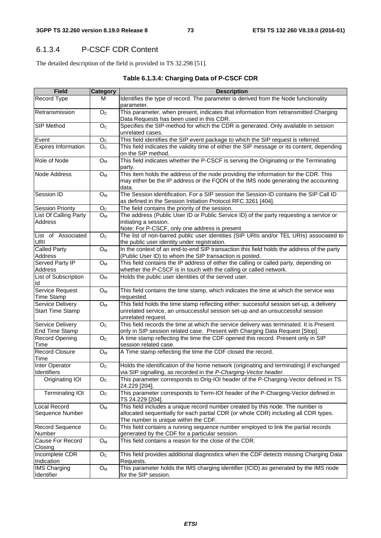# 6.1.3.4 P-CSCF CDR Content

The detailed description of the field is provided in TS 32.298 [51].

### **Table 6.1.3.4: Charging Data of P-CSCF CDR**

| <b>Field</b>                                | <b>Category</b>           | <b>Description</b>                                                                                                                                                                                            |
|---------------------------------------------|---------------------------|---------------------------------------------------------------------------------------------------------------------------------------------------------------------------------------------------------------|
| Record Type                                 | м                         | Identifies the type of record. The parameter is derived from the Node functionality<br>parameter.                                                                                                             |
| Retransmission                              | O <sub>c</sub>            | .<br>This parameter, when present, indicates that information from retransmitted Charging<br>Data Requests has been used in this CDR.                                                                         |
| SIP Method                                  | O <sub>C</sub>            | Specifies the SIP-method for which the CDR is generated. Only available in session<br>unrelated cases.                                                                                                        |
| Event                                       | O <sub>C</sub>            | This field identifies the SIP event package to which the SIP request is referred.                                                                                                                             |
| <b>Expires Information</b>                  | O <sub>C</sub>            | This field indicates the validity time of either the SIP message or its content, depending<br>on the SIP method.                                                                                              |
| Role of Node                                | $O_M$                     | This field indicates whether the P-CSCF is serving the Originating or the Terminating<br>party.                                                                                                               |
| <b>Node Address</b>                         | O <sub>M</sub>            | This item holds the address of the node providing the information for the CDR. This<br>may either be the IP address or the FQDN of the IMS node generating the accounting<br>data.                            |
| Session ID                                  | O <sub>M</sub>            | The Session identification. For a SIP session the Session-ID contains the SIP Call ID<br>as defined in the Session Initiation Protocol RFC 3261 [404].                                                        |
| <b>Session Priority</b>                     | O <sub>C</sub>            | The field contains the priority of the session.                                                                                                                                                               |
| List Of Calling Party<br>Address            | $O_{M}$                   | The address (Public User ID or Public Service ID) of the party requesting a service or<br>initiating a session.<br>Note: For P-CSCF, only one address is present                                              |
| List of Associated<br><b>URI</b>            | O <sub>c</sub>            | The list of non-barred public user identities (SIP URIs and/or TEL URIs) associated to<br>the public user identity under registration.                                                                        |
| <b>Called Party</b><br>Address              | $O_{M}$                   | In the context of an end-to-end SIP transaction this field holds the address of the party<br>(Public User ID) to whom the SIP transaction is posted.                                                          |
| <b>Served Party IP</b><br>Address           | $O_{M}$                   | This field contains the IP address of either the calling or called party, depending on<br>whether the P-CSCF is in touch with the calling or called network.                                                  |
| List of Subscription<br>ld                  | O <sub>M</sub>            | Holds the public user identities of the served user.                                                                                                                                                          |
| Service Request<br><b>Time Stamp</b>        | $O_{M}$                   | This field contains the time stamp, which indicates the time at which the service was<br>requested.                                                                                                           |
| Service Delivery<br><b>Start Time Stamp</b> | $O_M$                     | This field holds the time stamp reflecting either: successful session set-up, a delivery<br>unrelated service, an unsuccessful session set-up and an unsuccessful session<br>unrelated request.               |
| Service Delivery<br><b>End Time Stamp</b>   | O <sub>C</sub>            | This field records the time at which the service delivery was terminated. It is Present<br>only in SIP session related case. Present with Charging Data Request [Stop].                                       |
| <b>Record Opening</b><br>Time               | O <sub>c</sub>            | A time stamp reflecting the time the CDF opened this record. Present only in SIP<br>session related case.                                                                                                     |
| <b>Record Closure</b><br>Time               | $O_M$                     | A Time stamp reflecting the time the CDF closed the record.                                                                                                                                                   |
| Inter Operator<br>Identifiers               | O <sub>C</sub>            | Holds the identification of the home network (originating and terminating) if exchanged<br>via SIP signalling, as recorded in the P-Charging-Vector header.                                                   |
| Originating IOI                             | O <sub>C</sub>            | This parameter corresponds to Orig-IOI header of the P-Charging-Vector defined in TS<br>24.229 [204].                                                                                                         |
| <b>Terminating IOI</b>                      | O <sub>C</sub>            | This parameter corresponds to Term-IOI header of the P-Charging-Vector defined in<br>TS 24.229 [204].                                                                                                         |
| Local Record<br>Sequence Number             | ${\mathsf O}_{\mathsf M}$ | This field includes a unique record number created by this node. The number is<br>allocated sequentially for each partial CDR (or whole CDR) including all CDR types.<br>The number is unique within the CDF. |
| Record Sequence<br>Number                   | O <sub>c</sub>            | This field contains a running sequence number employed to link the partial records<br>generated by the CDF for a particular session.                                                                          |
| Cause For Record<br>Closing                 | ${\mathsf O}_{\mathsf M}$ | This field contains a reason for the close of the CDR.                                                                                                                                                        |
| Incomplete CDR<br>Indication                | O <sub>C</sub>            | This field provides additional diagnostics when the CDF detects missing Charging Data<br>Requests.                                                                                                            |
| <b>IMS Charging</b><br>Identifier           | $O_{M}$                   | This parameter holds the IMS charging identifier (ICID) as generated by the IMS node<br>for the SIP session.                                                                                                  |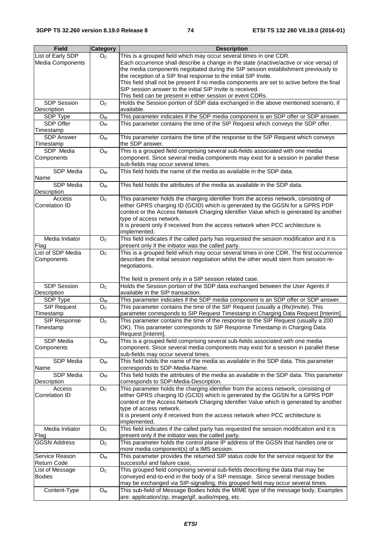| <b>Field</b>           | Category                | <b>Description</b>                                                                                                                         |
|------------------------|-------------------------|--------------------------------------------------------------------------------------------------------------------------------------------|
| List of Early SDP      | O <sub>C</sub>          | This is a grouped field which may occur several times in one CDR.                                                                          |
| Media Components       |                         | Each occurrence shall describe a change in the state (inactive/active or vice versa) of                                                    |
|                        |                         | the media components negotiated during the SIP session establishment previously to                                                         |
|                        |                         | the reception of a SIP final response to the initial SIP Invite.                                                                           |
|                        |                         | This field shall not be present if no media components are set to active before the final                                                  |
|                        |                         | SIP session answer to the initial SIP Invite is received.                                                                                  |
|                        |                         | This field can be present in either session or event CDRs.                                                                                 |
| <b>SDP Session</b>     | O <sub>C</sub>          | Holds the Session portion of SDP data exchanged in the above mentioned scenario, if                                                        |
| Description            |                         | available.                                                                                                                                 |
| SDP Type               | $O_{M}$                 | This parameter indicates if the SDP media component is an SDP offer or SDP answer.                                                         |
| SDP Offer              | $O_{M}$                 | This parameter contains the time of the SIP Request which conveys the SDP offer.                                                           |
| Timestamp              |                         |                                                                                                                                            |
| <b>SDP Answer</b>      | O <sub>M</sub>          | This parameter contains the time of the response to the SIP Request which conveys                                                          |
| Timestamp              |                         | the SDP answer.                                                                                                                            |
| SDP Media              | $O_{M}$                 | This is a grouped field comprising several sub-fields associated with one media                                                            |
| Components             |                         | component. Since several media components may exist for a session in parallel these                                                        |
|                        |                         | sub-fields may occur several times.                                                                                                        |
| <b>SDP Media</b>       | O <sub>M</sub>          | This field holds the name of the media as available in the SDP data.                                                                       |
| Name                   |                         |                                                                                                                                            |
| SDP Media              | O <sub>M</sub>          | This field holds the attributes of the media as available in the SDP data.                                                                 |
| Description            |                         |                                                                                                                                            |
| Access                 | O <sub>C</sub>          | This parameter holds the charging identifier from the access network, consisting of                                                        |
| Correlation ID         |                         | either GPRS charging ID (GCID) which is generated by the GGSN for a GPRS PDP                                                               |
|                        |                         | context or the Access Network Charging Identifier Value which is generated by another                                                      |
|                        |                         | type of access network.                                                                                                                    |
|                        |                         | It is present only if received from the access network when PCC architecture is                                                            |
|                        |                         | implemented.                                                                                                                               |
| Media Initiator        | $\mathsf{O}_\mathbb{C}$ | This field indicates if the called party has requested the session modification and it is                                                  |
| Flag                   |                         | present only if the initiator was the called party.                                                                                        |
| List of SDP Media      | O <sub>C</sub>          | This is a grouped field which may occur several times in one CDR. The first occurrence                                                     |
| Components             |                         | describes the initial session negotiation whilst the other would stem from session re-                                                     |
|                        |                         | negotiations.                                                                                                                              |
|                        |                         |                                                                                                                                            |
| <b>SDP Session</b>     | O <sub>C</sub>          | The field is present only in a SIP session related case.<br>Holds the Session portion of the SDP data exchanged between the User Agents if |
| Description            |                         | available in the SIP transaction.                                                                                                          |
| SDP Type               | $O_M$                   | This parameter indicates if the SDP media component is an SDP offer or SDP answer.                                                         |
| <b>SIP Request</b>     | O <sub>C</sub>          | This parameter contains the time of the SIP Request (usually a (Re)Invite). This                                                           |
| Timestamp              |                         | parameter corresponds to SIP Request Timestamp in Charging Data Request [Interim].                                                         |
| SIP Response           | O <sub>C</sub>          | This parameter contains the time of the response to the SIP Request (usually a 200                                                         |
| Timestamp              |                         | OK). This parameter corresponds to SIP Response Timestamp in Charging Data                                                                 |
|                        |                         | Request [Interim].                                                                                                                         |
| SDP Media              | O <sub>M</sub>          | This is a grouped field comprising several sub-fields associated with one media                                                            |
| Components             |                         | component. Since several media components may exist for a session in parallel these                                                        |
|                        |                         | sub-fields may occur several times.                                                                                                        |
| SDP Media              | O <sub>M</sub>          | This field holds the name of the media as available in the SDP data. This parameter                                                        |
| Name                   |                         | corresponds to SDP-Media-Name.                                                                                                             |
| SDP Media              | $O_{M}$                 | This field holds the attributes of the media as available in the SDP data. This parameter                                                  |
| Description            |                         | corresponds to SDP-Media-Description.                                                                                                      |
| Access                 | O <sub>C</sub>          | This parameter holds the charging identifier from the access network, consisting of                                                        |
| Correlation ID         |                         | either GPRS charging ID (GCID) which is generated by the GGSN for a GPRS PDP                                                               |
|                        |                         | context or the Access Network Charging Identifier Value which is generated by another                                                      |
|                        |                         | type of access network.                                                                                                                    |
|                        |                         | It is present only if received from the access network when PCC architecture is                                                            |
|                        |                         | implemented.                                                                                                                               |
| Media Initiator        | $\mathsf{O}_\mathbb{C}$ | This field indicates if the called party has requested the session modification and it is                                                  |
| Flag                   |                         | present only if the initiator was the called party.                                                                                        |
| <b>GGSN Address</b>    | O <sub>C</sub>          | This parameter holds the control plane IP address of the GGSN that handles one or                                                          |
|                        |                         | more media component(s) of a IMS session.                                                                                                  |
| Service Reason         | $O_{M}$                 | This parameter provides the returned SIP status code for the service request for the                                                       |
| <b>Return Code</b>     |                         | successful and failure case,                                                                                                               |
| <b>List of Message</b> | O <sub>c</sub>          | This grouped field comprising several sub-fields describing the data that may be                                                           |
| <b>Bodies</b>          |                         | conveyed end-to-end in the body of a SIP message. Since several message bodies                                                             |
|                        |                         | may be exchanged via SIP-signalling, this grouped field may occur several times.                                                           |
| Content-Type           | $O_{M}$                 | This sub-field of Message Bodies holds the MIME type of the message body, Examples                                                         |
|                        |                         | are: application/zip, image/gif, audio/mpeg, etc.                                                                                          |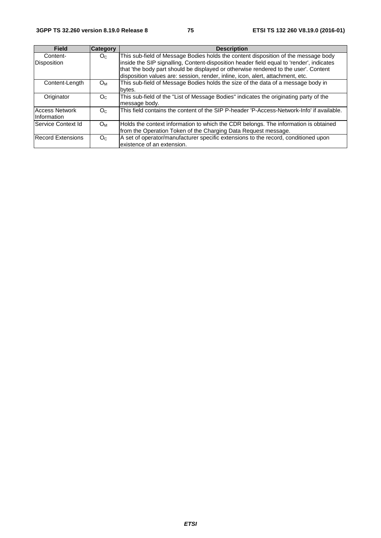| <b>Field</b>             | <b>Category</b> | <b>Description</b>                                                                        |
|--------------------------|-----------------|-------------------------------------------------------------------------------------------|
| Content-                 | O <sub>c</sub>  | This sub-field of Message Bodies holds the content disposition of the message body        |
| Disposition              |                 | inside the SIP signalling, Content-disposition header field equal to 'render', indicates  |
|                          |                 | that 'the body part should be displayed or otherwise rendered to the user'. Content       |
|                          |                 | disposition values are: session, render, inline, icon, alert, attachment, etc.            |
| Content-Length           | Oм              | This sub-field of Message Bodies holds the size of the data of a message body in          |
|                          |                 | bytes.                                                                                    |
| Originator               | O <sub>c</sub>  | This sub-field of the "List of Message Bodies" indicates the originating party of the     |
|                          |                 | message body.                                                                             |
| Access Network           | O <sub>c</sub>  | This field contains the content of the SIP P-header 'P-Access-Network-Info' if available. |
| Information              |                 |                                                                                           |
| Service Context Id       | Oм              | Holds the context information to which the CDR belongs. The information is obtained       |
|                          |                 | from the Operation Token of the Charging Data Request message.                            |
| <b>Record Extensions</b> | O <sub>c</sub>  | A set of operator/manufacturer specific extensions to the record, conditioned upon        |
|                          |                 | existence of an extension.                                                                |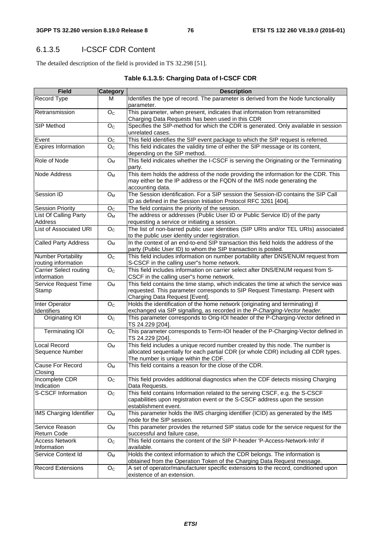# 6.1.3.5 I-CSCF CDR Content

The detailed description of the field is provided in TS 32.298 [51].

#### **Table 6.1.3.5: Charging Data of I-CSCF CDR**

| <b>Field</b>                                     | <b>Category</b>         | <b>Description</b>                                                                                                                                                                                            |
|--------------------------------------------------|-------------------------|---------------------------------------------------------------------------------------------------------------------------------------------------------------------------------------------------------------|
| Record Type                                      | м                       | Identifies the type of record. The parameter is derived from the Node functionality<br>parameter.                                                                                                             |
| Retransmission                                   | $\mathsf{O}_\mathbb{C}$ | This parameter, when present, indicates that information from retransmitted<br>Charging Data Requests has been used in this CDR                                                                               |
| SIP Method                                       | O <sub>C</sub>          | Specifies the SIP-method for which the CDR is generated. Only available in session<br>unrelated cases.                                                                                                        |
| Event                                            | O <sub>C</sub>          | This field identifies the SIP event package to which the SIP request is referred.                                                                                                                             |
| <b>Expires Information</b>                       | O <sub>c</sub>          | This field indicates the validity time of either the SIP message or its content,<br>depending on the SIP method.                                                                                              |
| Role of Node                                     | $O_M$                   | This field indicates whether the I-CSCF is serving the Originating or the Terminating<br>party.                                                                                                               |
| Node Address                                     | O <sub>M</sub>          | This item holds the address of the node providing the information for the CDR. This<br>may either be the IP address or the FQDN of the IMS node generating the<br>accounting data.                            |
| Session ID                                       | $O_M$                   | The Session identification. For a SIP session the Session-ID contains the SIP Call<br>ID as defined in the Session Initiation Protocol RFC 3261 [404].                                                        |
| <b>Session Priority</b>                          | O <sub>C</sub>          | The field contains the priority of the session.                                                                                                                                                               |
| List Of Calling Party<br>Address                 | $O_{M}$                 | The address or addresses (Public User ID or Public Service ID) of the party<br>requesting a service or initiating a session.                                                                                  |
| List of Associated URI                           | O <sub>C</sub>          | The list of non-barred public user identities (SIP URIs and/or TEL URIs) associated<br>to the public user identity under registration.                                                                        |
| <b>Called Party Address</b>                      | O <sub>M</sub>          | In the context of an end-to-end SIP transaction this field holds the address of the<br>party (Public User ID) to whom the SIP transaction is posted.                                                          |
| <b>Number Portability</b><br>routing information | O <sub>C</sub>          | This field includes information on number portability after DNS/ENUM request from<br>S-CSCF in the calling user"s home network.                                                                               |
| <b>Carrier Select routing</b><br>information     | O <sub>C</sub>          | This field includes information on carrier select after DNS/ENUM request from S-<br>CSCF in the calling user"s home network.                                                                                  |
| Service Request Time<br>Stamp                    | $O_M$                   | This field contains the time stamp, which indicates the time at which the service was<br>requested. This parameter corresponds to SIP Request Timestamp. Present with<br>Charging Data Request [Event].       |
| Inter Operator<br>Identifiers                    | O <sub>c</sub>          | Holds the identification of the home network (originating and terminating) if<br>exchanged via SIP signalling, as recorded in the P-Charging-Vector header.                                                   |
| Originating IOI                                  | O <sub>C</sub>          | This parameter corresponds to Orig-IOI header of the P-Charging-Vector defined in<br>TS 24.229 [204].                                                                                                         |
| <b>Terminating IOI</b>                           | O <sub>C</sub>          | This parameter corresponds to Term-IOI header of the P-Charging-Vector defined in<br>TS 24.229 [204].                                                                                                         |
| <b>Local Record</b><br>Sequence Number           | O <sub>M</sub>          | This field includes a unique record number created by this node. The number is<br>allocated sequentially for each partial CDR (or whole CDR) including all CDR types.<br>The number is unique within the CDF. |
| Cause For Record<br>Closing                      | $O_{M}$                 | This field contains a reason for the close of the CDR.                                                                                                                                                        |
| Incomplete CDR<br>Indication                     | O <sub>C</sub>          | This field provides additional diagnostics when the CDF detects missing Charging<br>Data Requests.                                                                                                            |
| <b>S-CSCF Information</b>                        | O <sub>C</sub>          | This field contains Information related to the serving CSCF, e.g. the S-CSCF<br>capabilities upon registration event or the S-CSCF address upon the session<br>establishment event.                           |
| <b>IMS Charging Identifier</b>                   | O <sub>M</sub>          | This parameter holds the IMS charging identifier (ICID) as generated by the IMS<br>node for the SIP session.                                                                                                  |
| Service Reason<br><b>Return Code</b>             | $O_{M}$                 | This parameter provides the returned SIP status code for the service request for the<br>successful and failure case,                                                                                          |
| <b>Access Network</b><br>Information             | O <sub>c</sub>          | This field contains the content of the SIP P-header 'P-Access-Network-Info' if<br>available.                                                                                                                  |
| Service Context Id                               | $O_{M}$                 | Holds the context information to which the CDR belongs. The information is<br>obtained from the Operation Token of the Charging Data Request message.                                                         |
| <b>Record Extensions</b>                         | O <sub>C</sub>          | A set of operator/manufacturer specific extensions to the record, conditioned upon<br>existence of an extension.                                                                                              |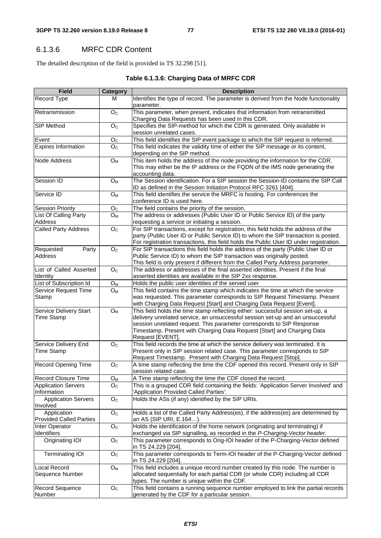# 6.1.3.6 MRFC CDR Content

The detailed description of the field is provided in TS 32.298 [51].

### **Table 6.1.3.6: Charging Data of MRFC CDR**

| <b>Field</b>                                  | Category                | <b>Description</b>                                                                                                                                                                                                                                                                                                                        |
|-----------------------------------------------|-------------------------|-------------------------------------------------------------------------------------------------------------------------------------------------------------------------------------------------------------------------------------------------------------------------------------------------------------------------------------------|
| Record Type                                   | М                       | Identifies the type of record. The parameter is derived from the Node functionality<br>parameter.                                                                                                                                                                                                                                         |
| Retransmission                                | O <sub>C</sub>          | This parameter, when present, indicates that information from retransmitted<br>Charging Data Requests has been used in this CDR.                                                                                                                                                                                                          |
| SIP Method                                    | O <sub>C</sub>          | Specifies the SIP-method for which the CDR is generated. Only available in<br>session unrelated cases.                                                                                                                                                                                                                                    |
| Event                                         | O <sub>C</sub>          | This field identifies the SIP event package to which the SIP request is referred.                                                                                                                                                                                                                                                         |
| <b>Expires Information</b>                    | O <sub>C</sub>          | This field indicates the validity time of either the SIP message or its content,<br>depending on the SIP method.                                                                                                                                                                                                                          |
| <b>Node Address</b>                           | $O_{M}$                 | This item holds the address of the node providing the information for the CDR.<br>This may either be the IP address or the FQDN of the IMS node generating the<br>accounting data.                                                                                                                                                        |
| Session ID                                    | $O_{M}$                 | The Session identification. For a SIP session the Session-ID contains the SIP Call<br>ID as defined in the Session Initiation Protocol RFC 3261 [404].                                                                                                                                                                                    |
| Service ID                                    | O <sub>M</sub>          | This field identifies the service the MRFC is hosting. For conferences the<br>conference ID is used here.                                                                                                                                                                                                                                 |
| <b>Session Priority</b>                       | O <sub>C</sub>          | The field contains the priority of the session.                                                                                                                                                                                                                                                                                           |
| List Of Calling Party<br>Address              | $O_{M}$                 | The address or addresses (Public User ID or Public Service ID) of the party<br>requesting a service or initiating a session.                                                                                                                                                                                                              |
| <b>Called Party Address</b>                   | O <sub>C</sub>          | For SIP transactions, except for registration, this field holds the address of the<br>party (Public User ID or Public Service ID) to whom the SIP transaction is posted.<br>For registration transactions, this field holds the Public User ID under registration.                                                                        |
| Requested<br>Party<br><b>Address</b>          | O <sub>C</sub>          | For SIP transactions this field holds the address of the party (Public User ID or<br>Public Service ID) to whom the SIP transaction was originally posted.<br>This field is only present if different from the Called Party Address parameter.                                                                                            |
| List of Called Asserted<br>Identity           | O <sub>C</sub>          | The address or addresses of the final asserted identities. Present if the final<br>asserted identities are available in the SIP 2xx response.                                                                                                                                                                                             |
| List of Subscription Id                       | $O_M$                   | Holds the public user identities of the served user                                                                                                                                                                                                                                                                                       |
| Service Request Time<br>Stamp                 | $O_{M}$                 | This field contains the time stamp which indicates the time at which the service<br>was requested. This parameter corresponds to SIP Request Timestamp. Present<br>with Charging Data Request [Start] and Charging Data Request [Event].                                                                                                  |
| Service Delivery Start<br><b>Time Stamp</b>   | O <sub>M</sub>          | This field holds the time stamp reflecting either: successful session set-up, a<br>delivery unrelated service, an unsuccessful session set-up and an unsuccessful<br>session unrelated request. This parameter corresponds to SIP Response<br>Timestamp. Present with Charging Data Request [Start] and Charging Data<br>Request [EVENT]. |
| Service Delivery End<br><b>Time Stamp</b>     | O <sub>C</sub>          | This field records the time at which the service delivery was terminated. It is<br>Present only in SIP session related case. This parameter corresponds to SIP<br>Request Timestamp. Present with Charging Data Request [Stop].                                                                                                           |
| <b>Record Opening Time</b>                    | O <sub>c</sub>          | A time stamp reflecting the time the CDF opened this record. Present only in SIP<br>session related case.                                                                                                                                                                                                                                 |
| <b>Record Closure Time</b>                    | $O_{M}$                 | A Time stamp reflecting the time the CDF closed the record.                                                                                                                                                                                                                                                                               |
| <b>Application Servers</b><br>Information     | $\mathsf{O}_\mathbb{C}$ | This is a grouped CDR field containing the fields: 'Application Server Involved' and<br>'Application Provided Called Parties'.                                                                                                                                                                                                            |
| <b>Application Servers</b><br>Involved        | O <sub>C</sub>          | Holds the ASs (if any) identified by the SIP URIs.                                                                                                                                                                                                                                                                                        |
| Application<br><b>Provided Called Parties</b> | O <sub>C</sub>          | Holds a list of the Called Party Address(es), if the address(es) are determined by<br>an AS (SIP URI, E.164).                                                                                                                                                                                                                             |
| Inter Operator<br>Identifiers                 | O <sub>C</sub>          | Holds the identification of the home network (originating and terminating) if<br>exchanged via SIP signalling, as recorded in the P-Charging-Vector header.                                                                                                                                                                               |
| Originating IOI                               | O <sub>C</sub>          | This parameter corresponds to Orig-IOI header of the P-Charging-Vector defined<br>in TS 24.229 [204].                                                                                                                                                                                                                                     |
| <b>Terminating IOI</b>                        | O <sub>C</sub>          | This parameter corresponds to Term-IOI header of the P-Charging-Vector defined<br>in TS 24.229 [204].                                                                                                                                                                                                                                     |
| Local Record<br>Sequence Number               | O <sub>M</sub>          | This field includes a unique record number created by this node. The number is<br>allocated sequentially for each partial CDR (or whole CDR) including all CDR<br>types. The number is unique within the CDF.                                                                                                                             |
| Record Sequence<br>Number                     | O <sub>C</sub>          | This field contains a running sequence number employed to link the partial records<br>generated by the CDF for a particular session.                                                                                                                                                                                                      |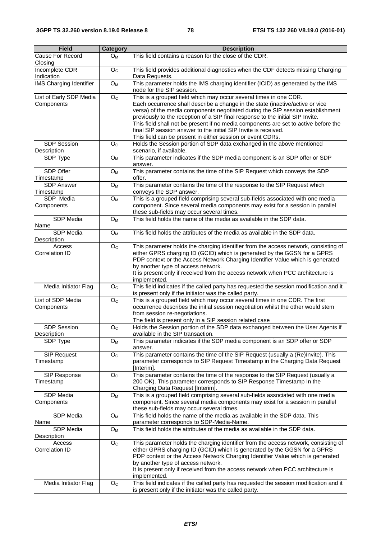| <b>Field</b>                          | Category                | <b>Description</b>                                                                                                                                                                                                                                                                                                                                                                                                                                                                                                                             |
|---------------------------------------|-------------------------|------------------------------------------------------------------------------------------------------------------------------------------------------------------------------------------------------------------------------------------------------------------------------------------------------------------------------------------------------------------------------------------------------------------------------------------------------------------------------------------------------------------------------------------------|
| Cause For Record<br>Closing           | $O_M$                   | This field contains a reason for the close of the CDR.                                                                                                                                                                                                                                                                                                                                                                                                                                                                                         |
| Incomplete CDR<br>Indication          | O <sub>C</sub>          | This field provides additional diagnostics when the CDF detects missing Charging<br>Data Requests.                                                                                                                                                                                                                                                                                                                                                                                                                                             |
| <b>IMS</b> Charging Identifier        | $O_M$                   | This parameter holds the IMS charging identifier (ICID) as generated by the IMS<br>node for the SIP session.                                                                                                                                                                                                                                                                                                                                                                                                                                   |
| List of Early SDP Media<br>Components | O <sub>C</sub>          | This is a grouped field which may occur several times in one CDR.<br>Each occurrence shall describe a change in the state (inactive/active or vice<br>versa) of the media components negotiated during the SIP session establishment<br>previously to the reception of a SIP final response to the initial SIP Invite.<br>This field shall not be present if no media components are set to active before the<br>final SIP session answer to the initial SIP Invite is received.<br>This field can be present in either session or event CDRs. |
| <b>SDP Session</b><br>Description     | O <sub>C</sub>          | Holds the Session portion of SDP data exchanged in the above mentioned<br>scenario, if available.                                                                                                                                                                                                                                                                                                                                                                                                                                              |
| SDP Type                              | O <sub>M</sub>          | This parameter indicates if the SDP media component is an SDP offer or SDP<br>answer.                                                                                                                                                                                                                                                                                                                                                                                                                                                          |
| SDP Offer<br>Timestamp                | $O_M$                   | This parameter contains the time of the SIP Request which conveys the SDP<br>offer.                                                                                                                                                                                                                                                                                                                                                                                                                                                            |
| <b>SDP Answer</b><br>Timestamp        | $O_M$                   | This parameter contains the time of the response to the SIP Request which<br>conveys the SDP answer.                                                                                                                                                                                                                                                                                                                                                                                                                                           |
| SDP Media<br>Components               | $O_M$                   | This is a grouped field comprising several sub-fields associated with one media<br>component. Since several media components may exist for a session in parallel<br>these sub-fields may occur several times.                                                                                                                                                                                                                                                                                                                                  |
| SDP Media<br>Name                     | O <sub>M</sub>          | This field holds the name of the media as available in the SDP data.                                                                                                                                                                                                                                                                                                                                                                                                                                                                           |
| SDP Media<br>Description              | $O_M$                   | This field holds the attributes of the media as available in the SDP data.                                                                                                                                                                                                                                                                                                                                                                                                                                                                     |
| Access<br>Correlation ID              | O <sub>C</sub>          | This parameter holds the charging identifier from the access network, consisting of<br>either GPRS charging ID (GCID) which is generated by the GGSN for a GPRS<br>PDP context or the Access Network Charging Identifier Value which is generated<br>by another type of access network.<br>It is present only if received from the access network when PCC architecture is<br>implemented.                                                                                                                                                     |
| Media Initiator Flag                  | O <sub>C</sub>          | This field indicates if the called party has requested the session modification and it<br>is present only if the initiator was the called party.                                                                                                                                                                                                                                                                                                                                                                                               |
| List of SDP Media<br>Components       | O <sub>C</sub>          | This is a grouped field which may occur several times in one CDR. The first<br>occurrence describes the initial session negotiation whilst the other would stem<br>from session re-negotiations.<br>The field is present only in a SIP session related case                                                                                                                                                                                                                                                                                    |
| <b>SDP Session</b><br>Description     | O <sub>C</sub>          | Holds the Session portion of the SDP data exchanged between the User Agents if<br>available in the SIP transaction.                                                                                                                                                                                                                                                                                                                                                                                                                            |
| SDP Type                              | $O_M$                   | This parameter indicates if the SDP media component is an SDP offer or SDP<br>answer.                                                                                                                                                                                                                                                                                                                                                                                                                                                          |
| <b>SIP Request</b><br>Timestamp       | O <sub>C</sub>          | This parameter contains the time of the SIP Request (usually a (Re)Invite). This<br>parameter corresponds to SIP Request Timestamp in the Charging Data Request<br>[Interim].                                                                                                                                                                                                                                                                                                                                                                  |
| SIP Response<br>Timestamp             | O <sub>C</sub>          | This parameter contains the time of the response to the SIP Request (usually a<br>200 OK). This parameter corresponds to SIP Response Timestamp In the<br>Charging Data Request [Interim].                                                                                                                                                                                                                                                                                                                                                     |
| SDP Media<br>Components               | O <sub>M</sub>          | This is a grouped field comprising several sub-fields associated with one media<br>component. Since several media components may exist for a session in parallel<br>these sub-fields may occur several times.                                                                                                                                                                                                                                                                                                                                  |
| SDP Media<br>Name                     | $O_{M}$                 | This field holds the name of the media as available in the SDP data. This<br>parameter corresponds to SDP-Media-Name.                                                                                                                                                                                                                                                                                                                                                                                                                          |
| SDP Media<br>Description              | $O_M$                   | This field holds the attributes of the media as available in the SDP data.                                                                                                                                                                                                                                                                                                                                                                                                                                                                     |
| Access<br>Correlation ID              | $\mathsf{O}_\mathbb{C}$ | This parameter holds the charging identifier from the access network, consisting of<br>either GPRS charging ID (GCID) which is generated by the GGSN for a GPRS<br>PDP context or the Access Network Charging Identifier Value which is generated<br>by another type of access network.<br>It is present only if received from the access network when PCC architecture is<br>implemented.                                                                                                                                                     |
| Media Initiator Flag                  | $\mathsf{O}_\mathbb{C}$ | This field indicates if the called party has requested the session modification and it<br>is present only if the initiator was the called party.                                                                                                                                                                                                                                                                                                                                                                                               |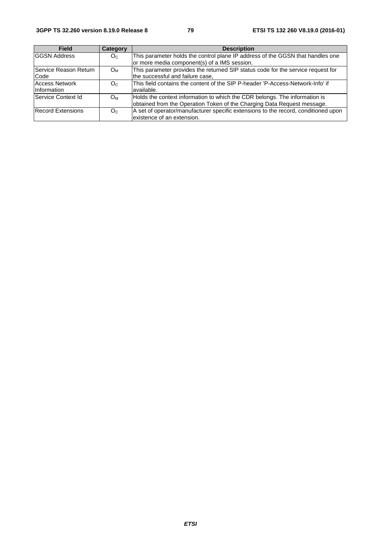| <b>Field</b>          | Category       | <b>Description</b>                                                                 |
|-----------------------|----------------|------------------------------------------------------------------------------------|
| <b>GGSN Address</b>   | O <sub>C</sub> | This parameter holds the control plane IP address of the GGSN that handles one     |
|                       |                | or more media component(s) of a IMS session.                                       |
| Service Reason Return | O <sub>M</sub> | This parameter provides the returned SIP status code for the service request for   |
| Code                  |                | the successful and failure case,                                                   |
| <b>Access Network</b> | O <sub>C</sub> | This field contains the content of the SIP P-header 'P-Access-Network-Info' if     |
| Information           |                | available.                                                                         |
| Service Context Id    | O <sub>M</sub> | Holds the context information to which the CDR belongs. The information is         |
|                       |                | obtained from the Operation Token of the Charging Data Request message.            |
| Record Extensions     | O <sub>C</sub> | A set of operator/manufacturer specific extensions to the record, conditioned upon |
|                       |                | existence of an extension.                                                         |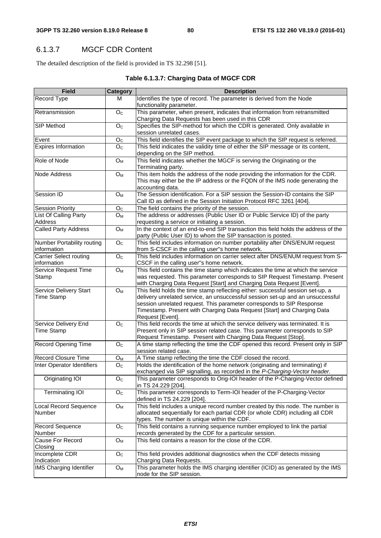# 6.1.3.7 MGCF CDR Content

The detailed description of the field is provided in TS 32.298 [51].

#### **Table 6.1.3.7: Charging Data of MGCF CDR**

| <b>Field</b>                                 | <b>Category</b>           | <b>Description</b>                                                                                                                                                                                                                                                                                                                        |
|----------------------------------------------|---------------------------|-------------------------------------------------------------------------------------------------------------------------------------------------------------------------------------------------------------------------------------------------------------------------------------------------------------------------------------------|
| Record Type                                  | м                         | Identifies the type of record. The parameter is derived from the Node<br>functionality parameter.                                                                                                                                                                                                                                         |
| Retransmission                               | O <sub>C</sub>            | This parameter, when present, indicates that information from retransmitted<br>Charging Data Requests has been used in this CDR                                                                                                                                                                                                           |
| SIP Method                                   | O <sub>C</sub>            | Specifies the SIP-method for which the CDR is generated. Only available in<br>session unrelated cases.                                                                                                                                                                                                                                    |
| Event                                        | O <sub>C</sub>            | This field identifies the SIP event package to which the SIP request is referred.                                                                                                                                                                                                                                                         |
| <b>Expires Information</b>                   | O <sub>C</sub>            | This field indicates the validity time of either the SIP message or its content,<br>depending on the SIP method.                                                                                                                                                                                                                          |
| Role of Node                                 | $O_{M}$                   | This field indicates whether the MGCF is serving the Originating or the<br>Terminating party.                                                                                                                                                                                                                                             |
| <b>Node Address</b>                          | $O_{M}$                   | This item holds the address of the node providing the information for the CDR.<br>This may either be the IP address or the FQDN of the IMS node generating the<br>accounting data.                                                                                                                                                        |
| Session ID                                   | O <sub>M</sub>            | The Session identification. For a SIP session the Session-ID contains the SIP<br>Call ID as defined in the Session Initiation Protocol RFC 3261 [404].                                                                                                                                                                                    |
| <b>Session Priority</b>                      | O <sub>C</sub>            | The field contains the priority of the session.                                                                                                                                                                                                                                                                                           |
| List Of Calling Party<br>Address             | ${\mathsf O}_{\mathsf M}$ | The address or addresses (Public User ID or Public Service ID) of the party<br>requesting a service or initiating a session.                                                                                                                                                                                                              |
| <b>Called Party Address</b>                  | $O_{M}$                   | In the context of an end-to-end SIP transaction this field holds the address of the<br>party (Public User ID) to whom the SIP transaction is posted.                                                                                                                                                                                      |
| Number Portability routing<br>information    | O <sub>C</sub>            | This field includes information on number portability after DNS/ENUM request<br>from S-CSCF in the calling user"s home network.                                                                                                                                                                                                           |
| <b>Carrier Select routing</b><br>information | O <sub>C</sub>            | This field includes information on carrier select after DNS/ENUM request from S-<br>CSCF in the calling user"s home network.                                                                                                                                                                                                              |
| Service Request Time<br>Stamp                | $O_M$                     | This field contains the time stamp which indicates the time at which the service<br>was requested. This parameter corresponds to SIP Request Timestamp. Present<br>with Charging Data Request [Start] and Charging Data Request [Event].                                                                                                  |
| Service Delivery Start<br><b>Time Stamp</b>  | $O_{M}$                   | This field holds the time stamp reflecting either: successful session set-up, a<br>delivery unrelated service, an unsuccessful session set-up and an unsuccessful<br>session unrelated request. This parameter corresponds to SIP Response<br>Timestamp. Present with Charging Data Request [Start] and Charging Data<br>Request [Event]. |
| Service Delivery End<br><b>Time Stamp</b>    | O <sub>C</sub>            | This field records the time at which the service delivery was terminated. It is<br>Present only in SIP session related case. This parameter corresponds to SIP<br>Request Timestamp. Present with Charging Data Request [Stop].                                                                                                           |
| <b>Record Opening Time</b>                   | O <sub>C</sub>            | A time stamp reflecting the time the CDF opened this record. Present only in SIP<br>session related case.                                                                                                                                                                                                                                 |
| Record Closure Time                          | O <sub>M</sub>            | A Time stamp reflecting the time the CDF closed the record.                                                                                                                                                                                                                                                                               |
| Inter Operator Identifiers                   | O <sub>c</sub>            | Holds the identification of the home network (originating and terminating) if<br>exchanged via SIP signalling, as recorded in the P-Charging-Vector header.                                                                                                                                                                               |
| Originating IOI                              | O <sub>C</sub>            | This parameter corresponds to Orig-IOI header of the P-Charging-Vector defined<br>in TS 24.229 [204].                                                                                                                                                                                                                                     |
| <b>Terminating IOI</b>                       | O <sub>c</sub>            | This parameter corresponds to Term-IOI header of the P-Charging-Vector<br>defined in TS 24.229 [204].                                                                                                                                                                                                                                     |
| Local Record Sequence<br>Number              | $O_M$                     | This field includes a unique record number created by this node. The number is<br>allocated sequentially for each partial CDR (or whole CDR) including all CDR<br>types. The number is unique within the CDF.                                                                                                                             |
| Record Sequence<br>Number                    | O <sub>C</sub>            | This field contains a running sequence number employed to link the partial<br>records generated by the CDF for a particular session.                                                                                                                                                                                                      |
| Cause For Record<br>Closing                  | $O_M$                     | This field contains a reason for the close of the CDR.                                                                                                                                                                                                                                                                                    |
| Incomplete CDR<br>Indication                 | O <sub>C</sub>            | This field provides additional diagnostics when the CDF detects missing<br>Charging Data Requests.                                                                                                                                                                                                                                        |
| <b>IMS Charging Identifier</b>               | $O_M$                     | This parameter holds the IMS charging identifier (ICID) as generated by the IMS<br>node for the SIP session.                                                                                                                                                                                                                              |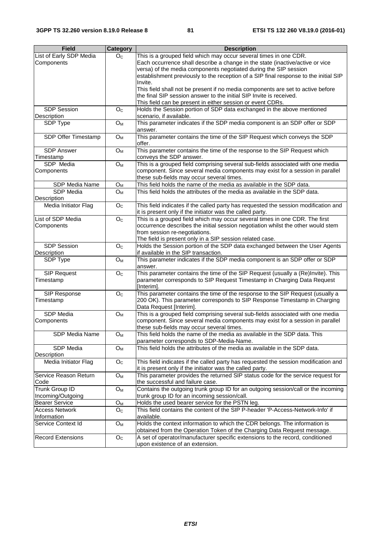| <b>Field</b>                          | Category                | <b>Description</b>                                                                                                                                                                                            |
|---------------------------------------|-------------------------|---------------------------------------------------------------------------------------------------------------------------------------------------------------------------------------------------------------|
| List of Early SDP Media<br>Components | O <sub>C</sub>          | This is a grouped field which may occur several times in one CDR.<br>Each occurrence shall describe a change in the state (inactive/active or vice                                                            |
|                                       |                         | versa) of the media components negotiated during the SIP session<br>establishment previously to the reception of a SIP final response to the initial SIP                                                      |
|                                       |                         | Invite.<br>This field shall not be present if no media components are set to active before                                                                                                                    |
|                                       |                         | the final SIP session answer to the initial SIP Invite is received.<br>This field can be present in either session or event CDRs.                                                                             |
| <b>SDP Session</b>                    | O <sub>C</sub>          | Holds the Session portion of SDP data exchanged in the above mentioned                                                                                                                                        |
| Description                           |                         | scenario, if available.                                                                                                                                                                                       |
| SDP Type                              | O <sub>M</sub>          | This parameter indicates if the SDP media component is an SDP offer or SDP<br>answer.                                                                                                                         |
| SDP Offer Timestamp                   | $O_{M}$                 | This parameter contains the time of the SIP Request which conveys the SDP<br>offer.                                                                                                                           |
| <b>SDP Answer</b><br>Timestamp        | O <sub>M</sub>          | This parameter contains the time of the response to the SIP Request which<br>conveys the SDP answer.                                                                                                          |
| SDP Media                             | $O_M$                   | This is a grouped field comprising several sub-fields associated with one media                                                                                                                               |
| Components                            |                         | component. Since several media components may exist for a session in parallel<br>these sub-fields may occur several times.                                                                                    |
| SDP Media Name                        | O <sub>M</sub>          | This field holds the name of the media as available in the SDP data.                                                                                                                                          |
| SDP Media<br>Description              | O <sub>M</sub>          | This field holds the attributes of the media as available in the SDP data.                                                                                                                                    |
| Media Initiator Flag                  | O <sub>C</sub>          | This field indicates if the called party has requested the session modification and<br>it is present only if the initiator was the called party.                                                              |
| List of SDP Media                     | O <sub>C</sub>          | This is a grouped field which may occur several times in one CDR. The first                                                                                                                                   |
| Components                            |                         | occurrence describes the initial session negotiation whilst the other would stem<br>from session re-negotiations.<br>The field is present only in a SIP session related case.                                 |
| <b>SDP Session</b>                    | $\mathsf{O}_\mathbb{C}$ | Holds the Session portion of the SDP data exchanged between the User Agents                                                                                                                                   |
| Description                           |                         | if available in the SIP transaction.                                                                                                                                                                          |
| SDP Type                              | O <sub>M</sub>          | This parameter indicates if the SDP media component is an SDP offer or SDP<br>answer.                                                                                                                         |
| <b>SIP Request</b><br>Timestamp       | O <sub>C</sub>          | This parameter contains the time of the SIP Request (usually a (Re)Invite). This<br>parameter corresponds to SIP Request Timestamp in Charging Data Request<br>[Interim].                                     |
| SIP Response<br>Timestamp             | O <sub>C</sub>          | This parameter contains the time of the response to the SIP Request (usually a<br>200 OK). This parameter corresponds to SIP Response Timestamp in Charging<br>Data Request [Interim].                        |
| SDP Media<br>Components               | O <sub>M</sub>          | This is a grouped field comprising several sub-fields associated with one media<br>component. Since several media components may exist for a session in parallel<br>these sub-fields may occur several times. |
| SDP Media Name                        | $O_{M}$                 | This field holds the name of the media as available in the SDP data. This<br>parameter corresponds to SDP-Media-Name.                                                                                         |
| SDP Media<br>Description              | $O_M$                   | This field holds the attributes of the media as available in the SDP data.                                                                                                                                    |
| Media Initiator Flag                  | O <sub>C</sub>          | This field indicates if the called party has requested the session modification and<br>it is present only if the initiator was the called party.                                                              |
| Service Reason Return<br>Code         | O <sub>M</sub>          | This parameter provides the returned SIP status code for the service request for<br>the successful and failure case.                                                                                          |
| Trunk Group ID<br>Incoming/Outgoing   | $O_{M}$                 | Contains the outgoing trunk group ID for an outgoing session/call or the incoming<br>trunk group ID for an incoming session/call.                                                                             |
| <b>Bearer Service</b>                 | $O_{M}$                 | Holds the used bearer service for the PSTN leg.                                                                                                                                                               |
| <b>Access Network</b>                 | O <sub>C</sub>          | This field contains the content of the SIP P-header 'P-Access-Network-Info' if                                                                                                                                |
| Information                           |                         | available.                                                                                                                                                                                                    |
| Service Context Id                    | $O_M$                   | Holds the context information to which the CDR belongs. The information is<br>obtained from the Operation Token of the Charging Data Request message.                                                         |
| <b>Record Extensions</b>              | O <sub>c</sub>          | A set of operator/manufacturer specific extensions to the record, conditioned                                                                                                                                 |
|                                       |                         | upon existence of an extension.                                                                                                                                                                               |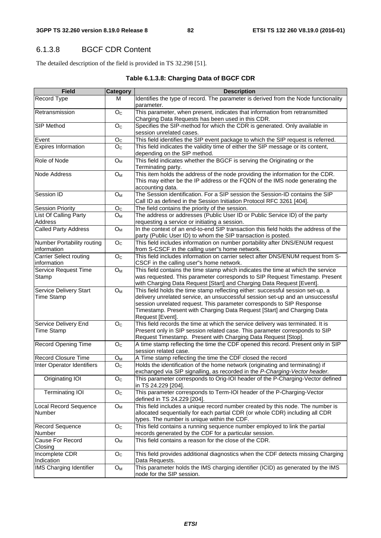# 6.1.3.8 BGCF CDR Content

The detailed description of the field is provided in TS 32.298 [51].

#### **Table 6.1.3.8: Charging Data of BGCF CDR**

| <b>Field</b>                                 | <b>Category</b> | <b>Description</b>                                                                                                                                                                                                                                                                                                                        |
|----------------------------------------------|-----------------|-------------------------------------------------------------------------------------------------------------------------------------------------------------------------------------------------------------------------------------------------------------------------------------------------------------------------------------------|
| Record Type                                  | м               | Identifies the type of record. The parameter is derived from the Node functionality<br>parameter.                                                                                                                                                                                                                                         |
| Retransmission                               | O <sub>C</sub>  | This parameter, when present, indicates that information from retransmitted<br>Charging Data Requests has been used in this CDR.                                                                                                                                                                                                          |
| SIP Method                                   | O <sub>c</sub>  | Specifies the SIP-method for which the CDR is generated. Only available in<br>session unrelated cases.                                                                                                                                                                                                                                    |
| Event                                        | O <sub>C</sub>  | This field identifies the SIP event package to which the SIP request is referred.                                                                                                                                                                                                                                                         |
| <b>Expires Information</b>                   | O <sub>C</sub>  | This field indicates the validity time of either the SIP message or its content,<br>depending on the SIP method.                                                                                                                                                                                                                          |
| Role of Node                                 | $O_{M}$         | This field indicates whether the BGCF is serving the Originating or the<br>Terminating party.                                                                                                                                                                                                                                             |
| Node Address                                 | $O_{M}$         | This item holds the address of the node providing the information for the CDR.<br>This may either be the IP address or the FQDN of the IMS node generating the<br>accounting data.                                                                                                                                                        |
| Session ID                                   | O <sub>M</sub>  | The Session identification. For a SIP session the Session-ID contains the SIP<br>Call ID as defined in the Session Initiation Protocol RFC 3261 [404].                                                                                                                                                                                    |
| <b>Session Priority</b>                      | O <sub>C</sub>  | The field contains the priority of the session.                                                                                                                                                                                                                                                                                           |
| List Of Calling Party<br>Address             | $O_{M}$         | The address or addresses (Public User ID or Public Service ID) of the party<br>requesting a service or initiating a session.                                                                                                                                                                                                              |
| <b>Called Party Address</b>                  | O <sub>M</sub>  | In the context of an end-to-end SIP transaction this field holds the address of the<br>party (Public User ID) to whom the SIP transaction is posted.                                                                                                                                                                                      |
| Number Portability routing<br>information    | O <sub>C</sub>  | This field includes information on number portability after DNS/ENUM request<br>from S-CSCF in the calling user"s home network.                                                                                                                                                                                                           |
| <b>Carrier Select routing</b><br>information | O <sub>c</sub>  | This field includes information on carrier select after DNS/ENUM request from S-<br>CSCF in the calling user"s home network.                                                                                                                                                                                                              |
| Service Request Time<br>Stamp                | $O_{M}$         | This field contains the time stamp which indicates the time at which the service<br>was requested. This parameter corresponds to SIP Request Timestamp. Present<br>with Charging Data Request [Start] and Charging Data Request [Event].                                                                                                  |
| Service Delivery Start<br><b>Time Stamp</b>  | $O_{M}$         | This field holds the time stamp reflecting either: successful session set-up, a<br>delivery unrelated service, an unsuccessful session set-up and an unsuccessful<br>session unrelated request. This parameter corresponds to SIP Response<br>Timestamp. Present with Charging Data Request [Start] and Charging Data<br>Request [Event]. |
| Service Delivery End<br><b>Time Stamp</b>    | O <sub>C</sub>  | This field records the time at which the service delivery was terminated. It is<br>Present only in SIP session related case. This parameter corresponds to SIP<br>Request Timestamp. Present with Charging Data Request [Stop].                                                                                                           |
| <b>Record Opening Time</b>                   | O <sub>C</sub>  | A time stamp reflecting the time the CDF opened this record. Present only in SIP<br>session related case.                                                                                                                                                                                                                                 |
| <b>Record Closure Time</b>                   | $O_M$           | A Time stamp reflecting the time the CDF closed the record                                                                                                                                                                                                                                                                                |
| Inter Operator Identifiers                   | O <sub>C</sub>  | Holds the identification of the home network (originating and terminating) if<br>exchanged via SIP signalling, as recorded in the P-Charging-Vector header.                                                                                                                                                                               |
| Originating IOI                              | O <sub>C</sub>  | This parameter corresponds to Orig-IOI header of the P-Charging-Vector defined<br>in TS 24.229 [204].                                                                                                                                                                                                                                     |
| <b>Terminating IOI</b>                       | O <sub>C</sub>  | This parameter corresponds to Term-IOI header of the P-Charging-Vector<br>defined in TS 24.229 [204].                                                                                                                                                                                                                                     |
| Local Record Sequence<br>Number              | $O_{M}$         | This field includes a unique record number created by this node. The number is<br>allocated sequentially for each partial CDR (or whole CDR) including all CDR<br>types. The number is unique within the CDF.                                                                                                                             |
| Record Sequence<br>Number                    | O <sub>C</sub>  | This field contains a running sequence number employed to link the partial<br>records generated by the CDF for a particular session.                                                                                                                                                                                                      |
| Cause For Record<br>Closing                  | $O_{M}$         | This field contains a reason for the close of the CDR.                                                                                                                                                                                                                                                                                    |
| Incomplete CDR<br>Indication                 | O <sub>C</sub>  | This field provides additional diagnostics when the CDF detects missing Charging<br>Data Requests.                                                                                                                                                                                                                                        |
| <b>IMS Charging Identifier</b>               | O <sub>M</sub>  | This parameter holds the IMS charging identifier (ICID) as generated by the IMS<br>node for the SIP session.                                                                                                                                                                                                                              |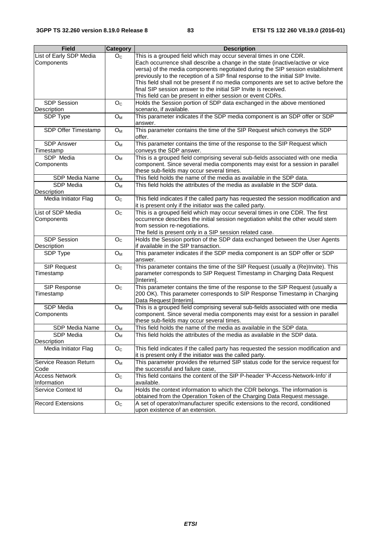| <b>Field</b>                      | <b>Category</b>           | <b>Description</b>                                                                                                   |
|-----------------------------------|---------------------------|----------------------------------------------------------------------------------------------------------------------|
| List of Early SDP Media           | O <sub>C</sub>            | This is a grouped field which may occur several times in one CDR.                                                    |
| Components                        |                           | Each occurrence shall describe a change in the state (inactive/active or vice                                        |
|                                   |                           | versa) of the media components negotiated during the SIP session establishment                                       |
|                                   |                           | previously to the reception of a SIP final response to the initial SIP Invite.                                       |
|                                   |                           | This field shall not be present if no media components are set to active before the                                  |
|                                   |                           | final SIP session answer to the initial SIP Invite is received.                                                      |
|                                   |                           | This field can be present in either session or event CDRs.                                                           |
| <b>SDP Session</b>                | O <sub>c</sub>            | Holds the Session portion of SDP data exchanged in the above mentioned                                               |
| Description                       |                           | scenario, if available.                                                                                              |
| SDP Type                          | $O_{M}$                   | This parameter indicates if the SDP media component is an SDP offer or SDP<br>answer.                                |
| SDP Offer Timestamp               | $O_{M}$                   | This parameter contains the time of the SIP Request which conveys the SDP<br>offer.                                  |
| <b>SDP Answer</b>                 | $O_{M}$                   | This parameter contains the time of the response to the SIP Request which                                            |
| Timestamp                         |                           | conveys the SDP answer.                                                                                              |
| SDP Media                         | O <sub>M</sub>            | This is a grouped field comprising several sub-fields associated with one media                                      |
| Components                        |                           | component. Since several media components may exist for a session in parallel                                        |
|                                   |                           | these sub-fields may occur several times.                                                                            |
| SDP Media Name                    | $O_M$                     | This field holds the name of the media as available in the SDP data.                                                 |
| SDP Media                         | $O_{M}$                   | This field holds the attributes of the media as available in the SDP data.                                           |
| Description                       |                           |                                                                                                                      |
| Media Initiator Flag              | O <sub>c</sub>            | This field indicates if the called party has requested the session modification and                                  |
|                                   |                           | it is present only if the initiator was the called party.                                                            |
| List of SDP Media                 | $\overline{O}_C$          | This is a grouped field which may occur several times in one CDR. The first                                          |
| Components                        |                           | occurrence describes the initial session negotiation whilst the other would stem                                     |
|                                   |                           | from session re-negotiations.                                                                                        |
|                                   |                           | The field is present only in a SIP session related case.                                                             |
| <b>SDP Session</b><br>Description | O <sub>C</sub>            | Holds the Session portion of the SDP data exchanged between the User Agents<br>if available in the SIP transaction.  |
| SDP Type                          | $O_{M}$                   | This parameter indicates if the SDP media component is an SDP offer or SDP<br>answer.                                |
| <b>SIP Request</b>                | O <sub>c</sub>            | This parameter contains the time of the SIP Request (usually a (Re)Invite). This                                     |
| Timestamp                         |                           | parameter corresponds to SIP Request Timestamp in Charging Data Request                                              |
|                                   |                           | [Interim].                                                                                                           |
| SIP Response                      | $\mathsf{O}_\mathbb{C}$   | This parameter contains the time of the response to the SIP Request (usually a                                       |
| Timestamp                         |                           | 200 OK). This parameter corresponds to SIP Response Timestamp in Charging                                            |
|                                   |                           | Data Request [Interim].                                                                                              |
| SDP Media                         | $O_{M}$                   | This is a grouped field comprising several sub-fields associated with one media                                      |
| Components                        |                           | component. Since several media components may exist for a session in parallel                                        |
|                                   |                           | these sub-fields may occur several times.                                                                            |
| SDP Media Name                    | O <sub>M</sub>            | This field holds the name of the media as available in the SDP data.                                                 |
| SDP Media                         | $O_{M}$                   | This field holds the attributes of the media as available in the SDP data.                                           |
| Description                       |                           |                                                                                                                      |
| Media Initiator Flag              | O <sub>c</sub>            | This field indicates if the called party has requested the session modification and                                  |
|                                   |                           | it is present only if the initiator was the called party.                                                            |
| Service Reason Return<br>Code     | O <sub>M</sub>            | This parameter provides the returned SIP status code for the service request for<br>the successful and failure case, |
| <b>Access Network</b>             | O <sub>c</sub>            | This field contains the content of the SIP P-header 'P-Access-Network-Info' if                                       |
| Information                       |                           | available.                                                                                                           |
| Service Context Id                | $\mathsf{O}_{\mathsf{M}}$ | Holds the context information to which the CDR belongs. The information is                                           |
|                                   |                           | obtained from the Operation Token of the Charging Data Request message.                                              |
| <b>Record Extensions</b>          | O <sub>C</sub>            | A set of operator/manufacturer specific extensions to the record, conditioned                                        |
|                                   |                           | upon existence of an extension.                                                                                      |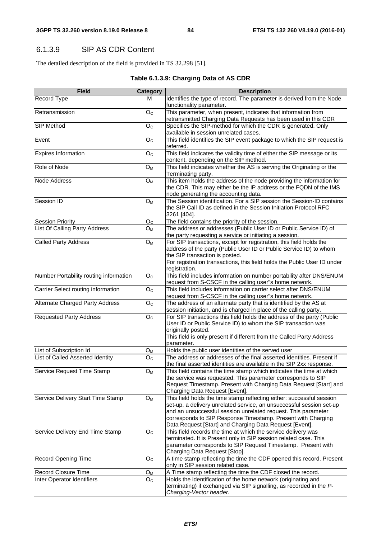## 6.1.3.9 SIP AS CDR Content

The detailed description of the field is provided in TS 32.298 [51].

### **Table 6.1.3.9: Charging Data of AS CDR**

| <b>Field</b>                           | <b>Category</b>                    | <b>Description</b>                                                                                                                                                                                                                                                                                                                        |  |
|----------------------------------------|------------------------------------|-------------------------------------------------------------------------------------------------------------------------------------------------------------------------------------------------------------------------------------------------------------------------------------------------------------------------------------------|--|
| Record Type                            | м                                  | Identifies the type of record. The parameter is derived from the Node<br>functionality parameter.                                                                                                                                                                                                                                         |  |
| Retransmission                         | O <sub>c</sub>                     | This parameter, when present, indicates that information from<br>retransmitted Charging Data Requests has been used in this CDR                                                                                                                                                                                                           |  |
| SIP Method                             | O <sub>C</sub>                     | Specifies the SIP-method for which the CDR is generated. Only<br>available in session unrelated cases.                                                                                                                                                                                                                                    |  |
| Event                                  | O <sub>c</sub>                     | This field identifies the SIP event package to which the SIP request is<br>referred.                                                                                                                                                                                                                                                      |  |
| <b>Expires Information</b>             | O <sub>C</sub>                     | This field indicates the validity time of either the SIP message or its<br>content, depending on the SIP method.                                                                                                                                                                                                                          |  |
| Role of Node                           | O <sub>M</sub>                     | This field indicates whether the AS is serving the Originating or the<br>Terminating party.                                                                                                                                                                                                                                               |  |
| <b>Node Address</b>                    | $O_{M}$                            | This item holds the address of the node providing the information for<br>the CDR. This may either be the IP address or the FQDN of the IMS<br>node generating the accounting data.                                                                                                                                                        |  |
| Session ID                             | $\overline{O}_{M}$                 | The Session identification. For a SIP session the Session-ID contains<br>the SIP Call ID as defined in the Session Initiation Protocol RFC<br>3261 [404].                                                                                                                                                                                 |  |
| <b>Session Priority</b>                | O <sub>C</sub>                     | The field contains the priority of the session.                                                                                                                                                                                                                                                                                           |  |
| List Of Calling Party Address          | $\overline{\mathsf{O}}_\mathsf{M}$ | The address or addresses (Public User ID or Public Service ID) of<br>the party requesting a service or initiating a session.                                                                                                                                                                                                              |  |
| <b>Called Party Address</b>            | $\mathsf{O}_{\mathsf{M}}$          | For SIP transactions, except for registration, this field holds the<br>address of the party (Public User ID or Public Service ID) to whom<br>the SIP transaction is posted.<br>For registration transactions, this field holds the Public User ID under<br>registration.                                                                  |  |
| Number Portability routing information | $\mathsf{O}_\mathbb{C}$            | This field includes information on number portability after DNS/ENUM<br>request from S-CSCF in the calling user"s home network.                                                                                                                                                                                                           |  |
| Carrier Select routing information     | O <sub>C</sub>                     | This field includes information on carrier select after DNS/ENUM<br>request from S-CSCF in the calling user"s home network.                                                                                                                                                                                                               |  |
| Alternate Charged Party Address        | O <sub>C</sub>                     | The address of an alternate party that is identified by the AS at<br>session initiation, and is charged in place of the calling party.                                                                                                                                                                                                    |  |
| <b>Requested Party Address</b>         | O <sub>c</sub>                     | For SIP transactions this field holds the address of the party (Public<br>User ID or Public Service ID) to whom the SIP transaction was<br>originally posted.<br>This field is only present if different from the Called Party Address<br>parameter.                                                                                      |  |
| List of Subscription Id                | $O_{M}$                            | Holds the public user identities of the served user                                                                                                                                                                                                                                                                                       |  |
| List of Called Asserted Identity       | O <sub>C</sub>                     | The address or addresses of the final asserted identities. Present if<br>the final asserted identities are available in the SIP 2xx response.                                                                                                                                                                                             |  |
| Service Request Time Stamp             | $O_{M}$                            | This field contains the time stamp which indicates the time at which<br>the service was requested. This parameter corresponds to SIP<br>Request Timestamp. Present with Charging Data Request [Start] and<br>Charging Data Request [Event].                                                                                               |  |
| Service Delivery Start Time Stamp      | O <sub>M</sub>                     | This field holds the time stamp reflecting either: successful session<br>set-up, a delivery unrelated service, an unsuccessful session set-up<br>and an unsuccessful session unrelated request. This parameter<br>corresponds to SIP Response Timestamp. Present with Charging<br>Data Request [Start] and Charging Data Request [Event]. |  |
| Service Delivery End Time Stamp        | O <sub>C</sub>                     | This field records the time at which the service delivery was<br>terminated. It is Present only in SIP session related case. This<br>parameter corresponds to SIP Request Timestamp. Present with<br>Charging Data Request [Stop].                                                                                                        |  |
| <b>Record Opening Time</b>             | O <sub>c</sub>                     | A time stamp reflecting the time the CDF opened this record. Present<br>only in SIP session related case.                                                                                                                                                                                                                                 |  |
| <b>Record Closure Time</b>             | $O_{M}$                            | A Time stamp reflecting the time the CDF closed the record.                                                                                                                                                                                                                                                                               |  |
| Inter Operator Identifiers             | $O_{C}$                            | Holds the identification of the home network (originating and<br>terminating) if exchanged via SIP signalling, as recorded in the P-<br>Charging-Vector header.                                                                                                                                                                           |  |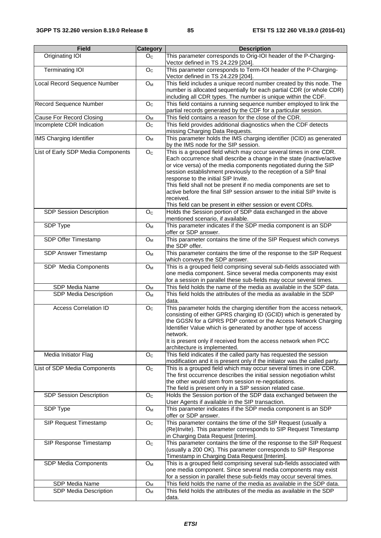| <b>Field</b>                       | <b>Category</b>           | <b>Description</b>                                                                                                                                                                                                                                                                                                                                                                                                                                                                     |  |
|------------------------------------|---------------------------|----------------------------------------------------------------------------------------------------------------------------------------------------------------------------------------------------------------------------------------------------------------------------------------------------------------------------------------------------------------------------------------------------------------------------------------------------------------------------------------|--|
| Originating IOI                    | O <sub>C</sub>            | This parameter corresponds to Orig-IOI header of the P-Charging-<br>Vector defined in TS 24.229 [204].                                                                                                                                                                                                                                                                                                                                                                                 |  |
| <b>Terminating IOI</b>             | O <sub>C</sub>            | This parameter corresponds to Term-IOI header of the P-Charging-<br>Vector defined in TS 24.229 [204].                                                                                                                                                                                                                                                                                                                                                                                 |  |
| Local Record Sequence Number       | $\mathsf{O}_{\mathsf{M}}$ | This field includes a unique record number created by this node. The<br>number is allocated sequentially for each partial CDR (or whole CDR)<br>including all CDR types. The number is unique within the CDF.                                                                                                                                                                                                                                                                          |  |
| Record Sequence Number             | O <sub>C</sub>            | This field contains a running sequence number employed to link the<br>partial records generated by the CDF for a particular session.                                                                                                                                                                                                                                                                                                                                                   |  |
| <b>Cause For Record Closing</b>    | O <sub>M</sub>            | This field contains a reason for the close of the CDR.                                                                                                                                                                                                                                                                                                                                                                                                                                 |  |
| Incomplete CDR Indication          | O <sub>C</sub>            | This field provides additional diagnostics when the CDF detects<br>missing Charging Data Requests.                                                                                                                                                                                                                                                                                                                                                                                     |  |
| <b>IMS Charging Identifier</b>     | O <sub>M</sub>            | This parameter holds the IMS charging identifier (ICID) as generated<br>by the IMS node for the SIP session.                                                                                                                                                                                                                                                                                                                                                                           |  |
| List of Early SDP Media Components | O <sub>C</sub>            | This is a grouped field which may occur several times in one CDR.<br>Each occurrence shall describe a change in the state (inactive/active<br>or vice versa) of the media components negotiated during the SIP<br>session establishment previously to the reception of a SIP final<br>response to the initial SIP Invite.<br>This field shall not be present if no media components are set to<br>active before the final SIP session answer to the initial SIP Invite is<br>received. |  |
| <b>SDP Session Description</b>     | O <sub>C</sub>            | This field can be present in either session or event CDRs.<br>Holds the Session portion of SDP data exchanged in the above                                                                                                                                                                                                                                                                                                                                                             |  |
| SDP Type                           | $O_M$                     | mentioned scenario, if available.<br>This parameter indicates if the SDP media component is an SDP<br>offer or SDP answer.                                                                                                                                                                                                                                                                                                                                                             |  |
| SDP Offer Timestamp                | O <sub>M</sub>            | This parameter contains the time of the SIP Request which conveys<br>the SDP offer.                                                                                                                                                                                                                                                                                                                                                                                                    |  |
| <b>SDP Answer Timestamp</b>        | $O_M$                     | This parameter contains the time of the response to the SIP Request<br>which conveys the SDP answer.                                                                                                                                                                                                                                                                                                                                                                                   |  |
| SDP Media Components               | $O_M$                     | This is a grouped field comprising several sub-fields associated with<br>one media component. Since several media components may exist<br>for a session in parallel these sub-fields may occur several times.                                                                                                                                                                                                                                                                          |  |
| SDP Media Name                     | $O_{M}$                   | This field holds the name of the media as available in the SDP data.                                                                                                                                                                                                                                                                                                                                                                                                                   |  |
| SDP Media Description              | O <sub>M</sub>            | This field holds the attributes of the media as available in the SDP<br>data.                                                                                                                                                                                                                                                                                                                                                                                                          |  |
| <b>Access Correlation ID</b>       | O <sub>C</sub>            | This parameter holds the charging identifier from the access network,<br>consisting of either GPRS charging ID (GCID) which is generated by<br>the GGSN for a GPRS PDP context or the Access Network Charging<br>Identifier Value which is generated by another type of access<br>network.<br>It is present only if received from the access network when PCC<br>architecture is implemented.                                                                                          |  |
| Media Initiator Flag               | O <sub>C</sub>            | This field indicates if the called party has requested the session<br>modification and it is present only if the initiator was the called party.                                                                                                                                                                                                                                                                                                                                       |  |
| List of SDP Media Components       | O <sub>C</sub>            | This is a grouped field which may occur several times in one CDR.<br>The first occurrence describes the initial session negotiation whilst<br>the other would stem from session re-negotiations.<br>The field is present only in a SIP session related case.                                                                                                                                                                                                                           |  |
| <b>SDP Session Description</b>     | O <sub>c</sub>            | Holds the Session portion of the SDP data exchanged between the<br>User Agents if available in the SIP transaction.                                                                                                                                                                                                                                                                                                                                                                    |  |
| SDP Type                           | $\mathsf{O}_{\mathsf{M}}$ | This parameter indicates if the SDP media component is an SDP<br>offer or SDP answer.                                                                                                                                                                                                                                                                                                                                                                                                  |  |
| SIP Request Timestamp              | O <sub>C</sub>            | This parameter contains the time of the SIP Request (usually a<br>(Re)Invite). This parameter corresponds to SIP Request Timestamp<br>in Charging Data Request [Interim].                                                                                                                                                                                                                                                                                                              |  |
| SIP Response Timestamp             | O <sub>C</sub>            | This parameter contains the time of the response to the SIP Request<br>(usually a 200 OK). This parameter corresponds to SIP Response<br>Timestamp in Charging Data Request [Interim].                                                                                                                                                                                                                                                                                                 |  |
| SDP Media Components               | O <sub>M</sub>            | This is a grouped field comprising several sub-fields associated with<br>one media component. Since several media components may exist<br>for a session in parallel these sub-fields may occur several times.                                                                                                                                                                                                                                                                          |  |
| SDP Media Name                     | O <sub>M</sub>            | This field holds the name of the media as available in the SDP data.                                                                                                                                                                                                                                                                                                                                                                                                                   |  |
| SDP Media Description              | $O_{M}$                   | This field holds the attributes of the media as available in the SDP<br>data.                                                                                                                                                                                                                                                                                                                                                                                                          |  |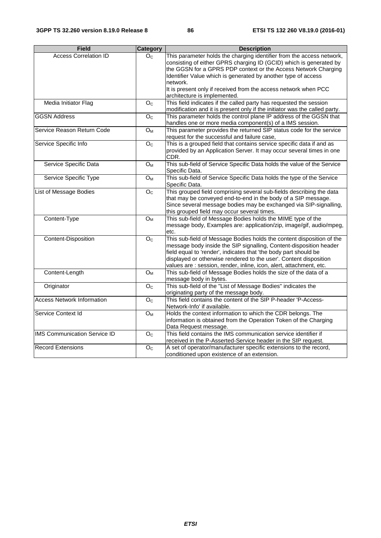| <b>Field</b>                        | Category                  | <b>Description</b>                                                                                                                                                                                                                                                                                                                                          |
|-------------------------------------|---------------------------|-------------------------------------------------------------------------------------------------------------------------------------------------------------------------------------------------------------------------------------------------------------------------------------------------------------------------------------------------------------|
| <b>Access Correlation ID</b>        | O <sub>C</sub>            | This parameter holds the charging identifier from the access network,<br>consisting of either GPRS charging ID (GCID) which is generated by<br>the GGSN for a GPRS PDP context or the Access Network Charging<br>Identifier Value which is generated by another type of access<br>network.                                                                  |
|                                     |                           | It is present only if received from the access network when PCC<br>architecture is implemented.                                                                                                                                                                                                                                                             |
| Media Initiator Flag                | O <sub>C</sub>            | This field indicates if the called party has requested the session<br>modification and it is present only if the initiator was the called party.                                                                                                                                                                                                            |
| <b>GGSN Address</b>                 | O <sub>C</sub>            | This parameter holds the control plane IP address of the GGSN that<br>handles one or more media component(s) of a IMS session.                                                                                                                                                                                                                              |
| Service Reason Return Code          | $O_{M}$                   | This parameter provides the returned SIP status code for the service<br>request for the successful and failure case,                                                                                                                                                                                                                                        |
| Service Specific Info               | $\overline{O_{C}}$        | This is a grouped field that contains service specific data if and as<br>provided by an Application Server. It may occur several times in one<br>CDR.                                                                                                                                                                                                       |
| Service Specific Data               | $O_{M}$                   | This sub-field of Service Specific Data holds the value of the Service<br>Specific Data.                                                                                                                                                                                                                                                                    |
| <b>Service Specific Type</b>        | $O_M$                     | This sub-field of Service Specific Data holds the type of the Service<br>Specific Data.                                                                                                                                                                                                                                                                     |
| List of Message Bodies              | O <sub>C</sub>            | This grouped field comprising several sub-fields describing the data<br>that may be conveyed end-to-end in the body of a SIP message.<br>Since several message bodies may be exchanged via SIP-signalling,<br>this grouped field may occur several times.                                                                                                   |
| Content-Type                        | $\overline{O}_{M}$        | This sub-field of Message Bodies holds the MIME type of the<br>message body, Examples are: application/zip, image/gif, audio/mpeg,<br>etc.                                                                                                                                                                                                                  |
| Content-Disposition                 | O <sub>C</sub>            | This sub-field of Message Bodies holds the content disposition of the<br>message body inside the SIP signalling, Content-disposition header<br>field equal to 'render', indicates that 'the body part should be<br>displayed or otherwise rendered to the user'. Content disposition<br>values are : session, render, inline, icon, alert, attachment, etc. |
| Content-Length                      | O <sub>M</sub>            | This sub-field of Message Bodies holds the size of the data of a<br>message body in bytes.                                                                                                                                                                                                                                                                  |
| Originator                          | O <sub>C</sub>            | This sub-field of the "List of Message Bodies" indicates the<br>originating party of the message body.                                                                                                                                                                                                                                                      |
| <b>Access Network Information</b>   | O <sub>C</sub>            | This field contains the content of the SIP P-header 'P-Access-<br>Network-Info' if available.                                                                                                                                                                                                                                                               |
| Service Context Id                  | ${\mathsf O}_{\mathsf M}$ | Holds the context information to which the CDR belongs. The<br>information is obtained from the Operation Token of the Charging<br>Data Request message.                                                                                                                                                                                                    |
| <b>IMS Communication Service ID</b> | $\overline{O}_C$          | This field contains the IMS communication service identifier if<br>received in the P-Asserted-Service header in the SIP request.                                                                                                                                                                                                                            |
| <b>Record Extensions</b>            | O <sub>C</sub>            | A set of operator/manufacturer specific extensions to the record,<br>conditioned upon existence of an extension.                                                                                                                                                                                                                                            |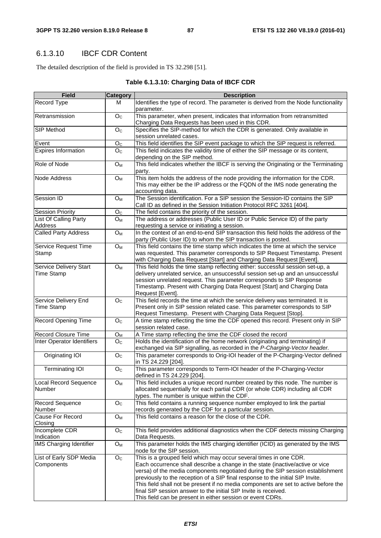## 6.1.3.10 IBCF CDR Content

The detailed description of the field is provided in TS 32.298 [51].

### **Table 6.1.3.10: Charging Data of IBCF CDR**

| <b>Field</b>                                | <b>Category</b>         | <b>Description</b>                                                                                                                                                                                                                                                                                                                                                                                                                                                                                                                             |  |  |
|---------------------------------------------|-------------------------|------------------------------------------------------------------------------------------------------------------------------------------------------------------------------------------------------------------------------------------------------------------------------------------------------------------------------------------------------------------------------------------------------------------------------------------------------------------------------------------------------------------------------------------------|--|--|
| Record Type                                 | м                       | Identifies the type of record. The parameter is derived from the Node functionality<br>parameter.                                                                                                                                                                                                                                                                                                                                                                                                                                              |  |  |
| Retransmission                              | O <sub>C</sub>          | This parameter, when present, indicates that information from retransmitted<br>Charging Data Requests has been used in this CDR.                                                                                                                                                                                                                                                                                                                                                                                                               |  |  |
| SIP Method                                  | O <sub>C</sub>          | Specifies the SIP-method for which the CDR is generated. Only available in<br>session unrelated cases.                                                                                                                                                                                                                                                                                                                                                                                                                                         |  |  |
| Event                                       | O <sub>c</sub>          | This field identifies the SIP event package to which the SIP request is referred.                                                                                                                                                                                                                                                                                                                                                                                                                                                              |  |  |
| <b>Expires Information</b>                  | O <sub>C</sub>          | This field indicates the validity time of either the SIP message or its content,<br>depending on the SIP method.                                                                                                                                                                                                                                                                                                                                                                                                                               |  |  |
| Role of Node                                | $O_{M}$                 | This field indicates whether the IBCF is serving the Originating or the Terminating<br>party.                                                                                                                                                                                                                                                                                                                                                                                                                                                  |  |  |
| Node Address                                | O <sub>M</sub>          | This item holds the address of the node providing the information for the CDR.<br>This may either be the IP address or the FQDN of the IMS node generating the<br>accounting data.                                                                                                                                                                                                                                                                                                                                                             |  |  |
| Session ID                                  | $O_M$                   | The Session identification. For a SIP session the Session-ID contains the SIP<br>Call ID as defined in the Session Initiation Protocol RFC 3261 [404].                                                                                                                                                                                                                                                                                                                                                                                         |  |  |
| <b>Session Priority</b>                     | O <sub>c</sub>          | The field contains the priority of the session.                                                                                                                                                                                                                                                                                                                                                                                                                                                                                                |  |  |
| List Of Calling Party<br>Address            | $O_M$                   | The address or addresses (Public User ID or Public Service ID) of the party<br>requesting a service or initiating a session.                                                                                                                                                                                                                                                                                                                                                                                                                   |  |  |
| <b>Called Party Address</b>                 | O <sub>M</sub>          | In the context of an end-to-end SIP transaction this field holds the address of the<br>party (Public User ID) to whom the SIP transaction is posted.                                                                                                                                                                                                                                                                                                                                                                                           |  |  |
| Service Request Time<br>Stamp               | O <sub>M</sub>          | This field contains the time stamp which indicates the time at which the service<br>was requested. This parameter corresponds to SIP Request Timestamp. Present<br>with Charging Data Request [Start] and Charging Data Request [Event].                                                                                                                                                                                                                                                                                                       |  |  |
| Service Delivery Start<br><b>Time Stamp</b> | O <sub>M</sub>          | This field holds the time stamp reflecting either: successful session set-up, a<br>delivery unrelated service, an unsuccessful session set-up and an unsuccessful<br>session unrelated request. This parameter corresponds to SIP Response<br>Timestamp. Present with Charging Data Request [Start] and Charging Data<br>Request [Event].                                                                                                                                                                                                      |  |  |
| Service Delivery End<br><b>Time Stamp</b>   | $\mathsf{O}_\mathbb{C}$ | This field records the time at which the service delivery was terminated. It is<br>Present only in SIP session related case. This parameter corresponds to SIP<br>Request Timestamp. Present with Charging Data Request [Stop].                                                                                                                                                                                                                                                                                                                |  |  |
| <b>Record Opening Time</b>                  | O <sub>C</sub>          | A time stamp reflecting the time the CDF opened this record. Present only in SIP<br>session related case.                                                                                                                                                                                                                                                                                                                                                                                                                                      |  |  |
| <b>Record Closure Time</b>                  | $O_{M}$                 | A Time stamp reflecting the time the CDF closed the record                                                                                                                                                                                                                                                                                                                                                                                                                                                                                     |  |  |
| Inter Operator Identifiers                  | O <sub>C</sub>          | Holds the identification of the home network (originating and terminating) if<br>exchanged via SIP signalling, as recorded in the P-Charging-Vector header.                                                                                                                                                                                                                                                                                                                                                                                    |  |  |
| Originating IOI                             | O <sub>c</sub>          | This parameter corresponds to Orig-IOI header of the P-Charging-Vector defined<br>in TS 24.229 [204].                                                                                                                                                                                                                                                                                                                                                                                                                                          |  |  |
| <b>Terminating IOI</b>                      | O <sub>c</sub>          | This parameter corresponds to Term-IOI header of the P-Charging-Vector<br>defined in TS 24.229 [204].                                                                                                                                                                                                                                                                                                                                                                                                                                          |  |  |
| Local Record Sequence<br>Number             | O <sub>M</sub>          | This field includes a unique record number created by this node. The number is<br>allocated sequentially for each partial CDR (or whole CDR) including all CDR<br>types. The number is unique within the CDF.                                                                                                                                                                                                                                                                                                                                  |  |  |
| Record Sequence<br>Number                   | O <sub>c</sub>          | This field contains a running sequence number employed to link the partial<br>records generated by the CDF for a particular session.                                                                                                                                                                                                                                                                                                                                                                                                           |  |  |
| <b>Cause For Record</b><br>Closing          | O <sub>M</sub>          | This field contains a reason for the close of the CDR.                                                                                                                                                                                                                                                                                                                                                                                                                                                                                         |  |  |
| Incomplete CDR<br>Indication                | O <sub>C</sub>          | This field provides additional diagnostics when the CDF detects missing Charging<br>Data Requests.                                                                                                                                                                                                                                                                                                                                                                                                                                             |  |  |
| IMS Charging Identifier                     | $O_M$                   | This parameter holds the IMS charging identifier (ICID) as generated by the IMS<br>node for the SIP session.                                                                                                                                                                                                                                                                                                                                                                                                                                   |  |  |
| List of Early SDP Media<br>Components       | O <sub>C</sub>          | This is a grouped field which may occur several times in one CDR.<br>Each occurrence shall describe a change in the state (inactive/active or vice<br>versa) of the media components negotiated during the SIP session establishment<br>previously to the reception of a SIP final response to the initial SIP Invite.<br>This field shall not be present if no media components are set to active before the<br>final SIP session answer to the initial SIP Invite is received.<br>This field can be present in either session or event CDRs. |  |  |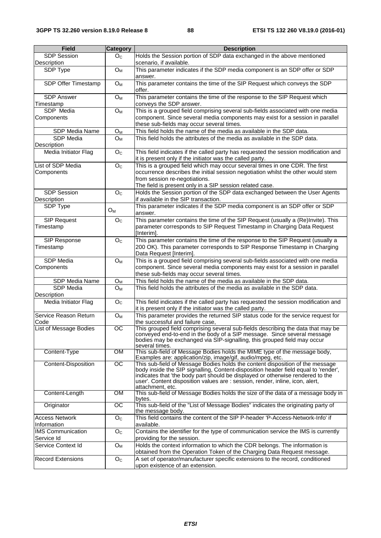| <b>Field</b>                           | <b>Category</b>           | <b>Description</b>                                                                                                                                                                                                                                                                                                                                          |
|----------------------------------------|---------------------------|-------------------------------------------------------------------------------------------------------------------------------------------------------------------------------------------------------------------------------------------------------------------------------------------------------------------------------------------------------------|
| <b>SDP Session</b>                     | O <sub>C</sub>            | Holds the Session portion of SDP data exchanged in the above mentioned                                                                                                                                                                                                                                                                                      |
| Description                            |                           | scenario, if available.                                                                                                                                                                                                                                                                                                                                     |
| SDP Type                               | O <sub>M</sub>            | This parameter indicates if the SDP media component is an SDP offer or SDP<br>answer.                                                                                                                                                                                                                                                                       |
| SDP Offer Timestamp                    | $O_{M}$                   | This parameter contains the time of the SIP Request which conveys the SDP<br>offer.                                                                                                                                                                                                                                                                         |
| <b>SDP Answer</b><br>Timestamp         | $O_{M}$                   | This parameter contains the time of the response to the SIP Request which<br>conveys the SDP answer.                                                                                                                                                                                                                                                        |
| SDP Media                              | $O_M$                     | This is a grouped field comprising several sub-fields associated with one media                                                                                                                                                                                                                                                                             |
| Components                             |                           | component. Since several media components may exist for a session in parallel<br>these sub-fields may occur several times.                                                                                                                                                                                                                                  |
| SDP Media Name                         | $O_M$                     | This field holds the name of the media as available in the SDP data.                                                                                                                                                                                                                                                                                        |
| SDP Media<br>Description               | $O_M$                     | This field holds the attributes of the media as available in the SDP data.                                                                                                                                                                                                                                                                                  |
| Media Initiator Flag                   | O <sub>C</sub>            | This field indicates if the called party has requested the session modification and<br>it is present only if the initiator was the called party.                                                                                                                                                                                                            |
| List of SDP Media                      | O <sub>C</sub>            | This is a grouped field which may occur several times in one CDR. The first                                                                                                                                                                                                                                                                                 |
| Components                             |                           | occurrence describes the initial session negotiation whilst the other would stem<br>from session re-negotiations.<br>The field is present only in a SIP session related case.                                                                                                                                                                               |
| <b>SDP Session</b><br>Description      | O <sub>C</sub>            | Holds the Session portion of the SDP data exchanged between the User Agents<br>if available in the SIP transaction.                                                                                                                                                                                                                                         |
| SDP Type                               | $\mathsf{O}_{\mathsf{M}}$ | This parameter indicates if the SDP media component is an SDP offer or SDP<br>answer.                                                                                                                                                                                                                                                                       |
| <b>SIP Request</b>                     | O <sub>C</sub>            | This parameter contains the time of the SIP Request (usually a (Re)Invite). This                                                                                                                                                                                                                                                                            |
| Timestamp                              |                           | parameter corresponds to SIP Request Timestamp in Charging Data Request<br>[Interim].                                                                                                                                                                                                                                                                       |
| SIP Response<br>Timestamp              | O <sub>C</sub>            | This parameter contains the time of the response to the SIP Request (usually a<br>200 OK). This parameter corresponds to SIP Response Timestamp in Charging<br>Data Request [Interim].                                                                                                                                                                      |
| SDP Media<br>Components                | O <sub>M</sub>            | This is a grouped field comprising several sub-fields associated with one media<br>component. Since several media components may exist for a session in parallel<br>these sub-fields may occur several times.                                                                                                                                               |
| SDP Media Name                         | $\mathsf{O}_{\mathsf{M}}$ | This field holds the name of the media as available in the SDP data.                                                                                                                                                                                                                                                                                        |
| SDP Media<br>Description               | $O_{M}$                   | This field holds the attributes of the media as available in the SDP data.                                                                                                                                                                                                                                                                                  |
| Media Initiator Flag                   | O <sub>C</sub>            | This field indicates if the called party has requested the session modification and<br>it is present only if the initiator was the called party.                                                                                                                                                                                                            |
| Service Reason Return<br>Code          | O <sub>M</sub>            | This parameter provides the returned SIP status code for the service request for<br>the successful and failure case,                                                                                                                                                                                                                                        |
| <b>List of Message Bodies</b>          | $\overline{\text{oc}}$    | This grouped field comprising several sub-fields describing the data that may be<br>conveyed end-to-end in the body of a SIP message. Since several message<br>bodies may be exchanged via SIP-signalling, this grouped field may occur<br>several times.                                                                                                   |
| Content-Type                           | <b>OM</b>                 | This sub-field of Message Bodies holds the MIME type of the message body,<br>Examples are: application/zip, image/gif, audio/mpeg, etc.                                                                                                                                                                                                                     |
| <b>Content-Disposition</b>             | $\overline{OC}$           | This sub-field of Message Bodies holds the content disposition of the message<br>body inside the SIP signalling, Content-disposition header field equal to 'render',<br>indicates that 'the body part should be displayed or otherwise rendered to the<br>user'. Content disposition values are : session, render, inline, icon, alert,<br>attachment, etc. |
| Content-Length                         | <b>OM</b>                 | This sub-field of Message Bodies holds the size of the data of a message body in<br>bytes.                                                                                                                                                                                                                                                                  |
| Originator                             | $\overline{\text{oc}}$    | This sub-field of the "List of Message Bodies" indicates the originating party of<br>the message body.                                                                                                                                                                                                                                                      |
| <b>Access Network</b><br>Information   | O <sub>C</sub>            | This field contains the content of the SIP P-header 'P-Access-Network-Info' if<br>available.                                                                                                                                                                                                                                                                |
| <b>IMS Communication</b><br>Service Id | $\mathsf{O}_\mathbb{C}$   | Contains the identifier for the type of communication service the IMS is currently<br>providing for the session.                                                                                                                                                                                                                                            |
| Service Context Id                     | $O_{M}$                   | Holds the context information to which the CDR belongs. The information is<br>obtained from the Operation Token of the Charging Data Request message.                                                                                                                                                                                                       |
| <b>Record Extensions</b>               | $\mathsf{O}_\mathbb{C}$   | A set of operator/manufacturer specific extensions to the record, conditioned<br>upon existence of an extension.                                                                                                                                                                                                                                            |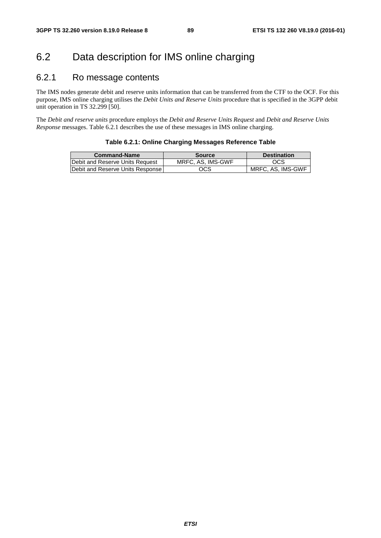# 6.2 Data description for IMS online charging

# 6.2.1 Ro message contents

The IMS nodes generate debit and reserve units information that can be transferred from the CTF to the OCF. For this purpose, IMS online charging utilises the *Debit Units and Reserve Units* procedure that is specified in the 3GPP debit unit operation in TS 32.299 [50].

The *Debit and reserve units* procedure employs the *Debit and Reserve Units Request* and *Debit and Reserve Units Response* messages. Table 6.2.1 describes the use of these messages in IMS online charging.

| Table 6.2.1: Online Charging Messages Reference Table |  |  |  |  |  |  |
|-------------------------------------------------------|--|--|--|--|--|--|
|-------------------------------------------------------|--|--|--|--|--|--|

| <b>Command-Name</b>                      | <b>Source</b>     | <b>Destination</b> |
|------------------------------------------|-------------------|--------------------|
| <b>IDebit and Reserve Units Request</b>  | MRFC, AS, IMS-GWF | OCS                |
| <b>IDebit and Reserve Units Response</b> | ocs               | MRFC. AS. IMS-GWF  |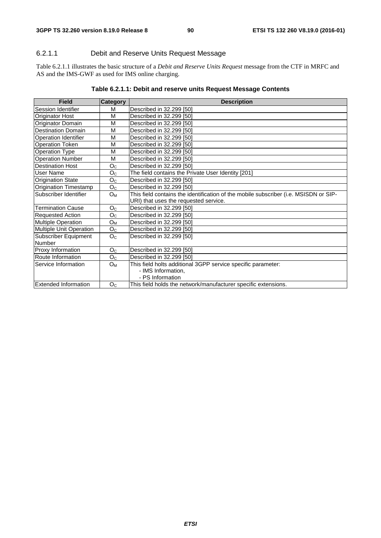#### 6.2.1.1 Debit and Reserve Units Request Message

Table 6.2.1.1 illustrates the basic structure of a *Debit and Reserve Units Request* message from the CTF in MRFC and AS and the IMS-GWF as used for IMS online charging.

#### **Table 6.2.1.1: Debit and reserve units Request Message Contents**

| <b>Field</b>                | Category       | <b>Description</b>                                                                   |
|-----------------------------|----------------|--------------------------------------------------------------------------------------|
| Session Identifier          | м              | Described in 32.299 [50]                                                             |
| <b>Originator Host</b>      | M              | Described in 32.299 [50]                                                             |
| Originator Domain           | M              | Described in 32.299 [50]                                                             |
| <b>Destination Domain</b>   | M              | Described in 32.299 [50]                                                             |
| <b>Operation Identifier</b> | M              | Described in 32.299 [50]                                                             |
| <b>Operation Token</b>      | M              | Described in 32.299 [50]                                                             |
| <b>Operation Type</b>       | M              | Described in 32.299 [50]                                                             |
| <b>Operation Number</b>     | M              | Described in 32.299 [50]                                                             |
| <b>Destination Host</b>     | O <sub>C</sub> | Described in 32.299 [50]                                                             |
| User Name                   | O <sub>C</sub> | The field contains the Private User Identity [201]                                   |
| <b>Origination State</b>    | O <sub>C</sub> | Described in 32.299 [50]                                                             |
| Origination Timestamp       | O <sub>C</sub> | Described in 32.299 [50]                                                             |
| Subscriber Identifier       | $O_{M}$        | This field contains the identification of the mobile subscriber (i.e. MSISDN or SIP- |
|                             |                | URI) that uses the requested service.                                                |
| <b>Termination Cause</b>    | O <sub>C</sub> | Described in 32.299 [50]                                                             |
| <b>Requested Action</b>     | $O_{C}$        | Described in 32.299 [50]                                                             |
| <b>Multiple Operation</b>   | $O_{M}$        | Described in 32.299 [50]                                                             |
| Multiple Unit Operation     | O <sub>C</sub> | Described in 32.299 [50]                                                             |
| Subscriber Equipment        | O <sub>C</sub> | Described in 32.299 [50]                                                             |
| Number                      |                |                                                                                      |
| Proxy Information           | O <sub>C</sub> | Described in 32.299 [50]                                                             |
| Route Information           | O <sub>C</sub> | Described in 32.299 [50]                                                             |
| Service Information         | $O_{M}$        | This field holts additional 3GPP service specific parameter:                         |
|                             |                | - IMS Information,                                                                   |
|                             |                | - PS Information                                                                     |
| <b>Extended Information</b> | O <sub>C</sub> | This field holds the network/manufacturer specific extensions.                       |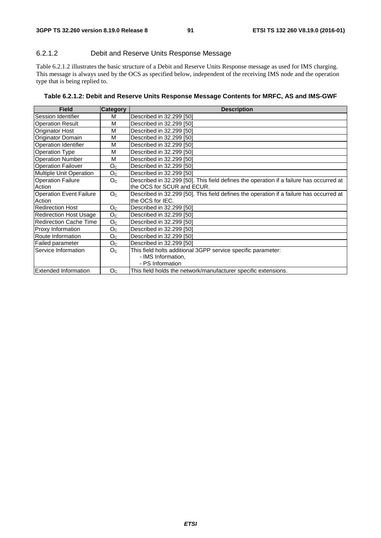#### 6.2.1.2 Debit and Reserve Units Response Message

Table 6.2.1.2 illustrates the basic structure of a Debit and Reserve Units Response message as used for IMS charging. This message is always used by the OCS as specified below, independent of the receiving IMS node and the operation type that is being replied to.

| <b>Field</b>                   | <b>Category</b> | <b>Description</b>                                                                      |
|--------------------------------|-----------------|-----------------------------------------------------------------------------------------|
| Session Identifier             | M               | Described in 32.299 [50]                                                                |
| <b>Operation Result</b>        | M               | Described in 32.299 [50]                                                                |
| <b>Originator Host</b>         | M               | Described in 32.299 [50]                                                                |
| <b>Originator Domain</b>       | M               | Described in 32.299 [50]                                                                |
| <b>Operation Identifier</b>    | M               | Described in 32.299 [50]                                                                |
| <b>Operation Type</b>          | М               | Described in 32.299 [50]                                                                |
| <b>Operation Number</b>        | M               | Described in 32.299 [50]                                                                |
| <b>Operation Failover</b>      | O <sub>C</sub>  | Described in 32.299 [50]                                                                |
| Multiple Unit Operation        | O <sub>C</sub>  | Described in 32,299 [50]                                                                |
| <b>Operation Failure</b>       | O <sub>C</sub>  | Described in 32.299 [50]. This field defines the operation if a failure has occurred at |
| Action                         |                 | the OCS for SCUR and ECUR.                                                              |
| <b>Operation Event Failure</b> | O <sub>C</sub>  | Described in 32.299 [50]. This field defines the operation if a failure has occurred at |
| Action                         |                 | the OCS for IEC.                                                                        |
| Redirection Host               | O <sub>C</sub>  | Described in 32.299 [50]                                                                |
| <b>Redirection Host Usage</b>  | O <sub>C</sub>  | Described in 32.299 [50]                                                                |
| <b>Redirection Cache Time</b>  | O <sub>C</sub>  | Described in 32.299 [50]                                                                |
| Proxy Information              | O <sub>C</sub>  | Described in 32.299 [50]                                                                |
| Route Information              | O <sub>C</sub>  | Described in 32.299 [50]                                                                |
| <b>Failed parameter</b>        | O <sub>C</sub>  | Described in 32.299 [50]                                                                |
| Service Information            | O <sub>C</sub>  | This field holts additional 3GPP service specific parameter:                            |
|                                |                 | - IMS Information,                                                                      |
|                                |                 | - PS Information                                                                        |
| <b>Extended Information</b>    | O <sub>C</sub>  | This field holds the network/manufacturer specific extensions.                          |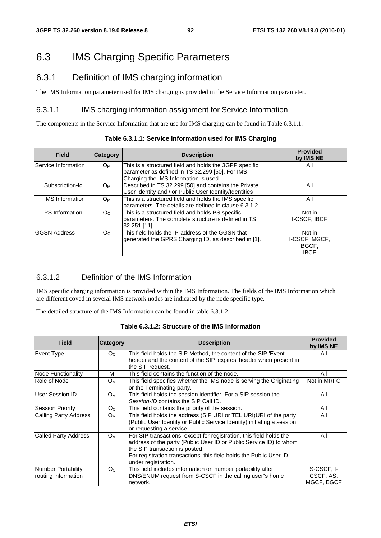# 6.3 IMS Charging Specific Parameters

# 6.3.1 Definition of IMS charging information

The IMS Information parameter used for IMS charging is provided in the Service Information parameter.

#### 6.3.1.1 IMS charging information assignment for Service Information

The components in the Service Information that are use for IMS charging can be found in Table 6.3.1.1.

| Table 6.3.1.1: Service Information used for IMS Charging |  |
|----------------------------------------------------------|--|
|                                                          |  |

| <b>Field</b>           | Category       | <b>Description</b>                                                                                                                                 | <b>Provided</b><br>by IMS NE                    |
|------------------------|----------------|----------------------------------------------------------------------------------------------------------------------------------------------------|-------------------------------------------------|
| Service Information    | $O_M$          | This is a structured field and holds the 3GPP specific<br>parameter as defined in TS 32.299 [50]. For IMS<br>Charging the IMS Information is used. | All                                             |
| Subscription-Id        | $O_{M}$        | Described in TS 32.299 [50] and contains the Private<br>User Identity and / or Public User Identity/Identities                                     | All                                             |
| <b>IMS</b> Information | $O_{M}$        | This is a structured field and holds the IMS specific<br>parameters. The details are defined in clause 6.3.1.2.                                    | All                                             |
| <b>PS</b> Information  | O <sub>C</sub> | This is a structured field and holds PS specific<br>parameters. The complete structure is defined in TS<br>32.251 [11].                            | Not in<br>I-CSCF, IBCF                          |
| <b>IGGSN Address</b>   | O <sub>C</sub> | This field holds the IP-address of the GGSN that<br>generated the GPRS Charging ID, as described in [1].                                           | Not in<br>I-CSCF, MGCF,<br>BGCF,<br><b>IBCF</b> |

### 6.3.1.2 Definition of the IMS Information

IMS specific charging information is provided within the IMS Information. The fields of the IMS Information which are different coved in several IMS network nodes are indicated by the node specific type.

The detailed structure of the IMS Information can be found in table 6.3.1.2.

| <b>Field</b>                                     | <b>Category</b> | <b>Description</b>                                                                                                                                                                                                                                                       | <b>Provided</b><br>by IMS NE          |
|--------------------------------------------------|-----------------|--------------------------------------------------------------------------------------------------------------------------------------------------------------------------------------------------------------------------------------------------------------------------|---------------------------------------|
| Event Type                                       | O <sub>C</sub>  | This field holds the SIP Method, the content of the SIP 'Event'<br>header and the content of the SIP 'expires' header when present in<br>the SIP request.                                                                                                                | All                                   |
| <b>Node Functionality</b>                        | м               | This field contains the function of the node.                                                                                                                                                                                                                            | All                                   |
| Role of Node                                     | $O_{M}$         | This field specifies whether the IMS node is serving the Originating<br>or the Terminating party.                                                                                                                                                                        | Not in MRFC                           |
| User Session ID                                  | $O_{M}$         | This field holds the session identifier. For a SIP session the<br>Session-ID contains the SIP Call ID.                                                                                                                                                                   | All                                   |
| <b>Session Priority</b>                          | O <sub>C</sub>  | This field contains the priority of the session.                                                                                                                                                                                                                         | All                                   |
| <b>Calling Party Address</b>                     | O <sub>M</sub>  | This field holds the address (SIP URI or TEL URI)URI of the party<br>(Public User Identity or Public Service Identity) initiating a session<br>or requesting a service.                                                                                                  | All                                   |
| <b>Called Party Address</b>                      | O <sub>M</sub>  | For SIP transactions, except for registration, this field holds the<br>address of the party (Public User ID or Public Service ID) to whom<br>the SIP transaction is posted.<br>For registration transactions, this field holds the Public User ID<br>under registration. | All                                   |
| <b>Number Portability</b><br>routing information | O <sub>c</sub>  | This field includes information on number portability after<br>DNS/ENUM request from S-CSCF in the calling user"s home<br>network.                                                                                                                                       | S-CSCF, I-<br>CSCF, AS.<br>MGCF, BGCF |

**Table 6.3.1.2: Structure of the IMS Information**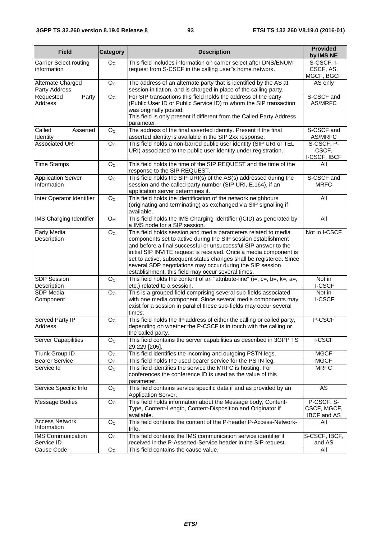| <b>Field</b>                                                                                                  | Category                                                                                                                                                                                                                                                                                                                                                                                                                                                                            | <b>Description</b>                                                                                                                                                                                               | <b>Provided</b><br>by IMS NE                    |  |  |  |
|---------------------------------------------------------------------------------------------------------------|-------------------------------------------------------------------------------------------------------------------------------------------------------------------------------------------------------------------------------------------------------------------------------------------------------------------------------------------------------------------------------------------------------------------------------------------------------------------------------------|------------------------------------------------------------------------------------------------------------------------------------------------------------------------------------------------------------------|-------------------------------------------------|--|--|--|
| <b>Carrier Select routing</b><br>information                                                                  | O <sub>C</sub>                                                                                                                                                                                                                                                                                                                                                                                                                                                                      | This field includes information on carrier select after DNS/ENUM<br>request from S-CSCF in the calling user"s home network.                                                                                      | S-CSCF, I-<br>CSCF, AS,<br>MGCF, BGCF           |  |  |  |
| Alternate Charged<br>Party Address                                                                            | The address of an alternate party that is identified by the AS at<br>O <sub>C</sub><br>session initiation, and is charged in place of the calling party.                                                                                                                                                                                                                                                                                                                            |                                                                                                                                                                                                                  |                                                 |  |  |  |
| Requested<br>Party<br>Address                                                                                 | O <sub>C</sub><br>For SIP transactions this field holds the address of the party<br>(Public User ID or Public Service ID) to whom the SIP transaction<br>was originally posted.<br>This field is only present if different from the Called Party Address<br>parameter.                                                                                                                                                                                                              |                                                                                                                                                                                                                  |                                                 |  |  |  |
| Called<br>Asserted<br>Identity                                                                                | O <sub>C</sub>                                                                                                                                                                                                                                                                                                                                                                                                                                                                      | The address of the final asserted identity. Present if the final<br>asserted identity is available in the SIP 2xx response.                                                                                      | S-CSCF and<br>AS/MRFC                           |  |  |  |
| <b>Associated URI</b>                                                                                         | O <sub>c</sub>                                                                                                                                                                                                                                                                                                                                                                                                                                                                      | This field holds a non-barred public user identity (SIP URI or TEL<br>URI) associated to the public user identity under registration.                                                                            | S-CSCF, P-<br>CSCF,<br>I-CSCF, IBCF             |  |  |  |
| <b>Time Stamps</b>                                                                                            | O <sub>C</sub>                                                                                                                                                                                                                                                                                                                                                                                                                                                                      | This field holds the time of the SIP REQUEST and the time of the<br>response to the SIP REQUEST.                                                                                                                 | All                                             |  |  |  |
| <b>Application Server</b><br>Information                                                                      | O <sub>c</sub>                                                                                                                                                                                                                                                                                                                                                                                                                                                                      | This field holds the SIP URI(s) of the AS(s) addressed during the<br>session and the called party number (SIP URI, E.164), if an<br>application server determines it.                                            | S-CSCF and<br><b>MRFC</b>                       |  |  |  |
| Inter Operator Identifier                                                                                     | $\overline{O}_C$                                                                                                                                                                                                                                                                                                                                                                                                                                                                    | This field holds the identification of the network neighbours<br>(originating and terminating) as exchanged via SIP signalling if<br>available.                                                                  | All                                             |  |  |  |
| <b>IMS Charging Identifier</b>                                                                                | $O_{M}$                                                                                                                                                                                                                                                                                                                                                                                                                                                                             | This field holds the IMS Charging Identifier (ICID) as generated by<br>a IMS node for a SIP session.                                                                                                             | All                                             |  |  |  |
| Early Media<br>Description                                                                                    | This field holds session and media parameters related to media<br>O <sub>C</sub><br>components set to active during the SIP session establishment<br>and before a final successful or unsuccessful SIP answer to the<br>initial SIP INVITE request is received. Once a media component is<br>set to active, subsequent status changes shall be registered. Since<br>several SDP negotiations may occur during the SIP session<br>establishment, this field may occur several times. |                                                                                                                                                                                                                  |                                                 |  |  |  |
| <b>SDP Session</b><br>Description                                                                             | O <sub>C</sub>                                                                                                                                                                                                                                                                                                                                                                                                                                                                      | This field holds the content of an "attribute-line" (i=, c=, b=, k=, a=,<br>etc.) related to a session.                                                                                                          |                                                 |  |  |  |
| SDP Media<br>Component                                                                                        | O <sub>C</sub>                                                                                                                                                                                                                                                                                                                                                                                                                                                                      | This is a grouped field comprising several sub-fields associated<br>with one media component. Since several media components may<br>exist for a session in parallel these sub-fields may occur several<br>times. | <b>I-CSCF</b><br>Not in<br><b>I-CSCF</b>        |  |  |  |
| <b>Served Party IP</b><br><b>Address</b>                                                                      | This field holds the IP address of either the calling or called party,<br>O <sub>C</sub><br>depending on whether the P-CSCF is in touch with the calling or<br>the called party.                                                                                                                                                                                                                                                                                                    |                                                                                                                                                                                                                  |                                                 |  |  |  |
| <b>Server Capabilities</b>                                                                                    | O <sub>C</sub>                                                                                                                                                                                                                                                                                                                                                                                                                                                                      | This field contains the server capabilities as described in 3GPP TS<br>29.229 [205].                                                                                                                             | <b>I-CSCF</b>                                   |  |  |  |
| Trunk Group ID                                                                                                | O <sub>C</sub>                                                                                                                                                                                                                                                                                                                                                                                                                                                                      | This field identifies the incoming and outgoing PSTN legs.                                                                                                                                                       | <b>MGCF</b>                                     |  |  |  |
| <b>Bearer Service</b>                                                                                         | O <sub>C</sub>                                                                                                                                                                                                                                                                                                                                                                                                                                                                      | This field holds the used bearer service for the PSTN leg.                                                                                                                                                       | <b>MGCF</b>                                     |  |  |  |
| Service Id                                                                                                    | O <sub>C</sub>                                                                                                                                                                                                                                                                                                                                                                                                                                                                      | This field identifies the service the MRFC is hosting. For<br>conferences the conference ID is used as the value of this<br>parameter.                                                                           | <b>MRFC</b>                                     |  |  |  |
| Service Specific Info                                                                                         | O <sub>C</sub>                                                                                                                                                                                                                                                                                                                                                                                                                                                                      | This field contains service specific data if and as provided by an<br>Application Server.                                                                                                                        | AS                                              |  |  |  |
| <b>Message Bodies</b>                                                                                         | O <sub>C</sub>                                                                                                                                                                                                                                                                                                                                                                                                                                                                      | This field holds information about the Message body, Content-<br>Type, Content-Length, Content-Disposition and Originator if<br>available.                                                                       | P-CSCF, S-<br>CSCF, MGCF,<br><b>IBCF</b> and AS |  |  |  |
| <b>Access Network</b><br>Information                                                                          | This field contains the content of the P-header P-Access-Network-<br>O <sub>C</sub><br>Info.                                                                                                                                                                                                                                                                                                                                                                                        |                                                                                                                                                                                                                  |                                                 |  |  |  |
| <b>IMS</b> Communication<br>This field contains the IMS communication service identifier if<br>O <sub>c</sub> |                                                                                                                                                                                                                                                                                                                                                                                                                                                                                     | S-CSCF, IBCF,                                                                                                                                                                                                    |                                                 |  |  |  |
| Service ID                                                                                                    |                                                                                                                                                                                                                                                                                                                                                                                                                                                                                     | received in the P-Asserted-Service header in the SIP request.                                                                                                                                                    | and AS<br>All                                   |  |  |  |
| Cause Code<br>O <sub>C</sub><br>This field contains the cause value.                                          |                                                                                                                                                                                                                                                                                                                                                                                                                                                                                     |                                                                                                                                                                                                                  |                                                 |  |  |  |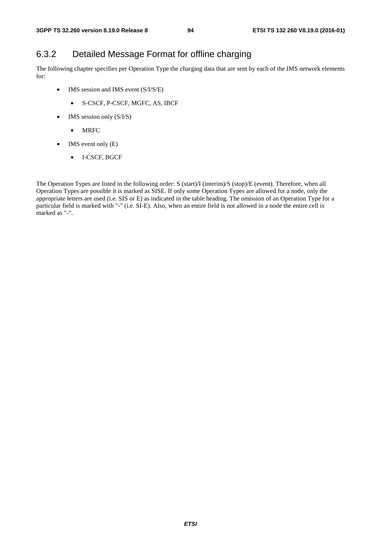# 6.3.2 Detailed Message Format for offline charging

The following chapter specifies per Operation Type the charging data that are sent by each of the IMS network elements for:

- IMS session and IMS event (S/I/S/E)
	- S-CSCF, P-CSCF, MGFC, AS, IBCF
- IMS session only  $(S/I/S)$ 
	- MRFC
- IMS event only (E)
	- I-CSCF, BGCF

The Operation Types are listed in the following order: S (start)/I (interim)/S (stop)/E (event). Therefore, when all Operation Types are possible it is marked as SISE. If only some Operation Types are allowed for a node, only the appropriate letters are used (i.e. SIS or E) as indicated in the table heading. The omission of an Operation Type for a particular field is marked with "-" (i.e. SI-E). Also, when an entire field is not allowed in a node the entire cell is marked as "-".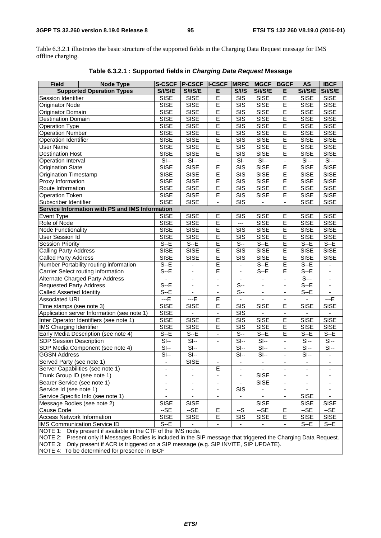Table 6.3.2.1 illustrates the basic structure of the supported fields in the Charging Data Request message for IMS offline charging.

| <b>Field</b>                      | <b>Node Type</b>                                              | <b>S-CSCF</b>            | $P\text{-CSCF}$ $I\text{-CSCF}$ |                          | <b>MRFC</b>              | <b>MGCF</b>              | <b>BGCF</b>              | <b>AS</b>      | <b>IBCF</b>              |
|-----------------------------------|---------------------------------------------------------------|--------------------------|---------------------------------|--------------------------|--------------------------|--------------------------|--------------------------|----------------|--------------------------|
|                                   | <b>Supported Operation Types</b>                              | S/I/S/E                  | <b>S/I/S/E</b>                  | Е                        | <b>S/I/S</b>             | <b>S/I/S/E</b>           | Е                        | <b>S/I/S/E</b> | <b>S/I/S/E</b>           |
| Session Identifier                |                                                               | <b>SISE</b>              | <b>SISE</b>                     | E                        | $\overline{\text{SIS}}$  | <b>SISE</b>              | E                        | <b>SISE</b>    | <b>SISE</b>              |
| <b>Originator Node</b>            |                                                               | <b>SISE</b>              | <b>SISE</b>                     | $\overline{E}$           | $\overline{\text{SIS}}$  | <b>SISE</b>              | E                        | <b>SISE</b>    | <b>SISE</b>              |
| Originator Domain                 |                                                               | <b>SISE</b>              | <b>SISE</b>                     | Ē                        | $\overline{\text{SIS}}$  | <b>SISE</b>              | E                        | <b>SISE</b>    | <b>SISE</b>              |
| <b>Destination Domain</b>         |                                                               | <b>SISE</b>              | <b>SISE</b>                     | $\overline{E}$           | SIS                      | <b>SISE</b>              | $\overline{E}$           | <b>SISE</b>    | <b>SISE</b>              |
| <b>Operation Type</b>             |                                                               | <b>SISE</b>              | <b>SISE</b>                     | E                        | SIS                      | <b>SISE</b>              | $\mathsf E$              | <b>SISE</b>    | <b>SISE</b>              |
| <b>Operation Number</b>           |                                                               | <b>SISE</b>              | <b>SISE</b>                     | $\overline{E}$           | SIS                      | <b>SISE</b>              | E                        | <b>SISE</b>    | <b>SISE</b>              |
| Operation Identifier              |                                                               | <b>SISE</b>              | <b>SISE</b>                     | E                        | $\overline{\text{SIS}}$  | <b>SISE</b>              | E                        | <b>SISE</b>    | <b>SISE</b>              |
| <b>User Name</b>                  |                                                               | <b>SISE</b>              | <b>SISE</b>                     | $\overline{E}$           | $\overline{\text{SIS}}$  | <b>SISE</b>              | E                        | <b>SISE</b>    | <b>SISE</b>              |
| <b>Destination Host</b>           |                                                               | <b>SISE</b>              | <b>SISE</b>                     | E                        | $\overline{\text{SIS}}$  | <b>SISE</b>              | E                        | <b>SISE</b>    | <b>SISE</b>              |
| Operation Interval                |                                                               | $S-I$                    | $S-I$                           | $\blacksquare$           | $SI-$                    | $S-I$                    | $\omega$                 | $S$ --         | $S$ --                   |
| <b>Origination State</b>          |                                                               | <b>SISE</b>              | <b>SISE</b>                     | $\overline{E}$           | SIS                      | <b>SISE</b>              | E                        | <b>SISE</b>    | <b>SISE</b>              |
| <b>Origination Timestamp</b>      |                                                               | <b>SISE</b>              | <b>SISE</b>                     | E                        | $\overline{\text{SIS}}$  | <b>SISE</b>              | E                        | <b>SISE</b>    | <b>SISE</b>              |
| Proxy Information                 |                                                               | <b>SISE</b>              | <b>SISE</b>                     | $\overline{E}$           | $\overline{\text{SIS}}$  | <b>SISE</b>              | E                        | <b>SISE</b>    | <b>SISE</b>              |
| Route Information                 |                                                               | <b>SISE</b>              | <b>SISE</b>                     | E                        | $\overline{\text{SIS}}$  | <b>SISE</b>              | E                        | <b>SISE</b>    | <b>SISE</b>              |
| <b>Operation Token</b>            |                                                               | <b>SISE</b>              | <b>SISE</b>                     | E                        | $\overline{\text{SIS}}$  | <b>SISE</b>              | E                        | <b>SISE</b>    | <b>SISE</b>              |
| Subscriber Identifier             |                                                               | <b>SISE</b>              | <b>SISE</b>                     | ÷,                       | $\overline{\text{SIS}}$  | $\blacksquare$           | $\blacksquare$           | <b>SISE</b>    | <b>SISE</b>              |
|                                   | Service Information with PS and IMS Information               |                          |                                 |                          |                          |                          |                          |                |                          |
| Event Type                        |                                                               | <b>SISE</b>              | <b>SISE</b>                     | $\overline{E}$           | SIS                      | <b>SISE</b>              | E                        | <b>SISE</b>    | <b>SISE</b>              |
| Role of Node                      |                                                               | <b>SISE</b>              | <b>SISE</b>                     | E                        | ---                      | <b>SISE</b>              | E                        | <b>SISE</b>    | <b>SISE</b>              |
| <b>Node Functionality</b>         |                                                               | <b>SISE</b>              | <b>SISE</b>                     | $\overline{E}$           | SIS                      | <b>SISE</b>              | $\mathsf E$              | <b>SISE</b>    | <b>SISE</b>              |
| <b>User Session Id</b>            |                                                               | <b>SISE</b>              | $\overline{\text{SISE}}$        | E                        | SIS                      | <b>SISE</b>              | $\mathsf E$              | <b>SISE</b>    | <b>SISE</b>              |
| <b>Session Priority</b>           |                                                               | $\overline{S} - E$       | $S - E$                         | $\overline{E}$           | $S-$                     | $S - E$                  | E                        | $S - E$        | $S - E$                  |
| <b>Calling Party Address</b>      |                                                               | <b>SISE</b>              | <b>SISE</b>                     | E                        | $\overline{\text{SIS}}$  | <b>SISE</b>              | E                        | <b>SISE</b>    | <b>SISE</b>              |
| <b>Called Party Address</b>       |                                                               | <b>SISE</b>              | <b>SISE</b>                     | $\overline{E}$           | SIS                      | <b>SISE</b>              | E                        | <b>SISE</b>    | <b>SISE</b>              |
|                                   | Number Portability routing information                        | $S - E$                  | ÷,                              | $\overline{E}$           | ä,                       | $S - E$                  | E                        | $S - E$        | $\overline{\phantom{a}}$ |
|                                   | Carrier Select routing information                            | $S-F$                    | $\overline{\phantom{a}}$        | $\overline{E}$           | $\blacksquare$           | $S - E$                  | E                        | $S-F$          | $\overline{\phantom{a}}$ |
|                                   | Alternate Charged Party Address                               | $\overline{\phantom{a}}$ | ۰                               | $\blacksquare$           | ۰                        | $\overline{\phantom{a}}$ | $\overline{\phantom{a}}$ | $S--$          | ۰                        |
| <b>Requested Party Address</b>    |                                                               | $S - E$                  | $\overline{\phantom{a}}$        | $\overline{\phantom{a}}$ | $S-$                     | $\blacksquare$           |                          | $S - E$        | $\overline{\phantom{a}}$ |
| <b>Called Asserted Identity</b>   |                                                               | $S - E$                  |                                 |                          | $S-$                     | $\blacksquare$           | $\blacksquare$           | $S - E$        | $\blacksquare$           |
| <b>Associated URI</b>             |                                                               | $- E$                    | $- E$                           | E                        |                          |                          |                          |                | $-F$                     |
| Time stamps (see note 3)          |                                                               | <b>SISE</b>              | <b>SISE</b>                     | $\overline{E}$           | $\overline{\text{SIS}}$  | <b>SISE</b>              | E                        | <b>SISE</b>    | <b>SISE</b>              |
|                                   | Application server Information (see note 1)                   | <b>SISE</b>              | $\blacksquare$                  | $\blacksquare$           | SIS                      | $\blacksquare$           | $\blacksquare$           |                | $\blacksquare$           |
|                                   | Inter Operator Identifiers (see note 1)                       | <b>SISE</b>              | <b>SISE</b>                     | $\overline{E}$           | $\overline{\text{SIS}}$  | <b>SISE</b>              | E                        | <b>SISE</b>    | <b>SISE</b>              |
| <b>IMS Charging Identifier</b>    |                                                               | <b>SISE</b>              | <b>SISE</b>                     | E                        | SIS                      | <b>SISE</b>              | $\overline{E}$           | <b>SISE</b>    | <b>SISE</b>              |
|                                   | Early Media Description (see note 4)                          | $S - E$                  | $S - E$                         | $\overline{\phantom{a}}$ | $S-$                     | $S - E$                  | E                        | $S - E$        | $S - E$                  |
| <b>SDP Session Description</b>    |                                                               | $S-I$                    | $S-I$                           | ÷.                       | $S-I$                    | $S-I$                    | $\bar{\mathbf{r}}$       | $S-I$          | $SI-$                    |
|                                   | SDP Media Component (see note 4)                              | $SI-$                    | $SI-$                           |                          | $SI-$                    | $SI-$                    | $\blacksquare$           | $SI-$          | $SI-$                    |
| <b>GGSN Address</b>               |                                                               | $SI-$                    | $\overline{\mathsf{S}}$ -       |                          | $SI-$                    | $SI-$                    |                          | $SI-$          |                          |
| Served Party (see note 1)         |                                                               | $\overline{\phantom{a}}$ | <b>SISE</b>                     | $\overline{\phantom{a}}$ | $\overline{\phantom{a}}$ | ٠                        | $\overline{\phantom{a}}$ | $\blacksquare$ | $\overline{\phantom{a}}$ |
|                                   | Server Capabilities (see note 1)                              |                          |                                 | E                        |                          |                          |                          |                |                          |
| Trunk Group ID (see note 1)       |                                                               | $\blacksquare$           | ÷,                              | ä,                       | $\blacksquare$           | <b>SISE</b>              | $\blacksquare$           | $\blacksquare$ |                          |
| Bearer Service (see note 1)       |                                                               | $\overline{\phantom{a}}$ | $\overline{\phantom{a}}$        | $\overline{\phantom{a}}$ | $\blacksquare$           | <b>SISE</b>              | $\overline{\phantom{a}}$ | $\blacksquare$ |                          |
| Service Id (see note 1)           |                                                               | ٠                        |                                 | ۰                        | SIS                      |                          |                          |                |                          |
|                                   | Service Specific Info (see note 1)                            | $\overline{\phantom{a}}$ | $\blacksquare$                  |                          | ۰                        | $\blacksquare$           |                          | <b>SISE</b>    |                          |
| Message Bodies (see note 2)       |                                                               | <b>SISE</b>              | <b>SISE</b>                     |                          |                          | <b>SISE</b>              |                          | <b>SISE</b>    | <b>SISE</b>              |
| Cause Code                        |                                                               | $-SE$                    | $-SE$                           | E                        | $-S$                     | $-SE$                    | E                        | $-SE$          | $-SE$                    |
| <b>Access Network Information</b> |                                                               | <b>SISE</b>              | <b>SISE</b>                     | E                        | SIS                      | <b>SISE</b>              | E                        | <b>SISE</b>    | <b>SISE</b>              |
|                                   | <b>IMS Communication Service ID</b>                           | $S - E$                  |                                 | ۰                        | $\overline{\phantom{a}}$ | ٠                        | $\overline{\phantom{a}}$ | $S - E$        | $S - E$                  |
|                                   | NOTE 1: Only present if available in the CTF of the IMS node. |                          |                                 |                          |                          |                          |                          |                |                          |

**Table 6.3.2.1 : Supported fields in** *Charging Data Request* **Message** 

NOTE 2: Present only if Messages Bodies is included in the SIP message that triggered the Charging Data Request.

NOTE 3: Only present if ACR is triggered on a SIP message (e.g. SIP INVITE, SIP UPDATE).

NOTE 4: To be determined for presence in IBCF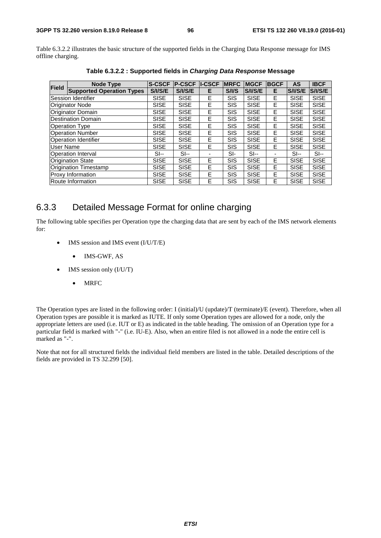Table 6.3.2.2 illustrates the basic structure of the supported fields in the Charging Data Response message for IMS offline charging.

|              | <b>Node Type</b>                 | <b>S-CSCF</b> | <b>P-CSCF II-CSCF</b> |                          | <b>IMRFC</b> | <b>MGCF</b>    | <b>BGCF</b>              | <b>AS</b>      | <b>IBCF</b>    |
|--------------|----------------------------------|---------------|-----------------------|--------------------------|--------------|----------------|--------------------------|----------------|----------------|
| <b>Field</b> | <b>Supported Operation Types</b> | S/I/S/E       | S/I/S/E               | E                        | S/IS         | <b>S/I/S/E</b> | Е                        | <b>S/I/S/E</b> | <b>S/I/S/E</b> |
|              | Session Identifier               | <b>SISE</b>   | <b>SISE</b>           | E                        | <b>SIS</b>   | <b>SISE</b>    | E                        | <b>SISE</b>    | <b>SISE</b>    |
|              | <b>Originator Node</b>           | <b>SISE</b>   | <b>SISE</b>           | E                        | <b>SIS</b>   | <b>SISE</b>    | E                        | <b>SISE</b>    | <b>SISE</b>    |
|              | <b>Originator Domain</b>         | <b>SISE</b>   | <b>SISE</b>           | E                        | <b>SIS</b>   | <b>SISE</b>    | E                        | <b>SISE</b>    | <b>SISE</b>    |
|              | Destination Domain               | <b>SISE</b>   | <b>SISE</b>           | E                        | <b>SIS</b>   | <b>SISE</b>    | E                        | <b>SISE</b>    | <b>SISE</b>    |
|              | <b>Operation Type</b>            | <b>SISE</b>   | <b>SISE</b>           | Е                        | <b>SIS</b>   | <b>SISE</b>    | Е                        | <b>SISE</b>    | <b>SISE</b>    |
|              | <b>Operation Number</b>          | <b>SISE</b>   | <b>SISE</b>           | Е                        | <b>SIS</b>   | <b>SISE</b>    | E                        | <b>SISE</b>    | <b>SISE</b>    |
|              | <b>Operation Identifier</b>      | <b>SISE</b>   | <b>SISE</b>           | E                        | <b>SIS</b>   | <b>SISE</b>    | E                        | <b>SISE</b>    | <b>SISE</b>    |
| lUser Name   |                                  | <b>SISE</b>   | <b>SISE</b>           | E                        | <b>SIS</b>   | <b>SISE</b>    | E                        | <b>SISE</b>    | <b>SISE</b>    |
|              | <b>Operation Interval</b>        | $SI-$         | $SI -$                | $\overline{\phantom{a}}$ | $SI-$        | $SI-$          | $\overline{\phantom{a}}$ | $SI-$          | $SI -$         |
|              | <b>Origination State</b>         | <b>SISE</b>   | <b>SISE</b>           | E                        | <b>SIS</b>   | <b>SISE</b>    | E                        | <b>SISE</b>    | <b>SISE</b>    |
|              | <b>Origination Timestamp</b>     | <b>SISE</b>   | <b>SISE</b>           | E                        | <b>SIS</b>   | <b>SISE</b>    | E                        | <b>SISE</b>    | <b>SISE</b>    |
|              | Proxy Information                | <b>SISE</b>   | <b>SISE</b>           | E                        | <b>SIS</b>   | <b>SISE</b>    | Е                        | <b>SISE</b>    | <b>SISE</b>    |
|              | Route Information                | <b>SISE</b>   | <b>SISE</b>           | Е                        | SIS          | <b>SISE</b>    | Е                        | <b>SISE</b>    | <b>SISE</b>    |

**Table 6.3.2.2 : Supported fields in** *Charging Data Response* **Message** 

## 6.3.3 Detailed Message Format for online charging

The following table specifies per Operation type the charging data that are sent by each of the IMS network elements for:

- IMS session and IMS event (I/U/T/E)
	- IMS-GWF, AS
- IMS session only (I/U/T)
	- MRFC

The Operation types are listed in the following order: I (initial)/U (update)/T (terminate)/E (event). Therefore, when all Operation types are possible it is marked as IUTE. If only some Operation types are allowed for a node, only the appropriate letters are used (i.e. IUT or E) as indicated in the table heading. The omission of an Operation type for a particular field is marked with "-" (i.e. IU-E). Also, when an entire filed is not allowed in a node the entire cell is marked as "-".

Note that not for all structured fields the individual field members are listed in the table. Detailed descriptions of the fields are provided in TS 32.299 [50].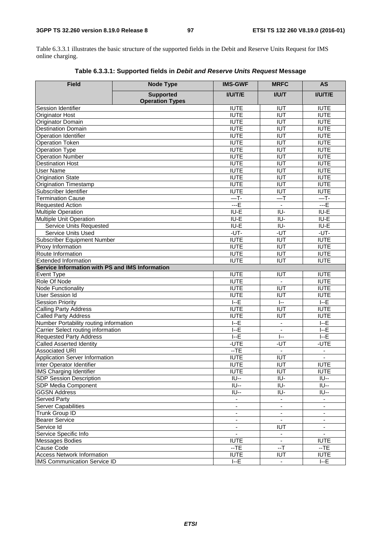Table 6.3.3.1 illustrates the basic structure of the supported fields in the Debit and Reserve Units Request for IMS online charging.

| <b>Field</b>                                    | <b>Node Type</b>                           | <b>IMS-GWF</b>                                      | <b>MRFC</b>              | <b>AS</b>                       |  |
|-------------------------------------------------|--------------------------------------------|-----------------------------------------------------|--------------------------|---------------------------------|--|
|                                                 | <b>Supported</b><br><b>Operation Types</b> | I/U/T/E                                             | <b>I/U/T</b>             | I/U/T/E                         |  |
| Session Identifier                              |                                            | <b>IUTE</b>                                         | <b>IUT</b>               | <b>IUTE</b>                     |  |
| <b>Originator Host</b>                          |                                            | <b>IUTE</b>                                         | <b>IUT</b>               | <b>IUTE</b>                     |  |
| Originator Domain                               |                                            | <b>IUTE</b>                                         | <b>IUT</b>               | <b>IUTE</b>                     |  |
| <b>Destination Domain</b>                       |                                            | <b>IUTE</b>                                         | <b>IUT</b>               | <b>IUTE</b>                     |  |
| Operation Identifier                            |                                            | <b>IUTE</b>                                         | <b>IUT</b>               | <b>IUTE</b>                     |  |
| <b>Operation Token</b>                          |                                            | <b>IUTE</b>                                         | <b>IUT</b>               | <b>IUTE</b>                     |  |
| <b>Operation Type</b>                           |                                            | <b>IUTE</b>                                         | <b>IUT</b>               | <b>IUTE</b>                     |  |
| <b>Operation Number</b>                         |                                            | <b>IUTE</b>                                         | <b>IUT</b>               | <b>IUTE</b>                     |  |
| <b>Destination Host</b>                         |                                            | <b>IUTE</b>                                         | <b>IUT</b>               | <b>IUTE</b>                     |  |
| <b>User Name</b>                                |                                            | <b>IUTE</b>                                         | <b>IUT</b>               | <b>IUTE</b>                     |  |
| <b>Origination State</b>                        |                                            | <b>IUTE</b>                                         | <b>IUT</b>               | <b>IUTE</b>                     |  |
| <b>Origination Timestamp</b>                    |                                            | <b>IUTE</b>                                         | <b>IUT</b>               | <b>IUTE</b>                     |  |
| Subscriber Identifier                           |                                            | <b>IUTE</b>                                         | <b>IUT</b>               | <b>IUTE</b>                     |  |
| <b>Termination Cause</b>                        |                                            | $-$ T-                                              | $\overline{-1}$          | $-$ T-                          |  |
| Requested Action                                |                                            | $-F$                                                | $\overline{\phantom{a}}$ | $- E$                           |  |
| <b>Multiple Operation</b>                       |                                            | $\overline{\mathsf{I} \mathsf{U} \cdot \mathsf{E}}$ |                          | $\overline{I U - E}$            |  |
| Multiple Unit Operation                         |                                            | $\overline{\mathsf{I} \mathsf{U} \cdot \mathsf{E}}$ |                          | $\overline{I U - E}$            |  |
| <b>Service Units Requested</b>                  |                                            | $\overline{\text{I}U-E}$                            |                          | $\overline{I U - E}$            |  |
| <b>Service Units Used</b>                       |                                            | $-UT -$                                             | $-\overline{UT}$         | $-UT -$                         |  |
| Subscriber Equipment Number                     |                                            | <b>IUTE</b>                                         | <b>IUT</b>               | <b>IUTE</b>                     |  |
| Proxy Information                               |                                            | <b>IUTE</b>                                         | <b>IUT</b>               | <b>IUTE</b>                     |  |
| Route Information                               |                                            | <b>IUTE</b>                                         | <b>IUT</b>               | <b>IUTE</b>                     |  |
| <b>Extended Information</b>                     |                                            | <b>IUTE</b>                                         | <b>IUT</b>               | <b>IUTE</b>                     |  |
| Service Information with PS and IMS Information |                                            |                                                     |                          |                                 |  |
| <b>Event Type</b>                               |                                            | <b>IUTE</b>                                         | <b>IUT</b>               | <b>IUTE</b>                     |  |
| Role Of Node                                    |                                            | <b>IUTE</b>                                         |                          | <b>IUTE</b>                     |  |
| Node Functionality                              |                                            | <b>IUTE</b>                                         | <b>IUT</b>               | <b>IUTE</b>                     |  |
| <b>User Session Id</b>                          |                                            | <b>IUTE</b>                                         | <b>IUT</b>               | <b>IUTE</b>                     |  |
| <b>Session Priority</b>                         |                                            | $I - E$                                             | $\left  - \right $       | $I - E$                         |  |
| <b>Calling Party Address</b>                    |                                            | <b>IUTE</b>                                         | <b>IUT</b>               | <b>IUTE</b>                     |  |
| <b>Called Party Address</b>                     |                                            | <b>IUTE</b>                                         | <b>IUT</b>               | <b>IUTE</b>                     |  |
| Number Portability routing information          |                                            | $F-E$                                               | $\blacksquare$           | $I - E$                         |  |
| Carrier Select routing information              |                                            | $I - E$                                             | $\blacksquare$           | $I - E$                         |  |
| <b>Requested Party Address</b>                  |                                            | $l - E$                                             | I--                      | $l - E$                         |  |
| <b>Called Asserted Identity</b>                 |                                            | -UTE                                                | -UT                      | -UTE                            |  |
| <b>Associated URI</b>                           |                                            | $-TE$                                               | $\blacksquare$           | $\blacksquare$                  |  |
| Application Server Information                  |                                            | <b>IUTE</b>                                         | <b>IUT</b>               |                                 |  |
| Inter Operator Identifier                       |                                            | <b>IUTE</b>                                         | <b>IUT</b>               | <b>IUTE</b>                     |  |
| <b>IMS Charging Identifier</b>                  |                                            | <b>IUTE</b>                                         | <b>IUT</b>               | <b>IUTE</b>                     |  |
| <b>SDP Session Description</b>                  |                                            | $\overline{\overline{\bigcup}}$                     |                          | $\overline{\overline{\bigcup}}$ |  |
| <b>SDP Media Component</b>                      |                                            | <b>IU--</b>                                         | IU-                      | <b>IU--</b>                     |  |
| <b>GGSN Address</b>                             |                                            | IU--                                                | IU-                      | <b>IU--</b>                     |  |
| <b>Served Party</b>                             | $\overline{\phantom{a}}$                   | $\overline{\phantom{a}}$                            | $\overline{\phantom{a}}$ |                                 |  |
| <b>Server Capabilities</b>                      | $\overline{\phantom{a}}$                   | $\blacksquare$                                      |                          |                                 |  |
| Trunk Group ID                                  | ÷,                                         | ÷.                                                  | ÷,                       |                                 |  |
| <b>Bearer Service</b>                           | $\overline{\phantom{a}}$                   | $\blacksquare$                                      | $\overline{\phantom{a}}$ |                                 |  |
| Service Id                                      | $\overline{\phantom{a}}$                   | <b>IUT</b>                                          | -                        |                                 |  |
| Service Specific Info                           | $\blacksquare$                             | $\overline{\phantom{a}}$                            | $\blacksquare$           |                                 |  |
| <b>Messages Bodies</b>                          | <b>IUTE</b>                                | $\blacksquare$                                      | <b>IUTE</b>              |                                 |  |
| Cause Code                                      |                                            | $-TE$                                               | $-\overline{1}$          | $-TE$                           |  |
| <b>Access Network Information</b>               |                                            | <b>IUTE</b>                                         | <b>IUT</b>               | <b>IUTE</b>                     |  |
| <b>IMS Communication Service ID</b>             |                                            | $I - E$                                             |                          | $I - E$                         |  |

|  |  | Table 6.3.3.1: Supported fields in Debit and Reserve Units Request Message |
|--|--|----------------------------------------------------------------------------|
|  |  |                                                                            |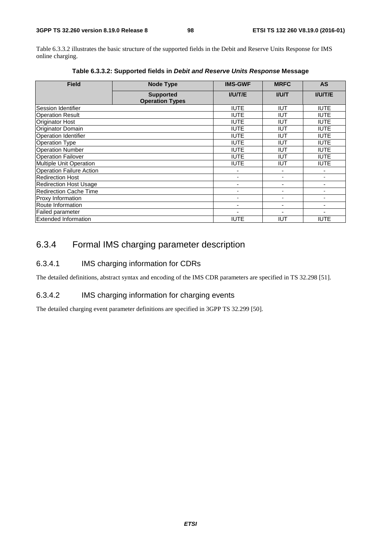Table 6.3.3.2 illustrates the basic structure of the supported fields in the Debit and Reserve Units Response for IMS online charging.

| <b>Field</b>                    | <b>Node Type</b>                           | <b>IMS-GWF</b>           | <b>MRFC</b>    | <b>AS</b>      |
|---------------------------------|--------------------------------------------|--------------------------|----------------|----------------|
|                                 | <b>Supported</b><br><b>Operation Types</b> | <b>I/U/T/E</b>           | <b>I/U/T</b>   | <b>I/U/T/E</b> |
| Session Identifier              |                                            | <b>IUTE</b>              | <b>IUT</b>     | <b>IUTE</b>    |
| <b>Operation Result</b>         |                                            | <b>IUTE</b>              | IUT            | <b>IUTE</b>    |
| <b>Originator Host</b>          |                                            | <b>IUTE</b>              | <b>IUT</b>     | <b>IUTE</b>    |
| Originator Domain               |                                            | <b>IUTE</b>              | <b>IUT</b>     | <b>IUTE</b>    |
| <b>Operation Identifier</b>     |                                            | <b>IUTE</b>              | IUT            | <b>IUTE</b>    |
| <b>Operation Type</b>           |                                            | <b>IUTE</b>              | IUT            | <b>IUTE</b>    |
| <b>Operation Number</b>         |                                            | <b>IUTE</b>              | <b>IUT</b>     | <b>IUTE</b>    |
| <b>Operation Failover</b>       |                                            | <b>IUTE</b>              | <b>IUT</b>     | <b>IUTE</b>    |
| <b>Multiple Unit Operation</b>  |                                            | <b>IUTE</b>              | <b>IUT</b>     | <b>IUTE</b>    |
| <b>Operation Failure Action</b> |                                            |                          |                |                |
| <b>Redirection Host</b>         |                                            |                          |                |                |
| <b>Redirection Host Usage</b>   |                                            | ٠                        |                |                |
| <b>Redirection Cache Time</b>   |                                            | $\overline{\phantom{a}}$ | $\blacksquare$ | ٠              |
| Proxy Information               |                                            | $\blacksquare$           | ۰              |                |
| Route Information               |                                            | $\overline{\phantom{0}}$ |                |                |
| Failed parameter                |                                            |                          |                |                |
| <b>Extended Information</b>     |                                            | <b>IUTE</b>              | <b>IUT</b>     | <b>IUTE</b>    |

**Table 6.3.3.2: Supported fields in** *Debit and Reserve Units Response* **Message** 

## 6.3.4 Formal IMS charging parameter description

#### 6.3.4.1 IMS charging information for CDRs

The detailed definitions, abstract syntax and encoding of the IMS CDR parameters are specified in TS 32.298 [51].

#### 6.3.4.2 IMS charging information for charging events

The detailed charging event parameter definitions are specified in 3GPP TS 32.299 [50].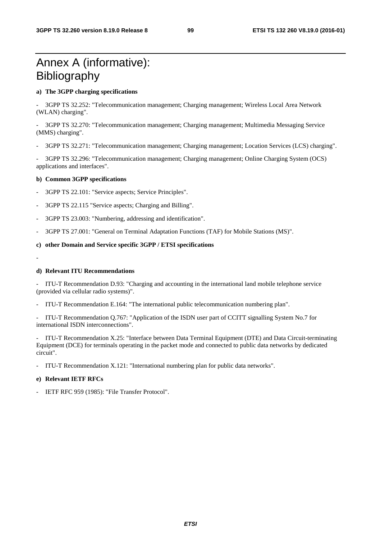# Annex A (informative): Bibliography

#### **a) The 3GPP charging specifications**

- 3GPP TS 32.252: "Telecommunication management; Charging management; Wireless Local Area Network (WLAN) charging".

- 3GPP TS 32.270: "Telecommunication management; Charging management; Multimedia Messaging Service (MMS) charging".

- 3GPP TS 32.271: "Telecommunication management; Charging management; Location Services (LCS) charging".

- 3GPP TS 32.296: "Telecommunication management; Charging management; Online Charging System (OCS) applications and interfaces".

#### **b) Common 3GPP specifications**

- 3GPP TS 22.101: "Service aspects; Service Principles".
- 3GPP TS 22.115 "Service aspects; Charging and Billing".
- 3GPP TS 23.003: "Numbering, addressing and identification".
- 3GPP TS 27.001: "General on Terminal Adaptation Functions (TAF) for Mobile Stations (MS)".

#### **c) other Domain and Service specific 3GPP / ETSI specifications**

-

#### **d) Relevant ITU Recommendations**

- ITU-T Recommendation D.93: "Charging and accounting in the international land mobile telephone service (provided via cellular radio systems)".

- ITU-T Recommendation E.164: "The international public telecommunication numbering plan".

ITU-T Recommendation Q.767: "Application of the ISDN user part of CCITT signalling System No.7 for international ISDN interconnections".

- ITU-T Recommendation X.25: "Interface between Data Terminal Equipment (DTE) and Data Circuit-terminating Equipment (DCE) for terminals operating in the packet mode and connected to public data networks by dedicated circuit".

- ITU-T Recommendation X.121: "International numbering plan for public data networks".

#### **e) Relevant IETF RFCs**

IETF RFC 959 (1985): "File Transfer Protocol".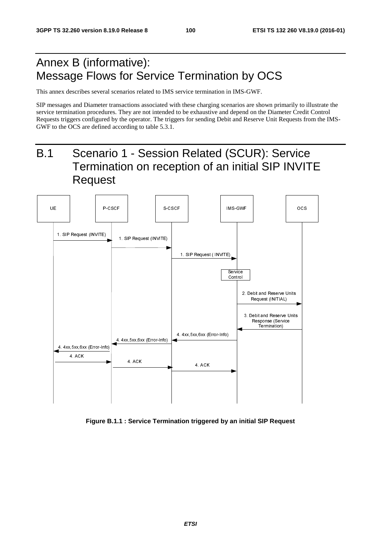# Annex B (informative): Message Flows for Service Termination by OCS

This annex describes several scenarios related to IMS service termination in IMS-GWF.

SIP messages and Diameter transactions associated with these charging scenarios are shown primarily to illustrate the service termination procedures. They are not intended to be exhaustive and depend on the Diameter Credit Control Requests triggers configured by the operator. The triggers for sending Debit and Reserve Unit Requests from the IMS-GWF to the OCS are defined according to table 5.3.1.

# B.1 Scenario 1 - Session Related (SCUR): Service Termination on reception of an initial SIP INVITE Request



**Figure B.1.1 : Service Termination triggered by an initial SIP Request**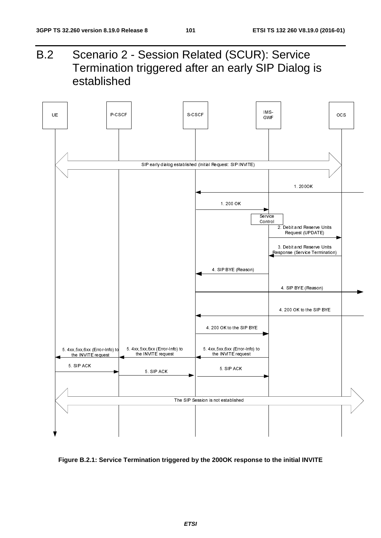B.2 Scenario 2 - Session Related (SCUR): Service Termination triggered after an early SIP Dialog is established



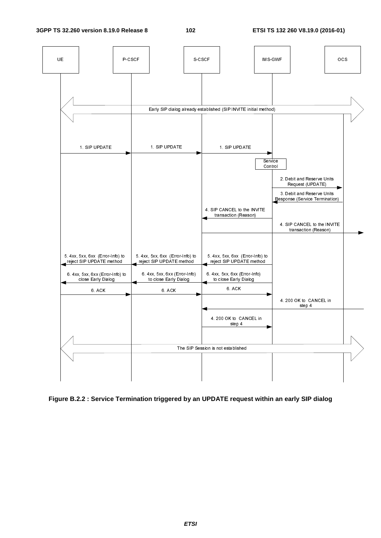

**Figure B.2.2 : Service Termination triggered by an UPDATE request within an early SIP dialog**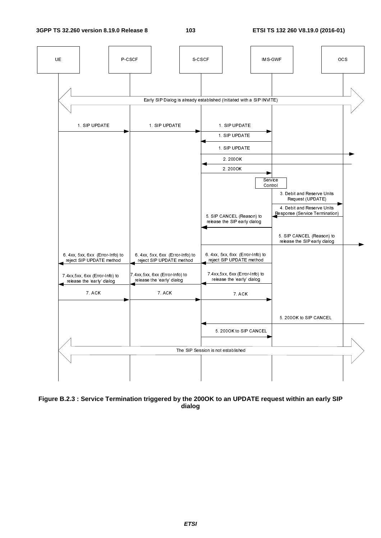

**Figure B.2.3 : Service Termination triggered by the 200OK to an UPDATE request within an early SIP dialog**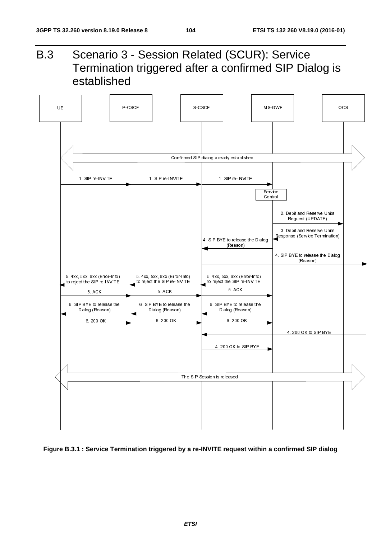B.3 Scenario 3 - Session Related (SCUR): Service Termination triggered after a confirmed SIP Dialog is established



#### **Figure B.3.1 : Service Termination triggered by a re-INVITE request within a confirmed SIP dialog**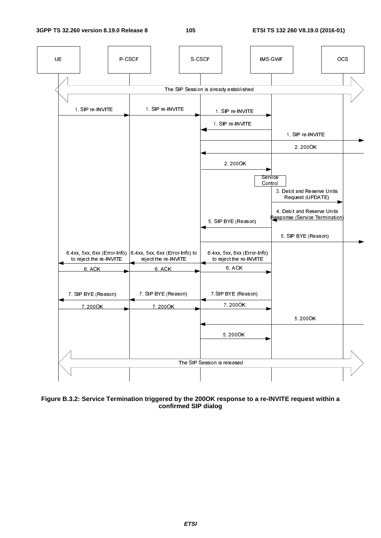



**Figure B.3.2: Service Termination triggered by the 200OK response to a re-INVITE request within a confirmed SIP dialog**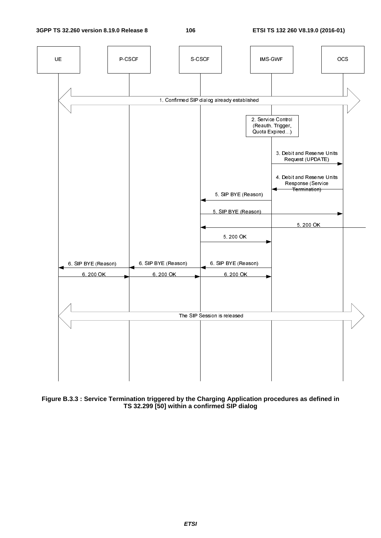

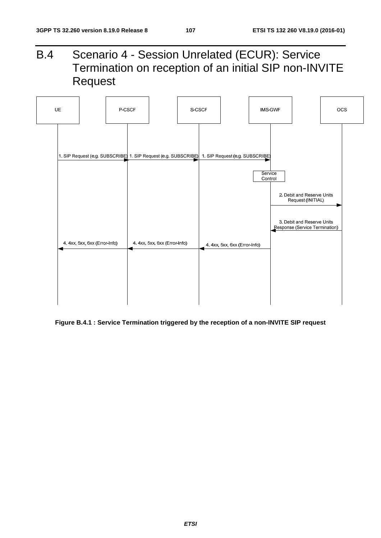B.4 Scenario 4 - Session Unrelated (ECUR): Service Termination on reception of an initial SIP non-INVITE Request



**Figure B.4.1 : Service Termination triggered by the reception of a non-INVITE SIP request**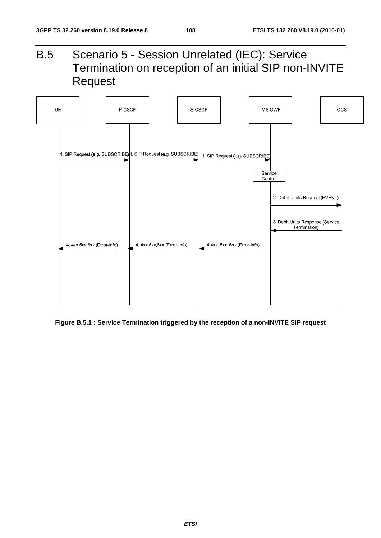B.5 Scenario 5 - Session Unrelated (IEC): Service Termination on reception of an initial SIP non-INVITE Request



**Figure B.5.1 : Service Termination triggered by the reception of a non-INVITE SIP request**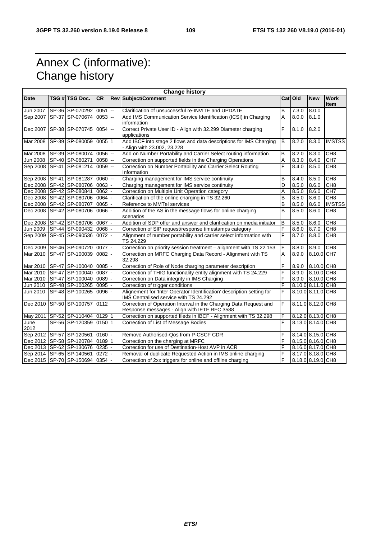## Annex C (informative): Change history

| <b>Change history</b> |  |                                         |           |                            |                                                                                                                   |                |         |                   |                            |
|-----------------------|--|-----------------------------------------|-----------|----------------------------|-------------------------------------------------------------------------------------------------------------------|----------------|---------|-------------------|----------------------------|
| <b>Date</b>           |  | TSG # TSG Doc.                          | <b>CR</b> |                            | <b>Rev Subject/Comment</b>                                                                                        |                | Cat Old | <b>New</b>        | <b>Work</b><br><b>Item</b> |
|                       |  | Jun 2007   SP-36   SP-070292   0051     |           | L.                         | Clarification of unsuccessful re-INVITE and UPDATE                                                                | B              | 7.3.0   | 8.0.0             |                            |
|                       |  | Sep 2007 SP-37 SP-070674 0053           |           | $\mathcal{L}_{\mathbf{m}}$ | Add IMS Communication Service Identification (ICSI) in Charging<br>information                                    | A              | 8.0.0   | 8.1.0             |                            |
|                       |  | Dec 2007   SP-38   SP-070745   0054     |           | $\sim$                     | Correct Private User ID - Align with 32.299 Diameter charging<br>applications                                     | F              | 8.1.0   | 8.2.0             |                            |
| Mar 2008              |  | SP-39 SP-080059 0055 1                  |           |                            | Add IBCF into stage 2 flows and data descriptions for IMS Charging<br>- Align with 23.002, 23.228                 | B              | 8.2.0   | 8.3.0             | <b>IMSTSS</b>              |
| Mar 2008              |  | SP-39 SP-080074 0056                    |           | u.                         | Add on Number Portability and Carrier Select routing information                                                  | B              | 8.2.0   | 8.3.0             | CH <sub>8</sub>            |
| Jun 2008              |  | SP-40 SP-080271                         | 0058      |                            | Correction on supported fields in the Charging Operations                                                         | Α              | 8.3.0   | 8.4.0             | CH <sub>7</sub>            |
|                       |  | Sep 2008 SP-41 SP-081214 0059           |           | $\sim$                     | Correction on Number Portability and Carrier Select Routing<br>Information                                        | F              | 8.4.0   | 8.5.0             | CH <sub>8</sub>            |
|                       |  | Sep 2008 SP-41 SP-081287                | 0060      | Ξ.                         | Charging management for IMS service continuity                                                                    | B              | 8.4.0   | 8.5.0             | CH <sub>8</sub>            |
|                       |  | Dec 2008   SP-42   SP-080706   0063     |           |                            | Charging management for IMS service continuity                                                                    | D              | 8.5.0   | 8.6.0             | CH <sub>8</sub>            |
|                       |  | Dec 2008   SP-42   SP-080841   0062     |           |                            | Correction on Multiple Unit Operation category                                                                    | Α              | 8.5.0   | 8.6.0             | CH <sub>7</sub>            |
|                       |  | Dec 2008   SP-42   SP-080706   0064     |           |                            | Clarification of the online charging in TS 32.260                                                                 | B              | 8.5.0   | 8.6.0             | CH <sub>8</sub>            |
|                       |  | Dec 2008   SP-42   SP-080707   0065     |           |                            | Reference to MMTel services                                                                                       | B              | 8.5.0   | 8.6.0             | <b>IMSTSS</b>              |
|                       |  | Dec 2008   SP-42   SP-080706   0066     |           |                            | Addition of the AS in the message flows for online charging<br>scenarios                                          | B              | 8.5.0   | 8.6.0             | CH <sub>8</sub>            |
|                       |  | Dec 2008   SP-42   SP-080706   0067     |           |                            | Addition of SDP offer and answer and clarification on media initiator                                             | B              | 8.5.0   | 8.6.0             | CH <sub>8</sub>            |
|                       |  | Jun 2009   SP-44   SP-090432   0068     |           |                            | Correction of SIP request/response timestamps category                                                            | F              | 8.6.0   | 8.7.0             | CH <sub>8</sub>            |
|                       |  | Sep 2009 SP-45 SP-090536 0072 -         |           |                            | Alignment of number portability and carrier select information with<br>TS 24.229                                  | F              | 8.7.0   | 8.8.0             | CH8                        |
|                       |  | Dec 2009   SP-46   SP-090720   0077     |           | ÷,                         | Correction on priority session treatment - alignment with TS 22.153                                               | F              | 8.8.0   | 8.9.0             | CH <sub>8</sub>            |
|                       |  | Mar 2010 SP-47 SP-100039 0082           |           |                            | Correction on MRFC Charging Data Record - Alignment with TS<br>32.298                                             | $\overline{A}$ | 8.9.0   | 8.10.0 CH7        |                            |
|                       |  | Mar 2010   SP-47   SP-100040   0085     |           |                            | Correction of Role of Node charging parameter description                                                         | F              | 8.9.0   | 8.10.0 CH8        |                            |
|                       |  | Mar 2010   SP-47   SP-100040   0087     |           |                            | Correction of THIG functionality entity alignment with TS 24.229                                                  | F              | 8.9.0   | 8.10.0 CH8        |                            |
|                       |  | Mar 2010   SP-47   SP-100040   0089     |           |                            | Correction on Data integrity in IMS Charging                                                                      | F              | 8.9.0   | $8.10.0$ CH8      |                            |
|                       |  | Jun 2010   SP-48   SP-100265   0095     |           |                            | Correction of trigger conditions                                                                                  | $\overline{F}$ |         | 8.10.0 8.11.0 CH8 |                            |
| Jun 2010              |  | SP-48 SP-100265 0096                    |           |                            | Alignement for 'Inter Operator Identification' description setting for<br>IMS Centralised service with TS 24.292  | F              |         | 8.10.0 8.11.0 CH8 |                            |
|                       |  | Dec 2010 SP-50 SP-100757 0112           |           |                            | Correction of Operation Interval in the Charging Data Request and<br>Response messages - Align with IETF RFC 3588 | F              |         | 8.11.0 8.12.0 CH8 |                            |
|                       |  | May 2011   SP-52   SP-110404   0129   1 |           |                            | Correction on supported fileds in IBCF - Alignment with TS 32.298                                                 | F              |         | 8.12.0 8.13.0 CH8 |                            |
| June<br>2012          |  | SP-56 SP-120359 0150 1                  |           |                            | Correction of List of Message Bodies                                                                              | F              |         | 8.13.0 8.14.0 CH8 |                            |
|                       |  | Sep 2012   SP-57   SP-120561   0160     |           |                            | Remove Authorised-Qos from P-CSCF CDR                                                                             | F              |         | 8.14.0 8.15.0 CH8 |                            |
|                       |  | Dec 2012 SP-58 SP-120784 0189 1         |           |                            | Correction on the charging at MRFC                                                                                | F              |         | 8.15.0 8.16.0 CH8 |                            |
|                       |  | Dec 2013   SP-62   SP-130676   0235     |           |                            | Correction for use of Destination-Host AVP in ACR                                                                 | F              |         | 8.16.0 8.17.0 CH8 |                            |
|                       |  | Sep 2014   SP-65   SP-140561   0272     |           |                            | Removal of duplicate Requested Action in IMS online charging                                                      | F              |         | 8.17.0 8.18.0 CH8 |                            |
|                       |  | Dec 2015   SP-70   SP-150694   0354   - |           |                            | Correction of 2xx triggers for online and offline charging                                                        | F              |         | 8.18.0 8.19.0 CH8 |                            |